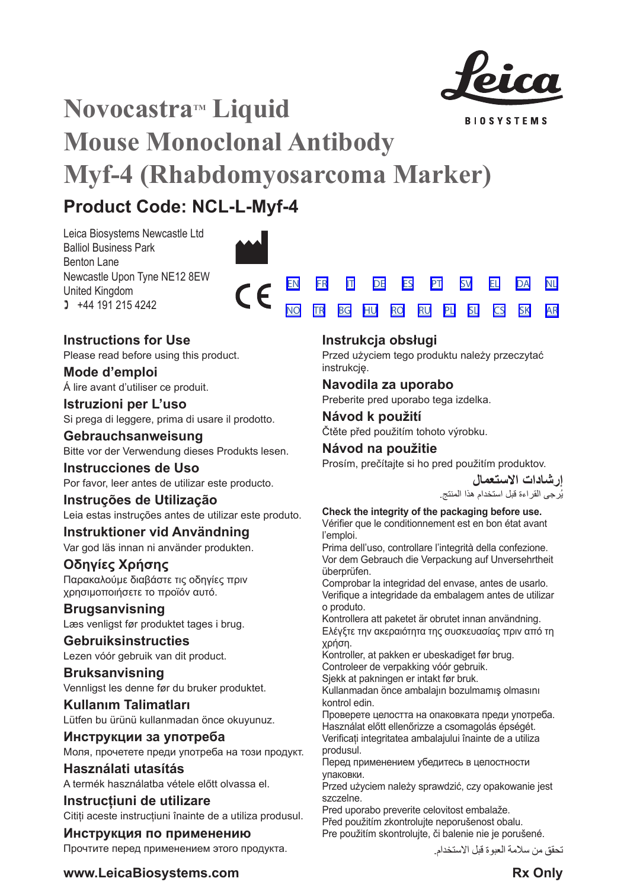

**BIOSYSTEMS** 

# **Novocastra™ Liquid Mouse Monoclonal Antibody Myf-4 (Rhabdomyosarcoma Marker)**

# **Product Code: NCL-L-Myf-4**

Leica Biosystems Newcastle Ltd Balliol Business Park Benton Lane Newcastle Upon Tyne NE12 8EW United Kingdom  $1 +44 191 215 4242$ 





Please read before using this product.

**Mode d'emploi** Á lire avant d'utiliser ce produit.

**Istruzioni per L'uso** Si prega di leggere, prima di usare il prodotto.

**Gebrauchsanweisung** Bitte vor der Verwendung dieses Produkts lesen.

**Instrucciones de Uso** Por favor, leer antes de utilizar este producto.

## **Instruções de Utilização**

Leia estas instruções antes de utilizar este produto.

## **Instruktioner vid Användning**

Var god läs innan ni använder produkten.

## **Οδηγίες Χρήσης**

Παρακαλούμε διαβάστε τις οδηγίες πριν χρησιμοποιήσετε το προϊόν αυτό.

## **Brugsanvisning**

Læs venligst før produktet tages i brug.

## **Gebruiksinstructies**

Lezen vóór gebruik van dit product.

## **Bruksanvisning** Vennligst les denne før du bruker produktet.

**Kullanım Talimatları** Lütfen bu ürünü kullanmadan önce okuyunuz.

**Инструкции за употреба** Моля, прочетете преди употреба на този продукт.

**Használati utasítás** A termék használatba vétele előtt olvassa el.

**Instrucțiuni de utilizare** Cititi aceste instructiuni înainte de a utiliza produsul.

## **Инструкция по применению** Прочтите перед применением этого продукта.

[EN](#page-2-0) [FR](#page-5-0) [IT](#page-8-0) [DE](#page-11-0) [ES](#page-14-0) [PT](#page-17-0) <u>[NO](#page-32-0) [TR](#page-35-0) [BG](#page-38-0) [HU](#page-41-0) [RO](#page-44-0) [RU](#page-47-0)</u> [SV](#page-20-0) [EL](#page-23-0) [DA](#page-26-0) [PL](#page-50-0) [SL](#page-53-0) [CS](#page-56-0) [NL](#page-29-0) [SK](#page-59-0) [AR](#page-62-0)

## **Instrukcja obsługi**

Przed użyciem tego produktu należy przeczytać instrukcję.

## **Navodila za uporabo**

Preberite pred uporabo tega izdelka.

## **Návod k použití** Čtěte před použitím tohoto výrobku.

## **Návod na použitie**

Prosím, prečítajte si ho pred použitím produktov.

**إرشادات االستعمال** ُرجى القراءة قبل استخدام هذا المنتج. ي

## **Check the integrity of the packaging before use.**

Vérifier que le conditionnement est en bon état avant l'emploi.

Prima dell'uso, controllare l'integrità della confezione. Vor dem Gebrauch die Verpackung auf Unversehrtheit überprüfen.

Comprobar la integridad del envase, antes de usarlo. Verifique a integridade da embalagem antes de utilizar o produto.

Kontrollera att paketet är obrutet innan användning. Ελέγξτε την ακεραιότητα της συσκευασίας πριν από τη χρήση.

Kontroller, at pakken er ubeskadiget før brug.

Controleer de verpakking vóór gebruik.

Sjekk at pakningen er intakt før bruk.

Kullanmadan önce ambalajın bozulmamış olmasını kontrol edin.

Проверете целостта на опаковката преди употреба. Használat előtt ellenőrizze a csomagolás épségét. Verificați integritatea ambalajului înainte de a utiliza produsul.

Перед применением убедитесь в целостности упаковки.

Przed użyciem należy sprawdzić, czy opakowanie jest szczelne.

Pred uporabo preverite celovitost embalaže. Před použitím zkontrolujte neporušenost obalu. Pre použitím skontrolujte, či balenie nie je porušené.

تحقق من سالمة العبوة قبل االستخدام.

**www.LeicaBiosystems.com Rx** Only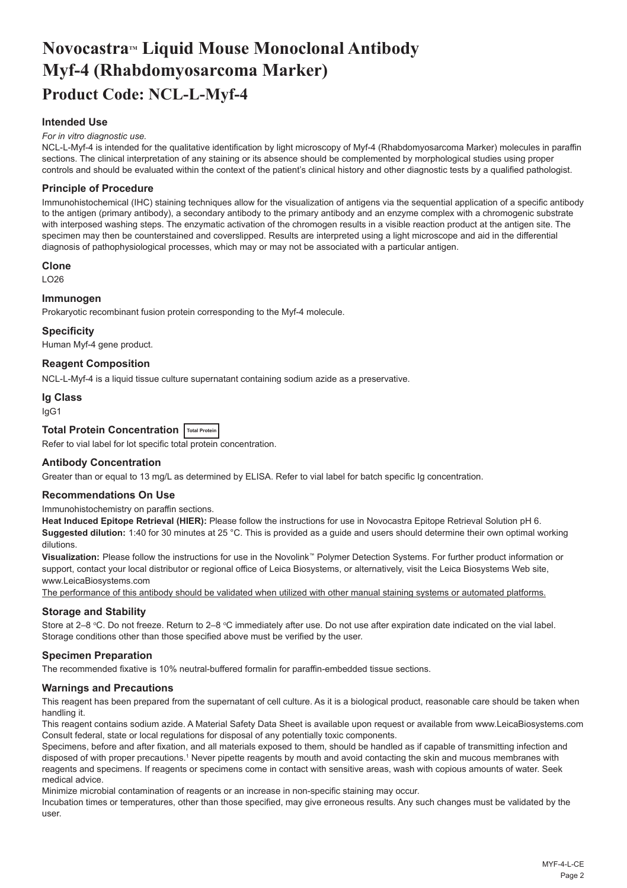## <span id="page-2-0"></span>**NovocastraTM Liquid Mouse Monoclonal Antibody Myf-4 (Rhabdomyosarcoma Marker) Product Code: NCL-L-Myf-4**

## **Intended Use**

#### *For in vitro diagnostic use.*

NCL-L-Myf-4 is intended for the qualitative identification by light microscopy of Myf-4 (Rhabdomyosarcoma Marker) molecules in paraffin sections. The clinical interpretation of any staining or its absence should be complemented by morphological studies using proper controls and should be evaluated within the context of the patient's clinical history and other diagnostic tests by a qualified pathologist.

#### **Principle of Procedure**

Immunohistochemical (IHC) staining techniques allow for the visualization of antigens via the sequential application of a specific antibody to the antigen (primary antibody), a secondary antibody to the primary antibody and an enzyme complex with a chromogenic substrate with interposed washing steps. The enzymatic activation of the chromogen results in a visible reaction product at the antigen site. The specimen may then be counterstained and coverslipped. Results are interpreted using a light microscope and aid in the differential diagnosis of pathophysiological processes, which may or may not be associated with a particular antigen.

#### **Clone**

LO26

#### **Immunogen**

Prokaryotic recombinant fusion protein corresponding to the Myf-4 molecule.

#### **Specificity**

Human Myf-4 gene product.

#### **Reagent Composition**

NCL-L-Myf-4 is a liquid tissue culture supernatant containing sodium azide as a preservative.

#### **Ig Class**

IgG1

## **Total Protein Concentration Total Protein**

Refer to vial label for lot specific total protein concentration.

#### **Antibody Concentration**

Greater than or equal to 13 mg/L as determined by ELISA. Refer to vial label for batch specific Ig concentration.

#### **Recommendations On Use**

Immunohistochemistry on paraffin sections.

**Heat Induced Epitope Retrieval (HIER):** Please follow the instructions for use in Novocastra Epitope Retrieval Solution pH 6. **Suggested dilution:** 1:40 for 30 minutes at 25 °C. This is provided as a guide and users should determine their own optimal working dilutions.

**Visualization:** Please follow the instructions for use in the Novolink™ Polymer Detection Systems. For further product information or support, contact your local distributor or regional office of Leica Biosystems, or alternatively, visit the Leica Biosystems Web site, www.LeicaBiosystems.com

The performance of this antibody should be validated when utilized with other manual staining systems or automated platforms.

#### **Storage and Stability**

Store at 2–8 ℃. Do not freeze. Return to 2–8 ℃ immediately after use. Do not use after expiration date indicated on the vial label. Storage conditions other than those specified above must be verified by the user.

#### **Specimen Preparation**

The recommended fixative is 10% neutral-buffered formalin for paraffin-embedded tissue sections.

### **Warnings and Precautions**

This reagent has been prepared from the supernatant of cell culture. As it is a biological product, reasonable care should be taken when handling it.

This reagent contains sodium azide. A Material Safety Data Sheet is available upon request or available from www.LeicaBiosystems.com Consult federal, state or local regulations for disposal of any potentially toxic components.

Specimens, before and after fixation, and all materials exposed to them, should be handled as if capable of transmitting infection and disposed of with proper precautions.1 Never pipette reagents by mouth and avoid contacting the skin and mucous membranes with reagents and specimens. If reagents or specimens come in contact with sensitive areas, wash with copious amounts of water. Seek medical advice.

Minimize microbial contamination of reagents or an increase in non-specific staining may occur.

Incubation times or temperatures, other than those specified, may give erroneous results. Any such changes must be validated by the user.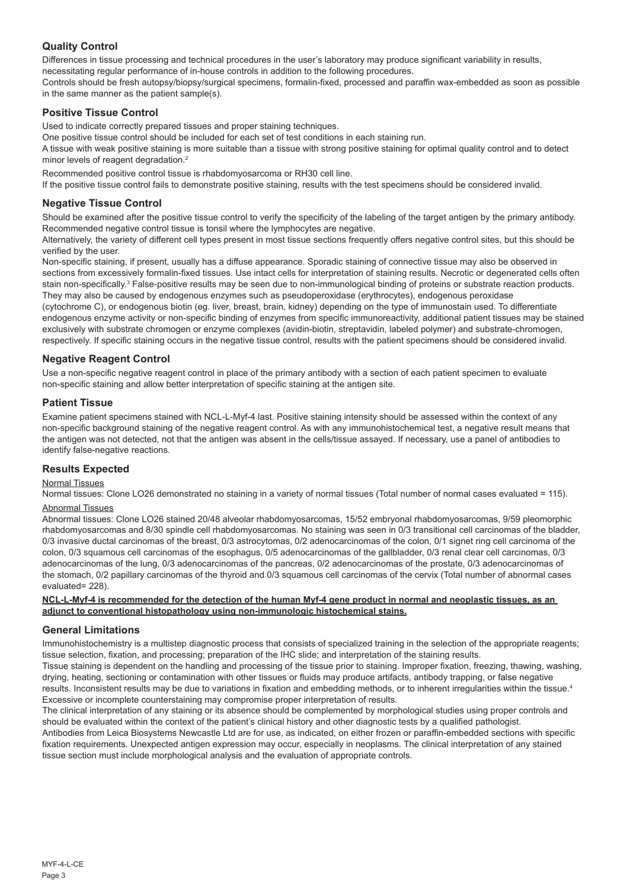## **Quality Control**

Differences in tissue processing and technical procedures in the user's laboratory may produce significant variability in results, necessitating regular performance of in-house controls in addition to the following procedures.

Controls should be fresh autopsy/biopsy/surgical specimens, formalin-fixed, processed and paraffin wax-embedded as soon as possible in the same manner as the patient sample(s).

### **Positive Tissue Control**

Used to indicate correctly prepared tissues and proper staining techniques.

One positive tissue control should be included for each set of test conditions in each staining run.

A tissue with weak positive staining is more suitable than a tissue with strong positive staining for optimal quality control and to detect minor levels of reagent degradation.<sup>2</sup>

Recommended positive control tissue is rhabdomyosarcoma or RH30 cell line.

If the positive tissue control fails to demonstrate positive staining, results with the test specimens should be considered invalid.

#### **Negative Tissue Control**

Should be examined after the positive tissue control to verify the specificity of the labeling of the target antigen by the primary antibody. Recommended negative control tissue is tonsil where the lymphocytes are negative.

Alternatively, the variety of different cell types present in most tissue sections frequently offers negative control sites, but this should be verified by the user.

Non-specific staining, if present, usually has a diffuse appearance. Sporadic staining of connective tissue may also be observed in sections from excessively formalin-fixed tissues. Use intact cells for interpretation of staining results. Necrotic or degenerated cells often stain non-specifically.<sup>3</sup> False-positive results may be seen due to non-immunological binding of proteins or substrate reaction products. They may also be caused by endogenous enzymes such as pseudoperoxidase (erythrocytes), endogenous peroxidase

(cytochrome C), or endogenous biotin (eg. liver, breast, brain, kidney) depending on the type of immunostain used. To differentiate endogenous enzyme activity or non-specific binding of enzymes from specific immunoreactivity, additional patient tissues may be stained exclusively with substrate chromogen or enzyme complexes (avidin-biotin, streptavidin, labeled polymer) and substrate-chromogen, respectively. If specific staining occurs in the negative tissue control, results with the patient specimens should be considered invalid.

### **Negative Reagent Control**

Use a non-specific negative reagent control in place of the primary antibody with a section of each patient specimen to evaluate non-specific staining and allow better interpretation of specific staining at the antigen site.

#### **Patient Tissue**

Examine patient specimens stained with NCL-L-Myf-4 last. Positive staining intensity should be assessed within the context of any non-specific background staining of the negative reagent control. As with any immunohistochemical test, a negative result means that the antigen was not detected, not that the antigen was absent in the cells/tissue assayed. If necessary, use a panel of antibodies to identify false-negative reactions.

#### **Results Expected**

#### Normal Tissues

Normal tissues: Clone LO26 demonstrated no staining in a variety of normal tissues (Total number of normal cases evaluated = 115).

## Abnormal Tissues

Abnormal tissues: Clone LO26 stained 20/48 alveolar rhabdomyosarcomas, 15/52 embryonal rhabdomyosarcomas, 9/59 pleomorphic rhabdomyosarcomas and 8/30 spindle cell rhabdomyosarcomas. No staining was seen in 0/3 transitional cell carcinomas of the bladder, 0/3 invasive ductal carcinomas of the breast, 0/3 astrocytomas, 0/2 adenocarcinomas of the colon, 0/1 signet ring cell carcinoma of the colon, 0/3 squamous cell carcinomas of the esophagus, 0/5 adenocarcinomas of the gallbladder, 0/3 renal clear cell carcinomas, 0/3 adenocarcinomas of the lung, 0/3 adenocarcinomas of the pancreas, 0/2 adenocarcinomas of the prostate, 0/3 adenocarcinomas of the stomach, 0/2 papillary carcinomas of the thyroid and 0/3 squamous cell carcinomas of the cervix (Total number of abnormal cases evaluated= 228).

#### **NCL-L-Myf-4 is recommended for the detection of the human Myf-4 gene product in normal and neoplastic tissues, as an adjunct to conventional histopathology using non-immunologic histochemical stains.**

#### **General Limitations**

Immunohistochemistry is a multistep diagnostic process that consists of specialized training in the selection of the appropriate reagents; tissue selection, fixation, and processing; preparation of the IHC slide; and interpretation of the staining results.

Tissue staining is dependent on the handling and processing of the tissue prior to staining. Improper fixation, freezing, thawing, washing, drying, heating, sectioning or contamination with other tissues or fluids may produce artifacts, antibody trapping, or false negative results. Inconsistent results may be due to variations in fixation and embedding methods, or to inherent irregularities within the tissue.<sup>4</sup> Excessive or incomplete counterstaining may compromise proper interpretation of results.

The clinical interpretation of any staining or its absence should be complemented by morphological studies using proper controls and should be evaluated within the context of the patient's clinical history and other diagnostic tests by a qualified pathologist. Antibodies from Leica Biosystems Newcastle Ltd are for use, as indicated, on either frozen or paraffin-embedded sections with specific fixation requirements. Unexpected antigen expression may occur, especially in neoplasms. The clinical interpretation of any stained tissue section must include morphological analysis and the evaluation of appropriate controls.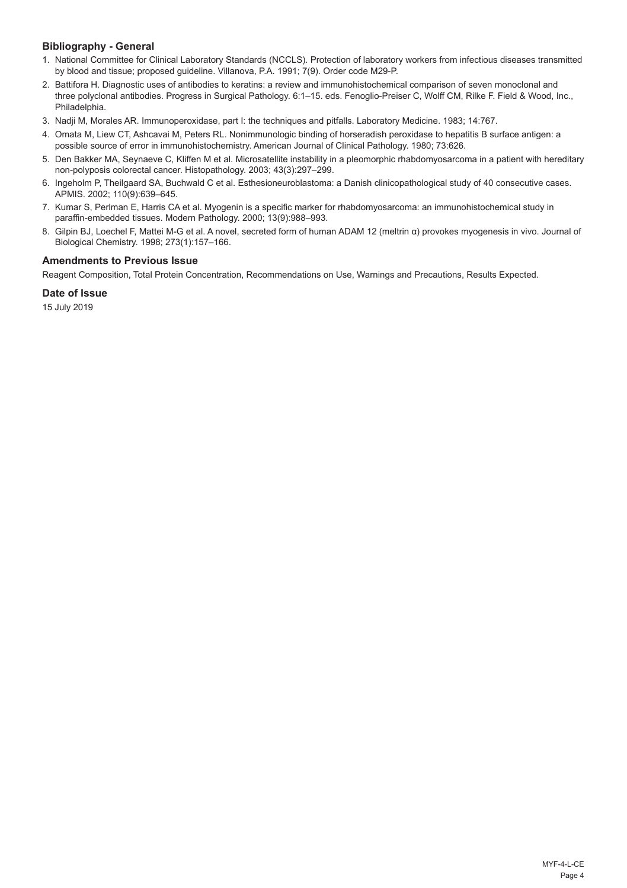## **Bibliography - General**

- 1. National Committee for Clinical Laboratory Standards (NCCLS). Protection of laboratory workers from infectious diseases transmitted by blood and tissue; proposed guideline. Villanova, P.A. 1991; 7(9). Order code M29-P.
- 2. Battifora H. Diagnostic uses of antibodies to keratins: a review and immunohistochemical comparison of seven monoclonal and three polyclonal antibodies. Progress in Surgical Pathology. 6:1–15. eds. Fenoglio-Preiser C, Wolff CM, Rilke F. Field & Wood, Inc., Philadelphia.
- 3. Nadji M, Morales AR. Immunoperoxidase, part I: the techniques and pitfalls. Laboratory Medicine. 1983; 14:767.
- 4. Omata M, Liew CT, Ashcavai M, Peters RL. Nonimmunologic binding of horseradish peroxidase to hepatitis B surface antigen: a possible source of error in immunohistochemistry. American Journal of Clinical Pathology. 1980; 73:626.
- 5. Den Bakker MA, Seynaeve C, Kliffen M et al. Microsatellite instability in a pleomorphic rhabdomyosarcoma in a patient with hereditary non-polyposis colorectal cancer. Histopathology. 2003; 43(3):297–299.
- 6. Ingeholm P, Theilgaard SA, Buchwald C et al. Esthesioneuroblastoma: a Danish clinicopathological study of 40 consecutive cases. APMIS. 2002; 110(9):639–645.
- 7. Kumar S, Perlman E, Harris CA et al. Myogenin is a specific marker for rhabdomyosarcoma: an immunohistochemical study in paraffin-embedded tissues. Modern Pathology. 2000; 13(9):988–993.
- 8. Gilpin BJ, Loechel F, Mattei M-G et al. A novel, secreted form of human ADAM 12 (meltrin α) provokes myogenesis in vivo. Journal of Biological Chemistry. 1998; 273(1):157–166.

## **Amendments to Previous Issue**

Reagent Composition, Total Protein Concentration, Recommendations on Use, Warnings and Precautions, Results Expected.

## **Date of Issue**

15 July 2019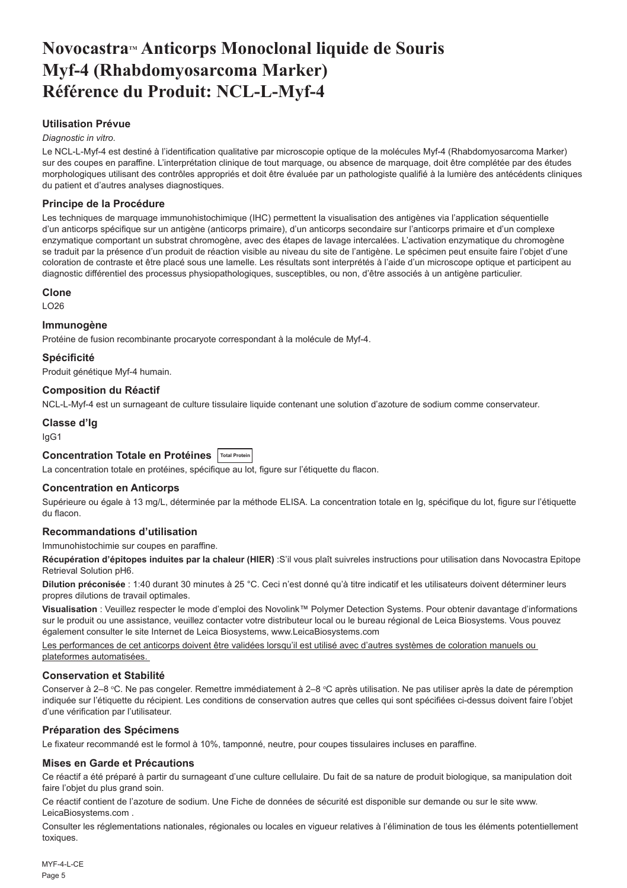## <span id="page-5-0"></span>**NovocastraTM Anticorps Monoclonal liquide de Souris Myf-4 (Rhabdomyosarcoma Marker) Référence du Produit: NCL-L-Myf-4**

## **Utilisation Prévue**

#### *Diagnostic in vitro*.

Le NCL-L-Myf-4 est destiné à l'identification qualitative par microscopie optique de la molécules Myf-4 (Rhabdomyosarcoma Marker) sur des coupes en paraffine. L'interprétation clinique de tout marquage, ou absence de marquage, doit être complétée par des études morphologiques utilisant des contrôles appropriés et doit être évaluée par un pathologiste qualifié à la lumière des antécédents cliniques du patient et d'autres analyses diagnostiques.

### **Principe de la Procédure**

Les techniques de marquage immunohistochimique (IHC) permettent la visualisation des antigènes via l'application séquentielle d'un anticorps spécifique sur un antigène (anticorps primaire), d'un anticorps secondaire sur l'anticorps primaire et d'un complexe enzymatique comportant un substrat chromogène, avec des étapes de lavage intercalées. L'activation enzymatique du chromogène se traduit par la présence d'un produit de réaction visible au niveau du site de l'antigène. Le spécimen peut ensuite faire l'objet d'une coloration de contraste et être placé sous une lamelle. Les résultats sont interprétés à l'aide d'un microscope optique et participent au diagnostic différentiel des processus physiopathologiques, susceptibles, ou non, d'être associés à un antigène particulier.

#### **Clone**

 $LO26$ 

#### **Immunogène**

Protéine de fusion recombinante procaryote correspondant à la molécule de Myf-4.

### **Spécificité**

Produit génétique Myf-4 humain.

#### **Composition du Réactif**

NCL-L-Myf-4 est un surnageant de culture tissulaire liquide contenant une solution d'azoture de sodium comme conservateur.

## **Classe d'Ig**

IgG1

## **Concentration Totale en Protéines Total Protein**

La concentration totale en protéines, spécifique au lot, figure sur l'étiquette du flacon.

## **Concentration en Anticorps**

Supérieure ou égale à 13 mg/L, déterminée par la méthode ELISA. La concentration totale en Ig, spécifique du lot, figure sur l'étiquette du flacon.

## **Recommandations d'utilisation**

Immunohistochimie sur coupes en paraffine.

**Récupération d'épitopes induites par la chaleur (HIER)** :S'il vous plaît suivreles instructions pour utilisation dans Novocastra Epitope Retrieval Solution pH6.

**Dilution préconisée** : 1:40 durant 30 minutes à 25 °C. Ceci n'est donné qu'à titre indicatif et les utilisateurs doivent déterminer leurs propres dilutions de travail optimales.

**Visualisation** : Veuillez respecter le mode d'emploi des Novolink™ Polymer Detection Systems. Pour obtenir davantage d'informations sur le produit ou une assistance, veuillez contacter votre distributeur local ou le bureau régional de Leica Biosystems. Vous pouvez également consulter le site Internet de Leica Biosystems, www.LeicaBiosystems.com

Les performances de cet anticorps doivent être validées lorsqu'il est utilisé avec d'autres systèmes de coloration manuels ou plateformes automatisées.

#### **Conservation et Stabilité**

Conserver à 2–8 °C. Ne pas congeler. Remettre immédiatement à 2–8 °C après utilisation. Ne pas utiliser après la date de péremption indiquée sur l'étiquette du récipient. Les conditions de conservation autres que celles qui sont spécifiées ci-dessus doivent faire l'objet d'une vérification par l'utilisateur.

## **Préparation des Spécimens**

Le fixateur recommandé est le formol à 10%, tamponné, neutre, pour coupes tissulaires incluses en paraffine.

#### **Mises en Garde et Précautions**

Ce réactif a été préparé à partir du surnageant d'une culture cellulaire. Du fait de sa nature de produit biologique, sa manipulation doit faire l'objet du plus grand soin.

Ce réactif contient de l'azoture de sodium. Une Fiche de données de sécurité est disponible sur demande ou sur le site www. LeicaBiosystems.com .

Consulter les réglementations nationales, régionales ou locales en vigueur relatives à l'élimination de tous les éléments potentiellement toxiques.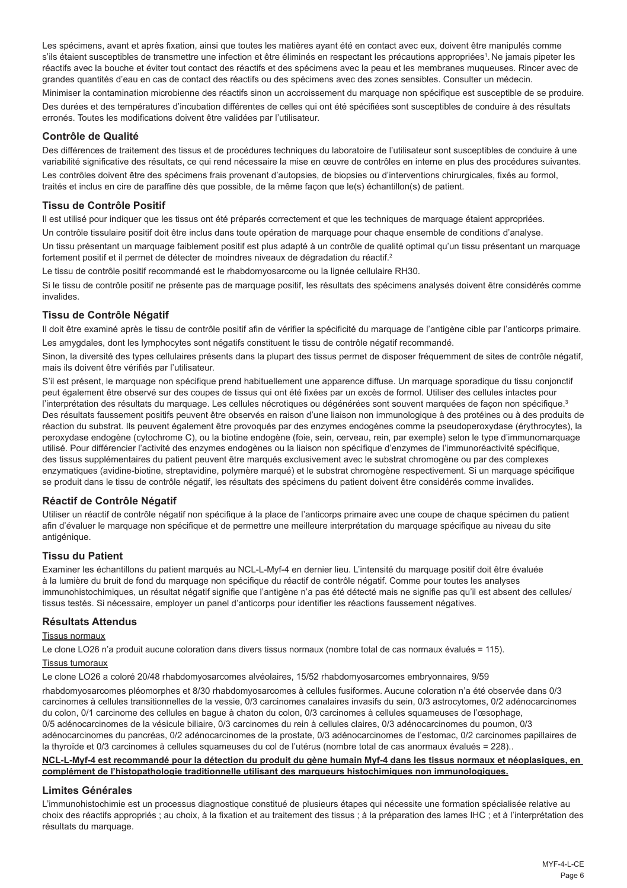Les spécimens, avant et après fixation, ainsi que toutes les matières ayant été en contact avec eux, doivent être manipulés comme s'ils étaient susceptibles de transmettre une infection et être éliminés en respectant les précautions appropriées<sup>1</sup>. Ne jamais pipeter les réactifs avec la bouche et éviter tout contact des réactifs et des spécimens avec la peau et les membranes muqueuses. Rincer avec de grandes quantités d'eau en cas de contact des réactifs ou des spécimens avec des zones sensibles. Consulter un médecin.

Minimiser la contamination microbienne des réactifs sinon un accroissement du marquage non spécifique est susceptible de se produire. Des durées et des températures d'incubation différentes de celles qui ont été spécifiées sont susceptibles de conduire à des résultats erronés. Toutes les modifications doivent être validées par l'utilisateur.

#### **Contrôle de Qualité**

Des différences de traitement des tissus et de procédures techniques du laboratoire de l'utilisateur sont susceptibles de conduire à une variabilité significative des résultats, ce qui rend nécessaire la mise en œuvre de contrôles en interne en plus des procédures suivantes.

Les contrôles doivent être des spécimens frais provenant d'autopsies, de biopsies ou d'interventions chirurgicales, fixés au formol, traités et inclus en cire de paraffine dès que possible, de la même façon que le(s) échantillon(s) de patient.

### **Tissu de Contrôle Positif**

Il est utilisé pour indiquer que les tissus ont été préparés correctement et que les techniques de marquage étaient appropriées.

Un contrôle tissulaire positif doit être inclus dans toute opération de marquage pour chaque ensemble de conditions d'analyse.

Un tissu présentant un marquage faiblement positif est plus adapté à un contrôle de qualité optimal qu'un tissu présentant un marquage fortement positif et il permet de détecter de moindres niveaux de dégradation du réactif.<sup>2</sup>

Le tissu de contrôle positif recommandé est le rhabdomyosarcome ou la lignée cellulaire RH30.

Si le tissu de contrôle positif ne présente pas de marquage positif, les résultats des spécimens analysés doivent être considérés comme invalides.

## **Tissu de Contrôle Négatif**

Il doit être examiné après le tissu de contrôle positif afin de vérifier la spécificité du marquage de l'antigène cible par l'anticorps primaire. Les amygdales, dont les lymphocytes sont négatifs constituent le tissu de contrôle négatif recommandé.

Sinon, la diversité des types cellulaires présents dans la plupart des tissus permet de disposer fréquemment de sites de contrôle négatif, mais ils doivent être vérifiés par l'utilisateur.

S'il est présent, le marquage non spécifique prend habituellement une apparence diffuse. Un marquage sporadique du tissu conjonctif peut également être observé sur des coupes de tissus qui ont été fixées par un excès de formol. Utiliser des cellules intactes pour l'interprétation des résultats du marquage. Les cellules nécrotiques ou dégénérées sont souvent marquées de façon non spécifique.<sup>3</sup> Des résultats faussement positifs peuvent être observés en raison d'une liaison non immunologique à des protéines ou à des produits de réaction du substrat. Ils peuvent également être provoqués par des enzymes endogènes comme la pseudoperoxydase (érythrocytes), la peroxydase endogène (cytochrome C), ou la biotine endogène (foie, sein, cerveau, rein, par exemple) selon le type d'immunomarquage utilisé. Pour différencier l'activité des enzymes endogènes ou la liaison non spécifique d'enzymes de l'immunoréactivité spécifique, des tissus supplémentaires du patient peuvent être marqués exclusivement avec le substrat chromogène ou par des complexes enzymatiques (avidine-biotine, streptavidine, polymère marqué) et le substrat chromogène respectivement. Si un marquage spécifique se produit dans le tissu de contrôle négatif, les résultats des spécimens du patient doivent être considérés comme invalides.

### **Réactif de Contrôle Négatif**

Utiliser un réactif de contrôle négatif non spécifique à la place de l'anticorps primaire avec une coupe de chaque spécimen du patient afin d'évaluer le marquage non spécifique et de permettre une meilleure interprétation du marquage spécifique au niveau du site antigénique.

#### **Tissu du Patient**

Examiner les échantillons du patient marqués au NCL-L-Myf-4 en dernier lieu. L'intensité du marquage positif doit être évaluée à la lumière du bruit de fond du marquage non spécifique du réactif de contrôle négatif. Comme pour toutes les analyses immunohistochimiques, un résultat négatif signifie que l'antigène n'a pas été détecté mais ne signifie pas qu'il est absent des cellules/ tissus testés. Si nécessaire, employer un panel d'anticorps pour identifier les réactions faussement négatives.

## **Résultats Attendus**

#### Tissus normaux

Le clone LO26 n'a produit aucune coloration dans divers tissus normaux (nombre total de cas normaux évalués = 115).

#### Tissus tumoraux

Le clone LO26 a coloré 20/48 rhabdomyosarcomes alvéolaires, 15/52 rhabdomyosarcomes embryonnaires, 9/59 rhabdomyosarcomes pléomorphes et 8/30 rhabdomyosarcomes à cellules fusiformes. Aucune coloration n'a été observée dans 0/3 carcinomes à cellules transitionnelles de la vessie, 0/3 carcinomes canalaires invasifs du sein, 0/3 astrocytomes, 0/2 adénocarcinomes du colon, 0/1 carcinome des cellules en bague à chaton du colon, 0/3 carcinomes à cellules squameuses de l'œsophage, 0/5 adénocarcinomes de la vésicule biliaire, 0/3 carcinomes du rein à cellules claires, 0/3 adénocarcinomes du poumon, 0/3 adénocarcinomes du pancréas, 0/2 adénocarcinomes de la prostate, 0/3 adénocarcinomes de l'estomac, 0/2 carcinomes papillaires de la thyroïde et 0/3 carcinomes à cellules squameuses du col de l'utérus (nombre total de cas anormaux évalués = 228)..

#### **NCL-L-Myf-4 est recommandé pour la détection du produit du gène humain Myf-4 dans les tissus normaux et néoplasiques, en complément de l'histopathologie traditionnelle utilisant des marqueurs histochimiques non immunologiques.**

#### **Limites Générales**

L'immunohistochimie est un processus diagnostique constitué de plusieurs étapes qui nécessite une formation spécialisée relative au choix des réactifs appropriés ; au choix, à la fixation et au traitement des tissus ; à la préparation des lames IHC ; et à l'interprétation des résultats du marquage.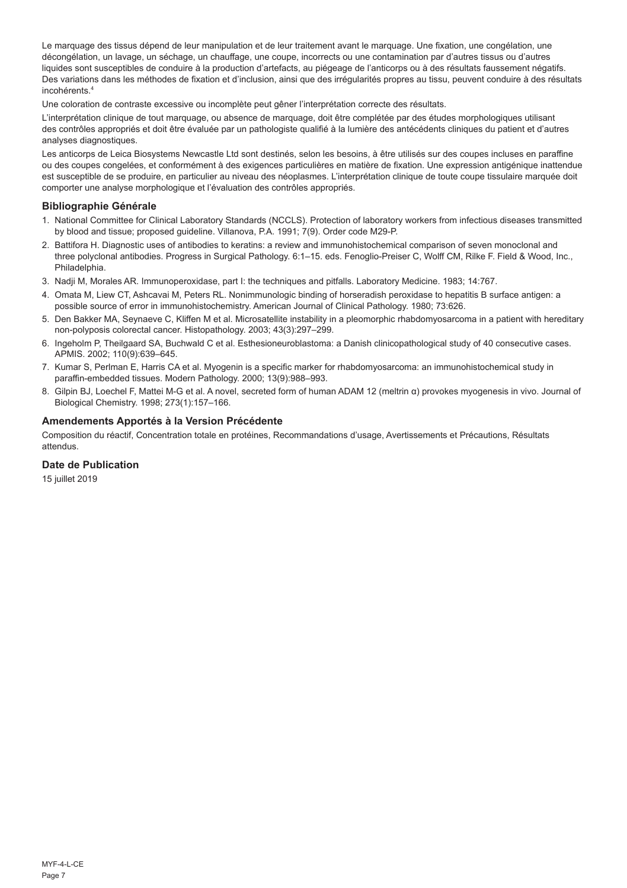Le marquage des tissus dépend de leur manipulation et de leur traitement avant le marquage. Une fixation, une congélation, une décongélation, un lavage, un séchage, un chauffage, une coupe, incorrects ou une contamination par d'autres tissus ou d'autres liquides sont susceptibles de conduire à la production d'artefacts, au piégeage de l'anticorps ou à des résultats faussement négatifs. Des variations dans les méthodes de fixation et d'inclusion, ainsi que des irrégularités propres au tissu, peuvent conduire à des résultats incohérents.<sup>4</sup>

Une coloration de contraste excessive ou incomplète peut gêner l'interprétation correcte des résultats.

L'interprétation clinique de tout marquage, ou absence de marquage, doit être complétée par des études morphologiques utilisant des contrôles appropriés et doit être évaluée par un pathologiste qualifié à la lumière des antécédents cliniques du patient et d'autres analyses diagnostiques.

Les anticorps de Leica Biosystems Newcastle Ltd sont destinés, selon les besoins, à être utilisés sur des coupes incluses en paraffine ou des coupes congelées, et conformément à des exigences particulières en matière de fixation. Une expression antigénique inattendue est susceptible de se produire, en particulier au niveau des néoplasmes. L'interprétation clinique de toute coupe tissulaire marquée doit comporter une analyse morphologique et l'évaluation des contrôles appropriés.

### **Bibliographie Générale**

- 1. National Committee for Clinical Laboratory Standards (NCCLS). Protection of laboratory workers from infectious diseases transmitted by blood and tissue; proposed guideline. Villanova, P.A. 1991; 7(9). Order code M29-P.
- 2. Battifora H. Diagnostic uses of antibodies to keratins: a review and immunohistochemical comparison of seven monoclonal and three polyclonal antibodies. Progress in Surgical Pathology. 6:1–15. eds. Fenoglio-Preiser C, Wolff CM, Rilke F. Field & Wood, Inc., Philadelphia.
- 3. Nadji M, Morales AR. Immunoperoxidase, part I: the techniques and pitfalls. Laboratory Medicine. 1983; 14:767.
- 4. Omata M, Liew CT, Ashcavai M, Peters RL. Nonimmunologic binding of horseradish peroxidase to hepatitis B surface antigen: a possible source of error in immunohistochemistry. American Journal of Clinical Pathology. 1980; 73:626.
- 5. Den Bakker MA, Seynaeve C, Kliffen M et al. Microsatellite instability in a pleomorphic rhabdomyosarcoma in a patient with hereditary non-polyposis colorectal cancer. Histopathology. 2003; 43(3):297–299.
- 6. Ingeholm P, Theilgaard SA, Buchwald C et al. Esthesioneuroblastoma: a Danish clinicopathological study of 40 consecutive cases. APMIS. 2002; 110(9):639–645.
- 7. Kumar S, Perlman E, Harris CA et al. Myogenin is a specific marker for rhabdomyosarcoma: an immunohistochemical study in paraffin-embedded tissues. Modern Pathology. 2000; 13(9):988–993.
- 8. Gilpin BJ, Loechel F, Mattei M-G et al. A novel, secreted form of human ADAM 12 (meltrin α) provokes myogenesis in vivo. Journal of Biological Chemistry. 1998; 273(1):157–166.

#### **Amendements Apportés à la Version Précédente**

Composition du réactif, Concentration totale en protéines, Recommandations d'usage, Avertissements et Précautions, Résultats attendus.

#### **Date de Publication**

15 juillet 2019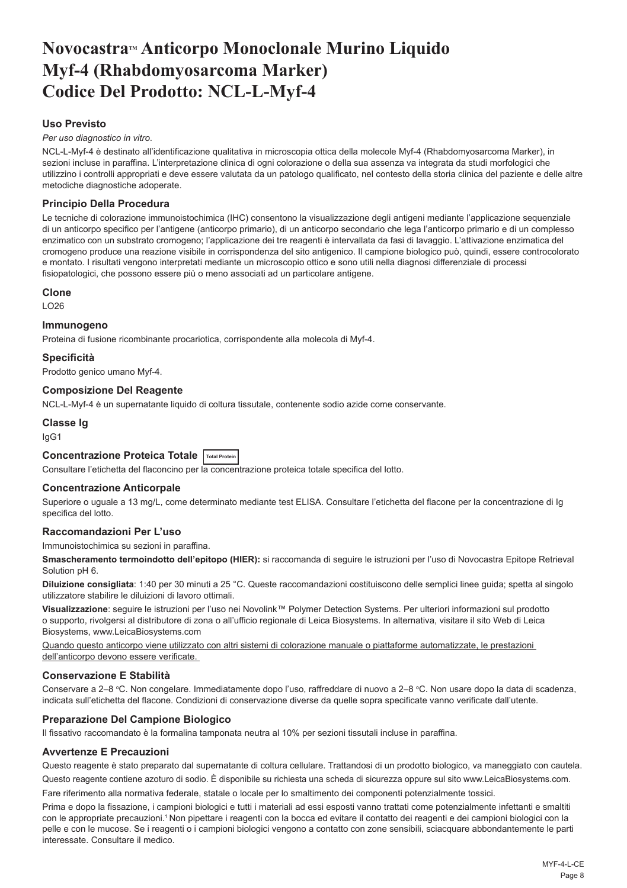## <span id="page-8-0"></span>Novocastra<sup>™</sup> Anticorpo Monoclonale Murino Liquido **Myf-4 (Rhabdomyosarcoma Marker) Codice Del Prodotto: NCL-L-Myf-4**

## **Uso Previsto**

*Per uso diagnostico in vitro*.

NCL-L-Myf-4 è destinato all'identificazione qualitativa in microscopia ottica della molecole Myf-4 (Rhabdomyosarcoma Marker), in sezioni incluse in paraffina. L'interpretazione clinica di ogni colorazione o della sua assenza va integrata da studi morfologici che utilizzino i controlli appropriati e deve essere valutata da un patologo qualificato, nel contesto della storia clinica del paziente e delle altre metodiche diagnostiche adoperate.

#### **Principio Della Procedura**

Le tecniche di colorazione immunoistochimica (IHC) consentono la visualizzazione degli antigeni mediante l'applicazione sequenziale di un anticorpo specifico per l'antigene (anticorpo primario), di un anticorpo secondario che lega l'anticorpo primario e di un complesso enzimatico con un substrato cromogeno; l'applicazione dei tre reagenti è intervallata da fasi di lavaggio. L'attivazione enzimatica del cromogeno produce una reazione visibile in corrispondenza del sito antigenico. Il campione biologico può, quindi, essere controcolorato e montato. I risultati vengono interpretati mediante un microscopio ottico e sono utili nella diagnosi differenziale di processi fisiopatologici, che possono essere più o meno associati ad un particolare antigene.

#### **Clone**

LO26

#### **Immunogeno**

Proteina di fusione ricombinante procariotica, corrispondente alla molecola di Myf-4.

#### **Specificità**

Prodotto genico umano Myf-4.

### **Composizione Del Reagente**

NCL-L-Myf-4 è un supernatante liquido di coltura tissutale, contenente sodio azide come conservante.

## **Classe Ig**

IgG1

## **Concentrazione Proteica Totale Total Protein**

Consultare l'etichetta del flaconcino per la concentrazione proteica totale specifica del lotto.

#### **Concentrazione Anticorpale**

Superiore o uguale a 13 mg/L, come determinato mediante test ELISA. Consultare l'etichetta del flacone per la concentrazione di Ig specifica del lotto.

#### **Raccomandazioni Per L'uso**

Immunoistochimica su sezioni in paraffina.

**Smascheramento termoindotto dell'epitopo (HIER):** si raccomanda di seguire le istruzioni per l'uso di Novocastra Epitope Retrieval Solution pH 6.

**Diluizione consigliata**: 1:40 per 30 minuti a 25 °C. Queste raccomandazioni costituiscono delle semplici linee guida; spetta al singolo utilizzatore stabilire le diluizioni di lavoro ottimali.

**Visualizzazione**: seguire le istruzioni per l'uso nei Novolink™ Polymer Detection Systems. Per ulteriori informazioni sul prodotto o supporto, rivolgersi al distributore di zona o all'ufficio regionale di Leica Biosystems. In alternativa, visitare il sito Web di Leica Biosystems, www.LeicaBiosystems.com

Quando questo anticorpo viene utilizzato con altri sistemi di colorazione manuale o piattaforme automatizzate, le prestazioni dell'anticorpo devono essere verificate.

#### **Conservazione E Stabilità**

Conservare a 2–8 °C. Non congelare. Immediatamente dopo l'uso, raffreddare di nuovo a 2–8 °C. Non usare dopo la data di scadenza, indicata sull'etichetta del flacone. Condizioni di conservazione diverse da quelle sopra specificate vanno verificate dall'utente.

#### **Preparazione Del Campione Biologico**

Il fissativo raccomandato è la formalina tamponata neutra al 10% per sezioni tissutali incluse in paraffina.

#### **Avvertenze E Precauzioni**

Questo reagente è stato preparato dal supernatante di coltura cellulare. Trattandosi di un prodotto biologico, va maneggiato con cautela.

Questo reagente contiene azoturo di sodio. È disponibile su richiesta una scheda di sicurezza oppure sul sito www.LeicaBiosystems.com. Fare riferimento alla normativa federale, statale o locale per lo smaltimento dei componenti potenzialmente tossici.

Prima e dopo la fissazione, i campioni biologici e tutti i materiali ad essi esposti vanno trattati come potenzialmente infettanti e smaltiti con le appropriate precauzioni.<sup>1</sup> Non pipettare i reagenti con la bocca ed evitare il contatto dei reagenti e dei campioni biologici con la pelle e con le mucose. Se i reagenti o i campioni biologici vengono a contatto con zone sensibili, sciacquare abbondantemente le parti interessate. Consultare il medico.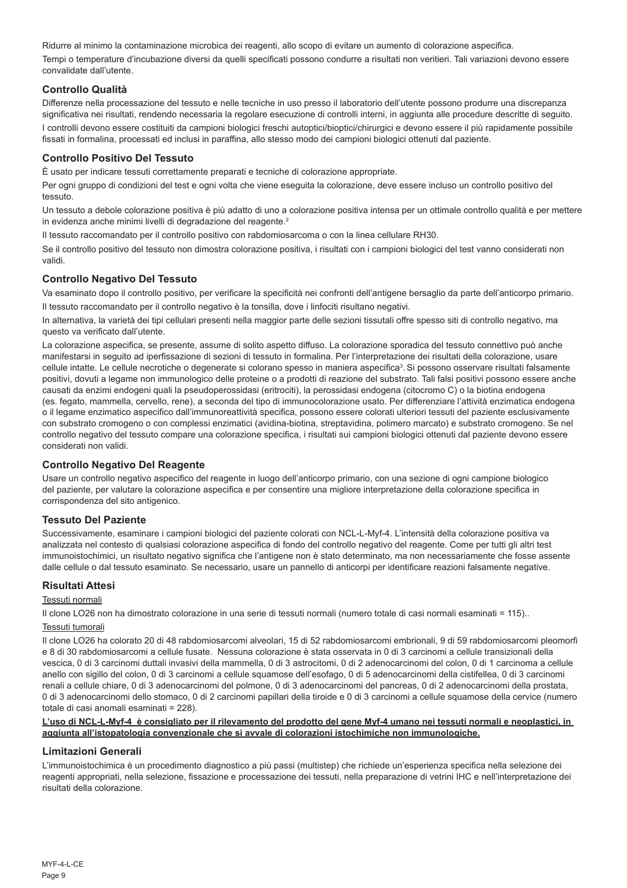Ridurre al minimo la contaminazione microbica dei reagenti, allo scopo di evitare un aumento di colorazione aspecifica. Tempi o temperature d'incubazione diversi da quelli specificati possono condurre a risultati non veritieri. Tali variazioni devono essere convalidate dall'utente.

#### **Controllo Qualità**

Differenze nella processazione del tessuto e nelle tecniche in uso presso il laboratorio dell'utente possono produrre una discrepanza significativa nei risultati, rendendo necessaria la regolare esecuzione di controlli interni, in aggiunta alle procedure descritte di seguito. I controlli devono essere costituiti da campioni biologici freschi autoptici/bioptici/chirurgici e devono essere il più rapidamente possibile fissati in formalina, processati ed inclusi in paraffina, allo stesso modo dei campioni biologici ottenuti dal paziente.

### **Controllo Positivo Del Tessuto**

È usato per indicare tessuti correttamente preparati e tecniche di colorazione appropriate.

Per ogni gruppo di condizioni del test e ogni volta che viene eseguita la colorazione, deve essere incluso un controllo positivo del tessuto.

Un tessuto a debole colorazione positiva è più adatto di uno a colorazione positiva intensa per un ottimale controllo qualità e per mettere in evidenza anche minimi livelli di degradazione del reagente.<sup>2</sup>

Il tessuto raccomandato per il controllo positivo con rabdomiosarcoma o con la linea cellulare RH30.

Se il controllo positivo del tessuto non dimostra colorazione positiva, i risultati con i campioni biologici del test vanno considerati non validi.

#### **Controllo Negativo Del Tessuto**

Va esaminato dopo il controllo positivo, per verificare la specificità nei confronti dell'antigene bersaglio da parte dell'anticorpo primario. Il tessuto raccomandato per il controllo negativo è la tonsilla, dove i linfociti risultano negativi.

In alternativa, la varietà dei tipi cellulari presenti nella maggior parte delle sezioni tissutali offre spesso siti di controllo negativo, ma questo va verificato dall'utente.

La colorazione aspecifica, se presente, assume di solito aspetto diffuso. La colorazione sporadica del tessuto connettivo può anche manifestarsi in seguito ad iperfissazione di sezioni di tessuto in formalina. Per l'interpretazione dei risultati della colorazione, usare cellule intatte. Le cellule necrotiche o degenerate si colorano spesso in maniera aspecifica<sup>3</sup>. Si possono osservare risultati falsamente positivi, dovuti a legame non immunologico delle proteine o a prodotti di reazione del substrato. Tali falsi positivi possono essere anche causati da enzimi endogeni quali la pseudoperossidasi (eritrociti), la perossidasi endogena (citocromo C) o la biotina endogena (es. fegato, mammella, cervello, rene), a seconda del tipo di immunocolorazione usato. Per differenziare l'attività enzimatica endogena o il legame enzimatico aspecifico dall'immunoreattività specifica, possono essere colorati ulteriori tessuti del paziente esclusivamente con substrato cromogeno o con complessi enzimatici (avidina-biotina, streptavidina, polimero marcato) e substrato cromogeno. Se nel controllo negativo del tessuto compare una colorazione specifica, i risultati sui campioni biologici ottenuti dal paziente devono essere considerati non validi.

#### **Controllo Negativo Del Reagente**

Usare un controllo negativo aspecifico del reagente in luogo dell'anticorpo primario, con una sezione di ogni campione biologico del paziente, per valutare la colorazione aspecifica e per consentire una migliore interpretazione della colorazione specifica in corrispondenza del sito antigenico.

#### **Tessuto Del Paziente**

Successivamente, esaminare i campioni biologici del paziente colorati con NCL-L-Myf-4. L'intensità della colorazione positiva va analizzata nel contesto di qualsiasi colorazione aspecifica di fondo del controllo negativo del reagente. Come per tutti gli altri test immunoistochimici, un risultato negativo significa che l'antigene non è stato determinato, ma non necessariamente che fosse assente dalle cellule o dal tessuto esaminato. Se necessario, usare un pannello di anticorpi per identificare reazioni falsamente negative.

#### **Risultati Attesi**

#### Tessuti normali

Il clone LO26 non ha dimostrato colorazione in una serie di tessuti normali (numero totale di casi normali esaminati = 115)..

#### Tessuti tumorali

Il clone LO26 ha colorato 20 di 48 rabdomiosarcomi alveolari, 15 di 52 rabdomiosarcomi embrionali, 9 di 59 rabdomiosarcomi pleomorfi e 8 di 30 rabdomiosarcomi a cellule fusate. Nessuna colorazione è stata osservata in 0 di 3 carcinomi a cellule transizionali della vescica, 0 di 3 carcinomi duttali invasivi della mammella, 0 di 3 astrocitomi, 0 di 2 adenocarcinomi del colon, 0 di 1 carcinoma a cellule anello con sigillo del colon, 0 di 3 carcinomi a cellule squamose dell'esofago, 0 di 5 adenocarcinomi della cistifellea, 0 di 3 carcinomi renali a cellule chiare, 0 di 3 adenocarcinomi del polmone, 0 di 3 adenocarcinomi del pancreas, 0 di 2 adenocarcinomi della prostata, 0 di 3 adenocarcinomi dello stomaco, 0 di 2 carcinomi papillari della tiroide e 0 di 3 carcinomi a cellule squamose della cervice (numero totale di casi anomali esaminati = 228).

#### **L'uso di NCL-L-Myf-4 è consigliato per il rilevamento del prodotto del gene Myf-4 umano nei tessuti normali e neoplastici, in aggiunta all'istopatologia convenzionale che si avvale di colorazioni istochimiche non immunologiche.**

#### **Limitazioni Generali**

L'immunoistochimica è un procedimento diagnostico a più passi (multistep) che richiede un'esperienza specifica nella selezione dei reagenti appropriati, nella selezione, fissazione e processazione dei tessuti, nella preparazione di vetrini IHC e nell'interpretazione dei risultati della colorazione.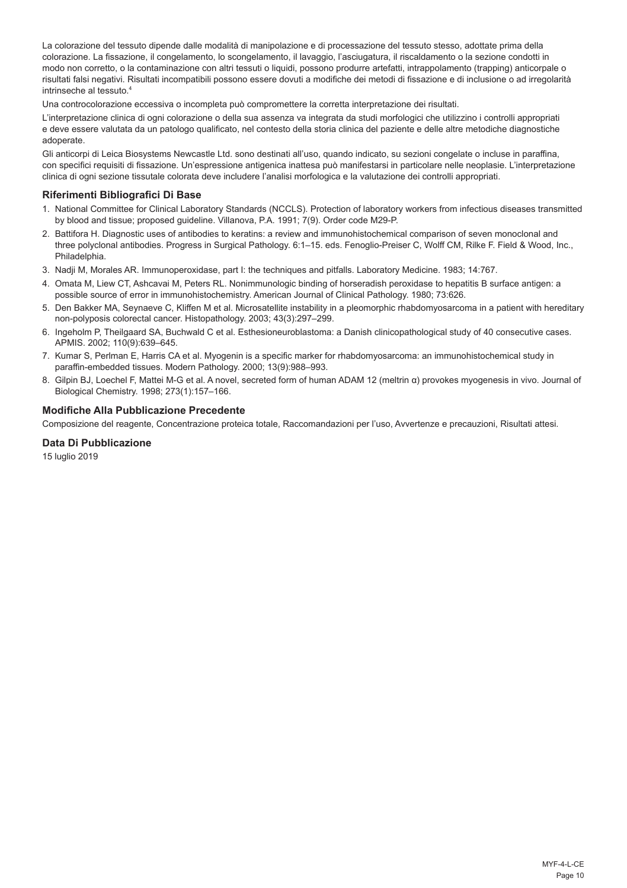La colorazione del tessuto dipende dalle modalità di manipolazione e di processazione del tessuto stesso, adottate prima della colorazione. La fissazione, il congelamento, lo scongelamento, il lavaggio, l'asciugatura, il riscaldamento o la sezione condotti in modo non corretto, o la contaminazione con altri tessuti o liquidi, possono produrre artefatti, intrappolamento (trapping) anticorpale o risultati falsi negativi. Risultati incompatibili possono essere dovuti a modifiche dei metodi di fissazione e di inclusione o ad irregolarità intrinseche al tessuto.<sup>4</sup>

Una controcolorazione eccessiva o incompleta può compromettere la corretta interpretazione dei risultati.

L'interpretazione clinica di ogni colorazione o della sua assenza va integrata da studi morfologici che utilizzino i controlli appropriati e deve essere valutata da un patologo qualificato, nel contesto della storia clinica del paziente e delle altre metodiche diagnostiche adoperate.

Gli anticorpi di Leica Biosystems Newcastle Ltd. sono destinati all'uso, quando indicato, su sezioni congelate o incluse in paraffina, con specifici requisiti di fissazione. Un'espressione antigenica inattesa può manifestarsi in particolare nelle neoplasie. L'interpretazione clinica di ogni sezione tissutale colorata deve includere l'analisi morfologica e la valutazione dei controlli appropriati.

### **Riferimenti Bibliografici Di Base**

- 1. National Committee for Clinical Laboratory Standards (NCCLS). Protection of laboratory workers from infectious diseases transmitted by blood and tissue; proposed guideline. Villanova, P.A. 1991; 7(9). Order code M29-P.
- 2. Battifora H. Diagnostic uses of antibodies to keratins: a review and immunohistochemical comparison of seven monoclonal and three polyclonal antibodies. Progress in Surgical Pathology. 6:1–15. eds. Fenoglio-Preiser C, Wolff CM, Rilke F. Field & Wood, Inc., Philadelphia.
- 3. Nadji M, Morales AR. Immunoperoxidase, part I: the techniques and pitfalls. Laboratory Medicine. 1983; 14:767.
- 4. Omata M, Liew CT, Ashcavai M, Peters RL. Nonimmunologic binding of horseradish peroxidase to hepatitis B surface antigen: a possible source of error in immunohistochemistry. American Journal of Clinical Pathology. 1980; 73:626.
- 5. Den Bakker MA, Seynaeve C, Kliffen M et al. Microsatellite instability in a pleomorphic rhabdomyosarcoma in a patient with hereditary non-polyposis colorectal cancer. Histopathology. 2003; 43(3):297–299.
- 6. Ingeholm P, Theilgaard SA, Buchwald C et al. Esthesioneuroblastoma: a Danish clinicopathological study of 40 consecutive cases. APMIS. 2002; 110(9):639–645.
- 7. Kumar S, Perlman E, Harris CA et al. Myogenin is a specific marker for rhabdomyosarcoma: an immunohistochemical study in paraffin-embedded tissues. Modern Pathology. 2000; 13(9):988–993.
- 8. Gilpin BJ, Loechel F, Mattei M-G et al. A novel, secreted form of human ADAM 12 (meltrin α) provokes myogenesis in vivo. Journal of Biological Chemistry. 1998; 273(1):157–166.

#### **Modifiche Alla Pubblicazione Precedente**

Composizione del reagente, Concentrazione proteica totale, Raccomandazioni per l'uso, Avvertenze e precauzioni, Risultati attesi.

#### **Data Di Pubblicazione**

15 luglio 2019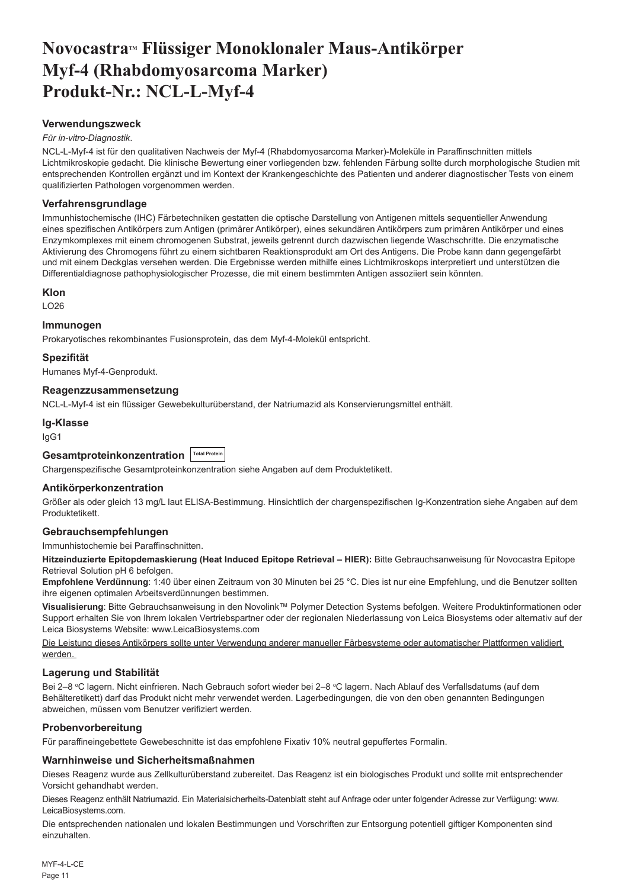## <span id="page-11-0"></span>Novocastra™ Flüssiger Monoklonaler Maus-Antikörper **Myf-4 (Rhabdomyosarcoma Marker) Produkt-Nr.: NCL-L-Myf-4**

#### **Verwendungszweck**

#### *Für in-vitro-Diagnostik*.

NCL-L-Myf-4 ist für den qualitativen Nachweis der Myf-4 (Rhabdomyosarcoma Marker)-Moleküle in Paraffinschnitten mittels Lichtmikroskopie gedacht. Die klinische Bewertung einer vorliegenden bzw. fehlenden Färbung sollte durch morphologische Studien mit entsprechenden Kontrollen ergänzt und im Kontext der Krankengeschichte des Patienten und anderer diagnostischer Tests von einem qualifizierten Pathologen vorgenommen werden.

#### **Verfahrensgrundlage**

Immunhistochemische (IHC) Färbetechniken gestatten die optische Darstellung von Antigenen mittels sequentieller Anwendung eines spezifischen Antikörpers zum Antigen (primärer Antikörper), eines sekundären Antikörpers zum primären Antikörper und eines Enzymkomplexes mit einem chromogenen Substrat, jeweils getrennt durch dazwischen liegende Waschschritte. Die enzymatische Aktivierung des Chromogens führt zu einem sichtbaren Reaktionsprodukt am Ort des Antigens. Die Probe kann dann gegengefärbt und mit einem Deckglas versehen werden. Die Ergebnisse werden mithilfe eines Lichtmikroskops interpretiert und unterstützen die Differentialdiagnose pathophysiologischer Prozesse, die mit einem bestimmten Antigen assoziiert sein könnten.

#### **Klon**

LO26

#### **Immunogen**

Prokaryotisches rekombinantes Fusionsprotein, das dem Myf-4-Molekül entspricht.

#### **Spezifität**

Humanes Myf-4-Genprodukt.

#### **Reagenzzusammensetzung**

NCL-L-Myf-4 ist ein flüssiger Gewebekulturüberstand, der Natriumazid als Konservierungsmittel enthält.

## **Ig-Klasse**

IgG1

## **Gesamtproteinkonzentration Total Protein**

Chargenspezifische Gesamtproteinkonzentration siehe Angaben auf dem Produktetikett.

#### **Antikörperkonzentration**

Größer als oder gleich 13 mg/L laut ELISA-Bestimmung. Hinsichtlich der chargenspezifischen Ig-Konzentration siehe Angaben auf dem Produktetikett.

#### **Gebrauchsempfehlungen**

Immunhistochemie bei Paraffinschnitten.

**Hitzeinduzierte Epitopdemaskierung (Heat Induced Epitope Retrieval – HIER):** Bitte Gebrauchsanweisung für Novocastra Epitope Retrieval Solution pH 6 befolgen.

**Empfohlene Verdünnung**: 1:40 über einen Zeitraum von 30 Minuten bei 25 °C. Dies ist nur eine Empfehlung, und die Benutzer sollten ihre eigenen optimalen Arbeitsverdünnungen bestimmen.

**Visualisierung**: Bitte Gebrauchsanweisung in den Novolink™ Polymer Detection Systems befolgen. Weitere Produktinformationen oder Support erhalten Sie von Ihrem lokalen Vertriebspartner oder der regionalen Niederlassung von Leica Biosystems oder alternativ auf der Leica Biosystems Website: www.LeicaBiosystems.com

Die Leistung dieses Antikörpers sollte unter Verwendung anderer manueller Färbesysteme oder automatischer Plattformen validiert werden.

#### **Lagerung und Stabilität**

Bei 2–8 °C lagern. Nicht einfrieren. Nach Gebrauch sofort wieder bei 2–8 °C lagern. Nach Ablauf des Verfallsdatums (auf dem Behälteretikett) darf das Produkt nicht mehr verwendet werden. Lagerbedingungen, die von den oben genannten Bedingungen abweichen, müssen vom Benutzer verifiziert werden.

#### **Probenvorbereitung**

Für paraffineingebettete Gewebeschnitte ist das empfohlene Fixativ 10% neutral gepuffertes Formalin.

#### **Warnhinweise und Sicherheitsmaßnahmen**

Dieses Reagenz wurde aus Zellkulturüberstand zubereitet. Das Reagenz ist ein biologisches Produkt und sollte mit entsprechender Vorsicht gehandhabt werden.

Dieses Reagenz enthält Natriumazid. Ein Materialsicherheits-Datenblatt steht auf Anfrage oder unter folgender Adresse zur Verfügung: www. LeicaBiosystems.com.

Die entsprechenden nationalen und lokalen Bestimmungen und Vorschriften zur Entsorgung potentiell giftiger Komponenten sind einzuhalten.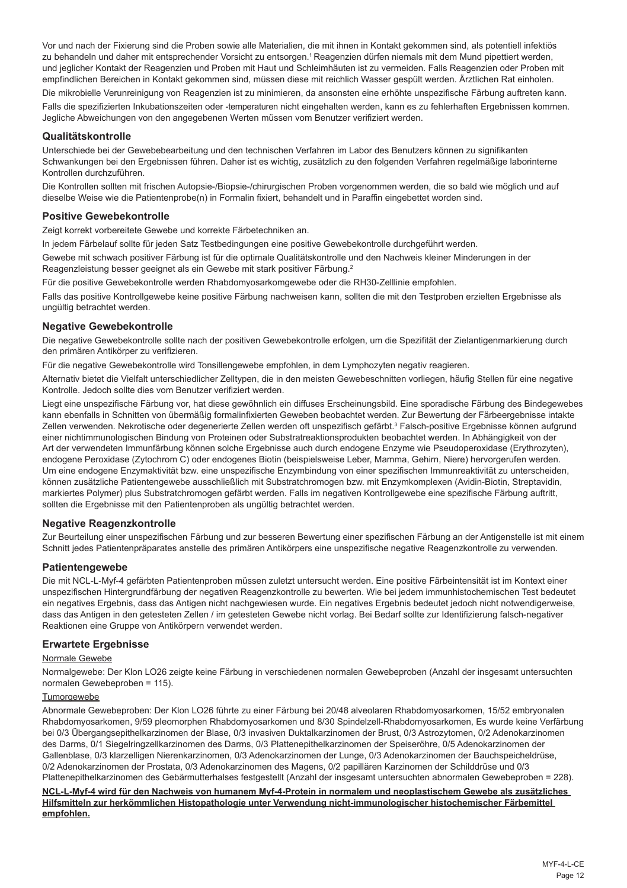Vor und nach der Fixierung sind die Proben sowie alle Materialien, die mit ihnen in Kontakt gekommen sind, als potentiell infektiös zu behandeln und daher mit entsprechender Vorsicht zu entsorgen.<sup>1</sup> Reagenzien dürfen niemals mit dem Mund pipettiert werden, und jeglicher Kontakt der Reagenzien und Proben mit Haut und Schleimhäuten ist zu vermeiden. Falls Reagenzien oder Proben mit empfindlichen Bereichen in Kontakt gekommen sind, müssen diese mit reichlich Wasser gespült werden. Ärztlichen Rat einholen.

Die mikrobielle Verunreinigung von Reagenzien ist zu minimieren, da ansonsten eine erhöhte unspezifische Färbung auftreten kann. Falls die spezifizierten Inkubationszeiten oder -temperaturen nicht eingehalten werden, kann es zu fehlerhaften Ergebnissen kommen. Jegliche Abweichungen von den angegebenen Werten müssen vom Benutzer verifiziert werden.

#### **Qualitätskontrolle**

Unterschiede bei der Gewebebearbeitung und den technischen Verfahren im Labor des Benutzers können zu signifikanten Schwankungen bei den Ergebnissen führen. Daher ist es wichtig, zusätzlich zu den folgenden Verfahren regelmäßige laborinterne Kontrollen durchzuführen.

Die Kontrollen sollten mit frischen Autopsie-/Biopsie-/chirurgischen Proben vorgenommen werden, die so bald wie möglich und auf dieselbe Weise wie die Patientenprobe(n) in Formalin fixiert, behandelt und in Paraffin eingebettet worden sind.

#### **Positive Gewebekontrolle**

Zeigt korrekt vorbereitete Gewebe und korrekte Färbetechniken an.

In jedem Färbelauf sollte für jeden Satz Testbedingungen eine positive Gewebekontrolle durchgeführt werden.

Gewebe mit schwach positiver Färbung ist für die optimale Qualitätskontrolle und den Nachweis kleiner Minderungen in der Reagenzleistung besser geeignet als ein Gewebe mit stark positiver Färbung.<sup>2</sup>

Für die positive Gewebekontrolle werden Rhabdomyosarkomgewebe oder die RH30-Zelllinie empfohlen.

Falls das positive Kontrollgewebe keine positive Färbung nachweisen kann, sollten die mit den Testproben erzielten Ergebnisse als ungültig betrachtet werden.

### **Negative Gewebekontrolle**

Die negative Gewebekontrolle sollte nach der positiven Gewebekontrolle erfolgen, um die Spezifität der Zielantigenmarkierung durch den primären Antikörper zu verifizieren.

Für die negative Gewebekontrolle wird Tonsillengewebe empfohlen, in dem Lymphozyten negativ reagieren.

Alternativ bietet die Vielfalt unterschiedlicher Zelltypen, die in den meisten Gewebeschnitten vorliegen, häufig Stellen für eine negative Kontrolle. Jedoch sollte dies vom Benutzer verifiziert werden.

Liegt eine unspezifische Färbung vor, hat diese gewöhnlich ein diffuses Erscheinungsbild. Eine sporadische Färbung des Bindegewebes kann ebenfalls in Schnitten von übermäßig formalinfixierten Geweben beobachtet werden. Zur Bewertung der Färbeergebnisse intakte Zellen verwenden. Nekrotische oder degenerierte Zellen werden oft unspezifisch gefärbt.<sup>3</sup> Falsch-positive Ergebnisse können aufgrund einer nichtimmunologischen Bindung von Proteinen oder Substratreaktionsprodukten beobachtet werden. In Abhängigkeit von der Art der verwendeten Immunfärbung können solche Ergebnisse auch durch endogene Enzyme wie Pseudoperoxidase (Erythrozyten), endogene Peroxidase (Zytochrom C) oder endogenes Biotin (beispielsweise Leber, Mamma, Gehirn, Niere) hervorgerufen werden. Um eine endogene Enzymaktivität bzw. eine unspezifische Enzymbindung von einer spezifischen Immunreaktivität zu unterscheiden, können zusätzliche Patientengewebe ausschließlich mit Substratchromogen bzw. mit Enzymkomplexen (Avidin-Biotin, Streptavidin, markiertes Polymer) plus Substratchromogen gefärbt werden. Falls im negativen Kontrollgewebe eine spezifische Färbung auftritt, sollten die Ergebnisse mit den Patientenproben als ungültig betrachtet werden.

#### **Negative Reagenzkontrolle**

Zur Beurteilung einer unspezifischen Färbung und zur besseren Bewertung einer spezifischen Färbung an der Antigenstelle ist mit einem Schnitt jedes Patientenpräparates anstelle des primären Antikörpers eine unspezifische negative Reagenzkontrolle zu verwenden.

#### **Patientengewebe**

Die mit NCL-L-Myf-4 gefärbten Patientenproben müssen zuletzt untersucht werden. Eine positive Färbeintensität ist im Kontext einer unspezifischen Hintergrundfärbung der negativen Reagenzkontrolle zu bewerten. Wie bei jedem immunhistochemischen Test bedeutet ein negatives Ergebnis, dass das Antigen nicht nachgewiesen wurde. Ein negatives Ergebnis bedeutet jedoch nicht notwendigerweise, dass das Antigen in den getesteten Zellen / im getesteten Gewebe nicht vorlag. Bei Bedarf sollte zur Identifizierung falsch-negativer Reaktionen eine Gruppe von Antikörpern verwendet werden.

#### **Erwartete Ergebnisse**

Normale Gewebe

Normalgewebe: Der Klon LO26 zeigte keine Färbung in verschiedenen normalen Gewebeproben (Anzahl der insgesamt untersuchten normalen Gewebeproben = 115).

### Tumorgewebe

Abnormale Gewebeproben: Der Klon LO26 führte zu einer Färbung bei 20/48 alveolaren Rhabdomyosarkomen, 15/52 embryonalen Rhabdomyosarkomen, 9/59 pleomorphen Rhabdomyosarkomen und 8/30 Spindelzell-Rhabdomyosarkomen, Es wurde keine Verfärbung bei 0/3 Übergangsepithelkarzinomen der Blase, 0/3 invasiven Duktalkarzinomen der Brust, 0/3 Astrozytomen, 0/2 Adenokarzinomen des Darms, 0/1 Siegelringzellkarzinomen des Darms, 0/3 Plattenepithelkarzinomen der Speiseröhre, 0/5 Adenokarzinomen der Gallenblase, 0/3 klarzelligen Nierenkarzinomen, 0/3 Adenokarzinomen der Lunge, 0/3 Adenokarzinomen der Bauchspeicheldrüse, 0/2 Adenokarzinomen der Prostata, 0/3 Adenokarzinomen des Magens, 0/2 papillären Karzinomen der Schilddrüse und 0/3 Plattenepithelkarzinomen des Gebärmutterhalses festgestellt (Anzahl der insgesamt untersuchten abnormalen Gewebeproben = 228).

**NCL-L-Myf-4 wird für den Nachweis von humanem Myf-4-Protein in normalem und neoplastischem Gewebe als zusätzliches Hilfsmitteln zur herkömmlichen Histopathologie unter Verwendung nicht-immunologischer histochemischer Färbemittel empfohlen.**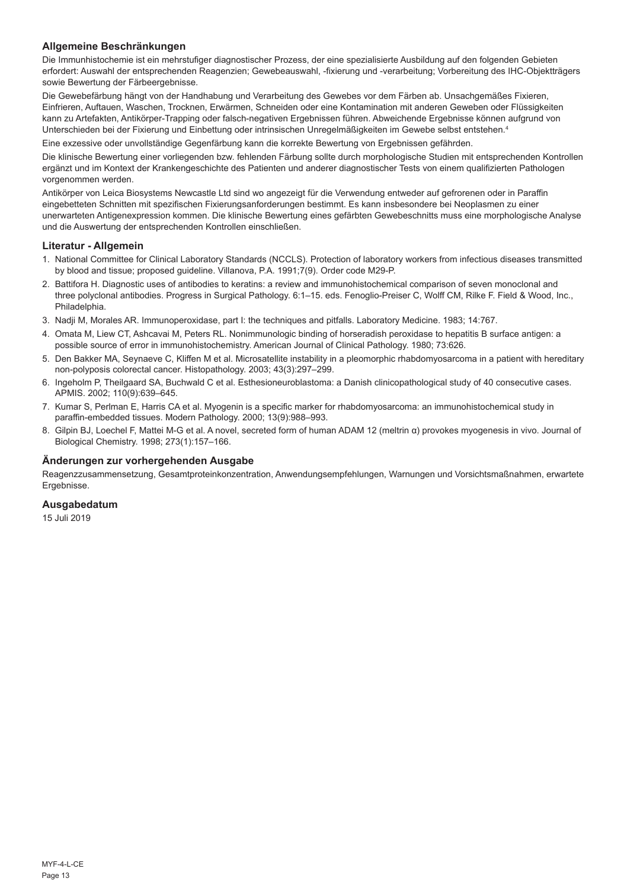## **Allgemeine Beschränkungen**

Die Immunhistochemie ist ein mehrstufiger diagnostischer Prozess, der eine spezialisierte Ausbildung auf den folgenden Gebieten erfordert: Auswahl der entsprechenden Reagenzien; Gewebeauswahl, -fixierung und -verarbeitung; Vorbereitung des IHC-Objektträgers sowie Bewertung der Färbeergebnisse.

Die Gewebefärbung hängt von der Handhabung und Verarbeitung des Gewebes vor dem Färben ab. Unsachgemäßes Fixieren, Einfrieren, Auftauen, Waschen, Trocknen, Erwärmen, Schneiden oder eine Kontamination mit anderen Geweben oder Flüssigkeiten kann zu Artefakten, Antikörper-Trapping oder falsch-negativen Ergebnissen führen. Abweichende Ergebnisse können aufgrund von Unterschieden bei der Fixierung und Einbettung oder intrinsischen Unregelmäßigkeiten im Gewebe selbst entstehen.<sup>4</sup>

Eine exzessive oder unvollständige Gegenfärbung kann die korrekte Bewertung von Ergebnissen gefährden.

Die klinische Bewertung einer vorliegenden bzw. fehlenden Färbung sollte durch morphologische Studien mit entsprechenden Kontrollen ergänzt und im Kontext der Krankengeschichte des Patienten und anderer diagnostischer Tests von einem qualifizierten Pathologen vorgenommen werden.

Antikörper von Leica Biosystems Newcastle Ltd sind wo angezeigt für die Verwendung entweder auf gefrorenen oder in Paraffin eingebetteten Schnitten mit spezifischen Fixierungsanforderungen bestimmt. Es kann insbesondere bei Neoplasmen zu einer unerwarteten Antigenexpression kommen. Die klinische Bewertung eines gefärbten Gewebeschnitts muss eine morphologische Analyse und die Auswertung der entsprechenden Kontrollen einschließen.

#### **Literatur - Allgemein**

- 1. National Committee for Clinical Laboratory Standards (NCCLS). Protection of laboratory workers from infectious diseases transmitted by blood and tissue; proposed guideline. Villanova, P.A. 1991;7(9). Order code M29-P.
- 2. Battifora H. Diagnostic uses of antibodies to keratins: a review and immunohistochemical comparison of seven monoclonal and three polyclonal antibodies. Progress in Surgical Pathology. 6:1–15. eds. Fenoglio-Preiser C, Wolff CM, Rilke F. Field & Wood, Inc., Philadelphia.
- 3. Nadji M, Morales AR. Immunoperoxidase, part I: the techniques and pitfalls. Laboratory Medicine. 1983; 14:767.
- 4. Omata M, Liew CT, Ashcavai M, Peters RL. Nonimmunologic binding of horseradish peroxidase to hepatitis B surface antigen: a possible source of error in immunohistochemistry. American Journal of Clinical Pathology. 1980; 73:626.
- 5. Den Bakker MA, Seynaeve C, Kliffen M et al. Microsatellite instability in a pleomorphic rhabdomyosarcoma in a patient with hereditary non-polyposis colorectal cancer. Histopathology. 2003; 43(3):297–299.
- 6. Ingeholm P, Theilgaard SA, Buchwald C et al. Esthesioneuroblastoma: a Danish clinicopathological study of 40 consecutive cases. APMIS. 2002; 110(9):639–645.
- 7. Kumar S, Perlman E, Harris CA et al. Myogenin is a specific marker for rhabdomyosarcoma: an immunohistochemical study in paraffin-embedded tissues. Modern Pathology. 2000; 13(9):988–993.
- 8. Gilpin BJ, Loechel F, Mattei M-G et al. A novel, secreted form of human ADAM 12 (meltrin α) provokes myogenesis in vivo. Journal of Biological Chemistry. 1998; 273(1):157–166.

#### **Änderungen zur vorhergehenden Ausgabe**

Reagenzzusammensetzung, Gesamtproteinkonzentration, Anwendungsempfehlungen, Warnungen und Vorsichtsmaßnahmen, erwartete Ergebnisse.

### **Ausgabedatum**

15 Juli 2019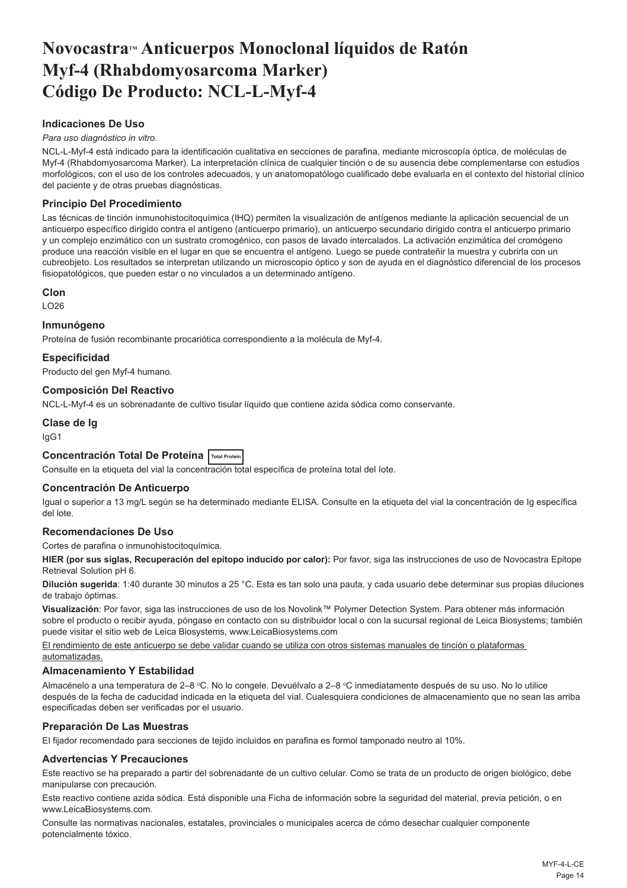## <span id="page-14-0"></span>**NovocastraTM Anticuerpos Monoclonal líquidos de Ratón Myf-4 (Rhabdomyosarcoma Marker) Código De Producto: NCL-L-Myf-4**

## **Indicaciones De Uso**

#### *Para uso diagnóstico in vitro*.

NCL-L-Myf-4 está indicado para la identificación cualitativa en secciones de parafina, mediante microscopía óptica, de moléculas de Myf-4 (Rhabdomyosarcoma Marker). La interpretación clínica de cualquier tinción o de su ausencia debe complementarse con estudios morfológicos, con el uso de los controles adecuados, y un anatomopatólogo cualificado debe evaluarla en el contexto del historial clínico del paciente y de otras pruebas diagnósticas.

#### **Principio Del Procedimiento**

Las técnicas de tinción inmunohistocitoquímica (IHQ) permiten la visualización de antígenos mediante la aplicación secuencial de un anticuerpo específico dirigido contra el antígeno (anticuerpo primario), un anticuerpo secundario dirigido contra el anticuerpo primario y un complejo enzimático con un sustrato cromogénico, con pasos de lavado intercalados. La activación enzimática del cromógeno produce una reacción visible en el lugar en que se encuentra el antígeno. Luego se puede contrateñir la muestra y cubrirla con un cubreobjeto. Los resultados se interpretan utilizando un microscopio óptico y son de ayuda en el diagnóstico diferencial de los procesos fisiopatológicos, que pueden estar o no vinculados a un determinado antígeno.

#### **Clon**

 $LO26$ 

#### **Inmunógeno**

Proteína de fusión recombinante procariótica correspondiente a la molécula de Myf-4.

#### **Especificidad**

Producto del gen Myf-4 humano.

#### **Composición Del Reactivo**

NCL-L-Myf-4 es un sobrenadante de cultivo tisular líquido que contiene azida sódica como conservante.

## **Clase de Ig**

IgG1

## **Concentración Total De Proteína Total Protein**

Consulte en la etiqueta del vial la concentración total específica de proteína total del Iote.

#### **Concentración De Anticuerpo**

Igual o superior a 13 mg/L según se ha determinado mediante ELISA. Consulte en la etiqueta del vial la concentración de Ig específica del lote.

#### **Recomendaciones De Uso**

Cortes de parafina o inmunohistocitoquímica.

**HIER (por sus siglas, Recuperación del epítopo inducido por calor):** Por favor, siga las instrucciones de uso de Novocastra Epitope Retrieval Solution pH 6.

**Dilución sugerida**: 1:40 durante 30 minutos a 25 °C. Esta es tan solo una pauta, y cada usuario debe determinar sus propias diluciones de trabajo óptimas.

**Visualización**: Por favor, siga las instrucciones de uso de los Novolink™ Polymer Detection System. Para obtener más información sobre el producto o recibir ayuda, póngase en contacto con su distribuidor local o con la sucursal regional de Leica Biosystems; también puede visitar el sitio web de Leica Biosystems, www.LeicaBiosystems.com

El rendimiento de este anticuerpo se debe validar cuando se utiliza con otros sistemas manuales de tinción o plataformas automatizadas.

#### **Almacenamiento Y Estabilidad**

Almacénelo a una temperatura de 2–8 °C. No lo congele. Devuélvalo a 2–8 °C inmediatamente después de su uso. No lo utilice después de la fecha de caducidad indicada en la etiqueta del vial. Cualesquiera condiciones de almacenamiento que no sean las arriba especificadas deben ser verificadas por el usuario.

#### **Preparación De Las Muestras**

El fijador recomendado para secciones de tejido incluidos en parafina es formol tamponado neutro al 10%.

#### **Advertencias Y Precauciones**

Este reactivo se ha preparado a partir del sobrenadante de un cultivo celular. Como se trata de un producto de origen biológico, debe manipularse con precaución.

Este reactivo contiene azida sódica. Está disponible una Ficha de información sobre la seguridad del material, previa petición, o en www.LeicaBiosystems.com.

Consulte las normativas nacionales, estatales, provinciales o municipales acerca de cómo desechar cualquier componente potencialmente tóxico.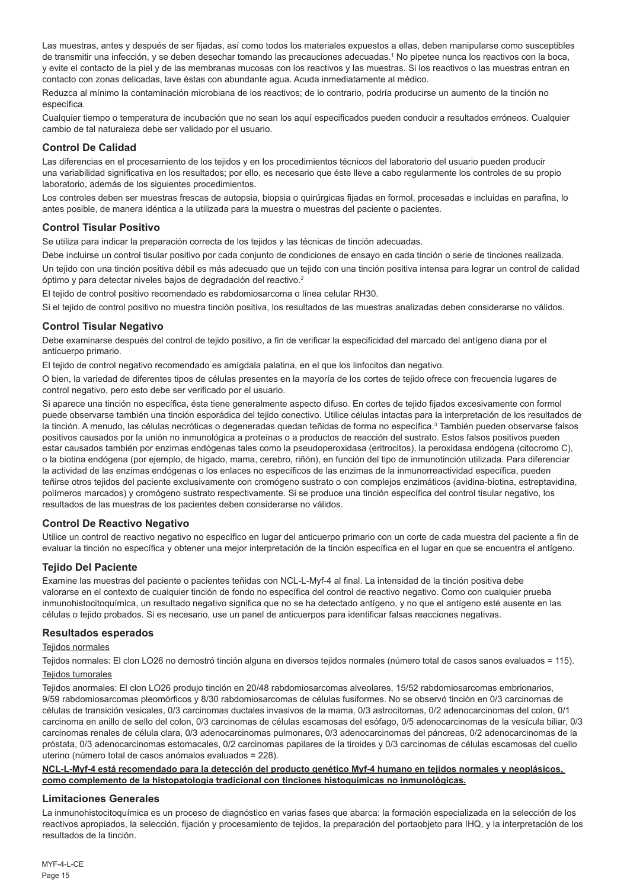Las muestras, antes y después de ser fijadas, así como todos los materiales expuestos a ellas, deben manipularse como susceptibles de transmitir una infección, y se deben desechar tomando las precauciones adecuadas.<sup>1</sup> No pipetee nunca los reactivos con la boca, y evite el contacto de la piel y de las membranas mucosas con los reactivos y las muestras. Si los reactivos o las muestras entran en contacto con zonas delicadas, lave éstas con abundante agua. Acuda inmediatamente al médico.

Reduzca al mínimo la contaminación microbiana de los reactivos; de lo contrario, podría producirse un aumento de la tinción no específica.

Cualquier tiempo o temperatura de incubación que no sean los aquí especificados pueden conducir a resultados erróneos. Cualquier cambio de tal naturaleza debe ser validado por el usuario.

#### **Control De Calidad**

Las diferencias en el procesamiento de los tejidos y en los procedimientos técnicos del laboratorio del usuario pueden producir una variabilidad significativa en los resultados; por ello, es necesario que éste lleve a cabo regularmente los controles de su propio laboratorio, además de los siguientes procedimientos.

Los controles deben ser muestras frescas de autopsia, biopsia o quirúrgicas fijadas en formol, procesadas e incluidas en parafina, lo antes posible, de manera idéntica a la utilizada para la muestra o muestras del paciente o pacientes.

#### **Control Tisular Positivo**

Se utiliza para indicar la preparación correcta de los tejidos y las técnicas de tinción adecuadas.

Debe incluirse un control tisular positivo por cada conjunto de condiciones de ensayo en cada tinción o serie de tinciones realizada. Un tejido con una tinción positiva débil es más adecuado que un tejido con una tinción positiva intensa para lograr un control de calidad óptimo y para detectar niveles bajos de degradación del reactivo.<sup>2</sup>

El tejido de control positivo recomendado es rabdomiosarcoma o línea celular RH30.

Si el tejido de control positivo no muestra tinción positiva, los resultados de las muestras analizadas deben considerarse no válidos.

#### **Control Tisular Negativo**

Debe examinarse después del control de tejido positivo, a fin de verificar la especificidad del marcado del antígeno diana por el anticuerpo primario.

El tejido de control negativo recomendado es amígdala palatina, en el que los linfocitos dan negativo.

O bien, la variedad de diferentes tipos de células presentes en la mayoría de los cortes de tejido ofrece con frecuencia lugares de control negativo, pero esto debe ser verificado por el usuario.

Si aparece una tinción no específica, ésta tiene generalmente aspecto difuso. En cortes de tejido fijados excesivamente con formol puede observarse también una tinción esporádica del tejido conectivo. Utilice células intactas para la interpretación de los resultados de la tinción. A menudo, las células necróticas o degeneradas quedan teñidas de forma no específica.<sup>3</sup> También pueden observarse falsos positivos causados por la unión no inmunológica a proteínas o a productos de reacción del sustrato. Estos falsos positivos pueden estar causados también por enzimas endógenas tales como la pseudoperoxidasa (eritrocitos), la peroxidasa endógena (citocromo C), o la biotina endógena (por ejemplo, de hígado, mama, cerebro, riñón), en función del tipo de inmunotinción utilizada. Para diferenciar la actividad de las enzimas endógenas o los enlaces no específicos de las enzimas de la inmunorreactividad específica, pueden teñirse otros tejidos del paciente exclusivamente con cromógeno sustrato o con complejos enzimáticos (avidina-biotina, estreptavidina, polímeros marcados) y cromógeno sustrato respectivamente. Si se produce una tinción específica del control tisular negativo, los resultados de las muestras de los pacientes deben considerarse no válidos.

#### **Control De Reactivo Negativo**

Utilice un control de reactivo negativo no específico en lugar del anticuerpo primario con un corte de cada muestra del paciente a fin de evaluar la tinción no específica y obtener una mejor interpretación de la tinción específica en el lugar en que se encuentra el antígeno.

#### **Tejido Del Paciente**

Examine las muestras del paciente o pacientes teñidas con NCL-L-Myf-4 al final. La intensidad de la tinción positiva debe valorarse en el contexto de cualquier tinción de fondo no específica del control de reactivo negativo. Como con cualquier prueba inmunohistocitoquímica, un resultado negativo significa que no se ha detectado antígeno, y no que el antígeno esté ausente en las células o tejido probados. Si es necesario, use un panel de anticuerpos para identificar falsas reacciones negativas.

#### **Resultados esperados**

#### Teiidos normales

Tejidos normales: El clon LO26 no demostró tinción alguna en diversos tejidos normales (número total de casos sanos evaluados = 115).

#### Tejidos tumorales

Tejidos anormales: El clon LO26 produjo tinción en 20/48 rabdomiosarcomas alveolares, 15/52 rabdomiosarcomas embrionarios, 9/59 rabdomiosarcomas pleomórficos y 8/30 rabdomiosarcomas de células fusiformes. No se observó tinción en 0/3 carcinomas de células de transición vesicales, 0/3 carcinomas ductales invasivos de la mama, 0/3 astrocitomas, 0/2 adenocarcinomas del colon, 0/1 carcinoma en anillo de sello del colon, 0/3 carcinomas de células escamosas del esófago, 0/5 adenocarcinomas de la vesícula biliar, 0/3 carcinomas renales de célula clara, 0/3 adenocarcinomas pulmonares, 0/3 adenocarcinomas del páncreas, 0/2 adenocarcinomas de la próstata, 0/3 adenocarcinomas estomacales, 0/2 carcinomas papilares de la tiroides y 0/3 carcinomas de células escamosas del cuello uterino (número total de casos anómalos evaluados = 228).

#### **NCL-L-Myf-4 está recomendado para la detección del producto genético Myf-4 humano en tejidos normales y neoplásicos, como complemento de la histopatología tradicional con tinciones histoquímicas no inmunológicas.**

#### **Limitaciones Generales**

La inmunohistocitoquímica es un proceso de diagnóstico en varias fases que abarca: la formación especializada en la selección de los reactivos apropiados, la selección, fijación y procesamiento de tejidos, la preparación del portaobjeto para IHQ, y la interpretación de los resultados de la tinción.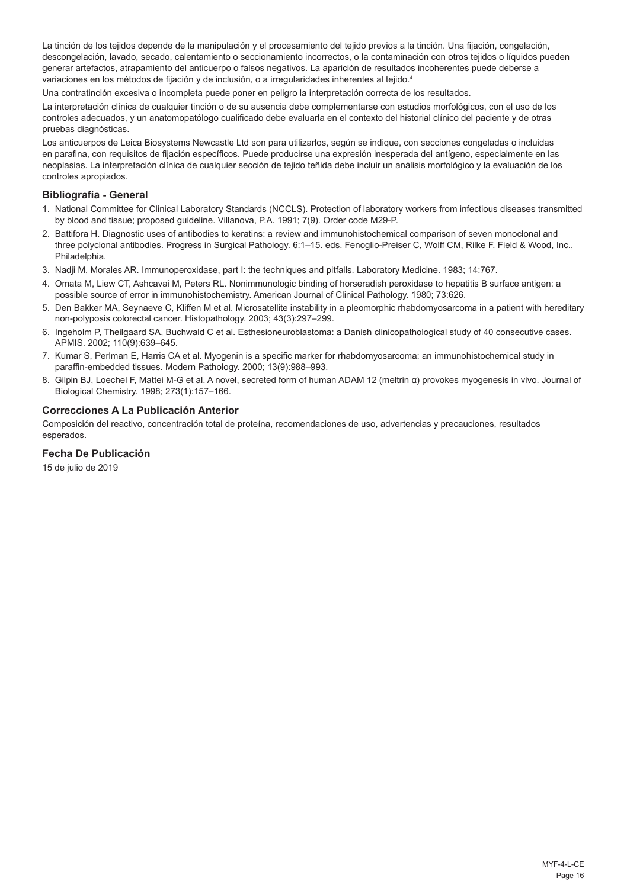La tinción de los tejidos depende de la manipulación y el procesamiento del tejido previos a la tinción. Una fijación, congelación, descongelación, lavado, secado, calentamiento o seccionamiento incorrectos, o la contaminación con otros tejidos o líquidos pueden generar artefactos, atrapamiento del anticuerpo o falsos negativos. La aparición de resultados incoherentes puede deberse a variaciones en los métodos de fijación y de inclusión, o a irregularidades inherentes al tejido.<sup>4</sup>

Una contratinción excesiva o incompleta puede poner en peligro la interpretación correcta de los resultados.

La interpretación clínica de cualquier tinción o de su ausencia debe complementarse con estudios morfológicos, con el uso de los controles adecuados, y un anatomopatólogo cualificado debe evaluarla en el contexto del historial clínico del paciente y de otras pruebas diagnósticas.

Los anticuerpos de Leica Biosystems Newcastle Ltd son para utilizarlos, según se indique, con secciones congeladas o incluidas en parafina, con requisitos de fijación específicos. Puede producirse una expresión inesperada del antígeno, especialmente en las neoplasias. La interpretación clínica de cualquier sección de tejido teñida debe incluir un análisis morfológico y la evaluación de los controles apropiados.

#### **Bibliografía - General**

- 1. National Committee for Clinical Laboratory Standards (NCCLS). Protection of laboratory workers from infectious diseases transmitted by blood and tissue; proposed guideline. Villanova, P.A. 1991; 7(9). Order code M29-P.
- 2. Battifora H. Diagnostic uses of antibodies to keratins: a review and immunohistochemical comparison of seven monoclonal and three polyclonal antibodies. Progress in Surgical Pathology. 6:1–15. eds. Fenoglio-Preiser C, Wolff CM, Rilke F. Field & Wood, Inc., Philadelphia.
- 3. Nadji M, Morales AR. Immunoperoxidase, part I: the techniques and pitfalls. Laboratory Medicine. 1983; 14:767.
- 4. Omata M, Liew CT, Ashcavai M, Peters RL. Nonimmunologic binding of horseradish peroxidase to hepatitis B surface antigen: a possible source of error in immunohistochemistry. American Journal of Clinical Pathology. 1980; 73:626.
- 5. Den Bakker MA, Seynaeve C, Kliffen M et al. Microsatellite instability in a pleomorphic rhabdomyosarcoma in a patient with hereditary non-polyposis colorectal cancer. Histopathology. 2003; 43(3):297–299.
- 6. Ingeholm P, Theilgaard SA, Buchwald C et al. Esthesioneuroblastoma: a Danish clinicopathological study of 40 consecutive cases. APMIS. 2002; 110(9):639–645.
- 7. Kumar S, Perlman E, Harris CA et al. Myogenin is a specific marker for rhabdomyosarcoma: an immunohistochemical study in paraffin-embedded tissues. Modern Pathology. 2000; 13(9):988–993.
- 8. Gilpin BJ, Loechel F, Mattei M-G et al. A novel, secreted form of human ADAM 12 (meltrin α) provokes myogenesis in vivo. Journal of Biological Chemistry. 1998; 273(1):157–166.

#### **Correcciones A La Publicación Anterior**

Composición del reactivo, concentración total de proteína, recomendaciones de uso, advertencias y precauciones, resultados esperados.

### **Fecha De Publicación**

15 de julio de 2019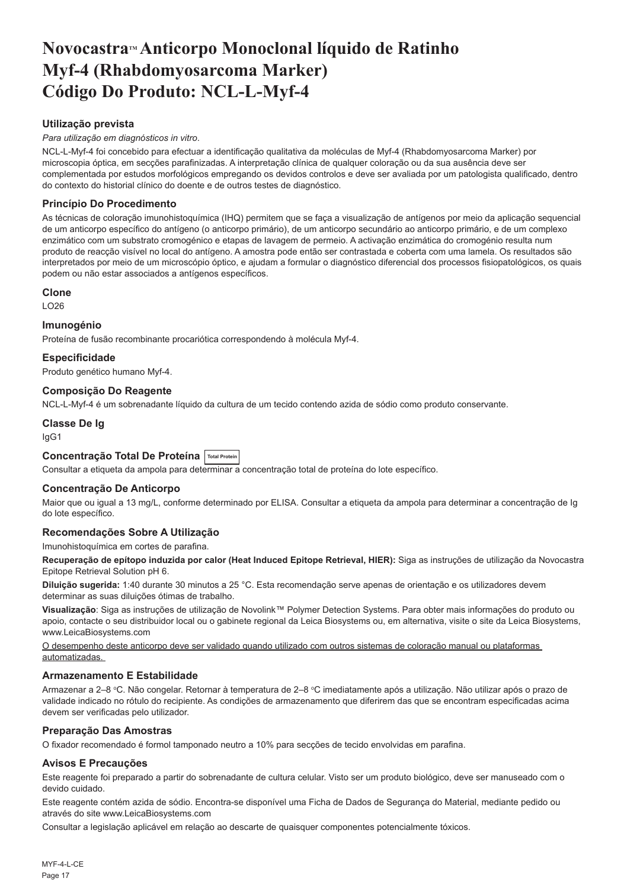## <span id="page-17-0"></span>**NovocastraTM Anticorpo Monoclonal líquido de Ratinho Myf-4 (Rhabdomyosarcoma Marker) Código Do Produto: NCL-L-Myf-4**

## **Utilização prevista**

#### *Para utilização em diagnósticos in vitro*.

NCL-L-Myf-4 foi concebido para efectuar a identificação qualitativa da moléculas de Myf-4 (Rhabdomyosarcoma Marker) por microscopia óptica, em secções parafinizadas. A interpretação clínica de qualquer coloração ou da sua ausência deve ser complementada por estudos morfológicos empregando os devidos controlos e deve ser avaliada por um patologista qualificado, dentro do contexto do historial clínico do doente e de outros testes de diagnóstico.

### **Princípio Do Procedimento**

As técnicas de coloração imunohistoquímica (IHQ) permitem que se faça a visualização de antígenos por meio da aplicação sequencial de um anticorpo específico do antígeno (o anticorpo primário), de um anticorpo secundário ao anticorpo primário, e de um complexo enzimático com um substrato cromogénico e etapas de lavagem de permeio. A activação enzimática do cromogénio resulta num produto de reacção visível no local do antígeno. A amostra pode então ser contrastada e coberta com uma lamela. Os resultados são interpretados por meio de um microscópio óptico, e ajudam a formular o diagnóstico diferencial dos processos fisiopatológicos, os quais podem ou não estar associados a antígenos específicos.

#### **Clone**

LO26

#### **Imunogénio**

Proteína de fusão recombinante procariótica correspondendo à molécula Myf-4.

#### **Especificidade**

Produto genético humano Myf-4.

#### **Composição Do Reagente**

NCL-L-Myf-4 é um sobrenadante líquido da cultura de um tecido contendo azida de sódio como produto conservante.

## **Classe De Ig**

IgG1

## **Concentração Total De Proteína Total Protein**

Consultar a etiqueta da ampola para determinar a concentração total de proteína do lote específico.

#### **Concentração De Anticorpo**

Maior que ou igual a 13 mg/L, conforme determinado por ELISA. Consultar a etiqueta da ampola para determinar a concentração de Ig do lote específico.

#### **Recomendações Sobre A Utilização**

Imunohistoquímica em cortes de parafina.

**Recuperação de epítopo induzida por calor (Heat Induced Epitope Retrieval, HIER):** Siga as instruções de utilização da Novocastra Epitope Retrieval Solution pH 6.

**Diluição sugerida:** 1:40 durante 30 minutos a 25 °C. Esta recomendação serve apenas de orientação e os utilizadores devem determinar as suas diluições ótimas de trabalho.

**Visualização**: Siga as instruções de utilização de Novolink™ Polymer Detection Systems. Para obter mais informações do produto ou apoio, contacte o seu distribuidor local ou o gabinete regional da Leica Biosystems ou, em alternativa, visite o site da Leica Biosystems, www.LeicaBiosystems.com

O desempenho deste anticorpo deve ser validado quando utilizado com outros sistemas de coloração manual ou plataformas automatizadas.

#### **Armazenamento E Estabilidade**

Armazenar a 2–8 °C. Não congelar. Retornar à temperatura de 2–8 °C imediatamente após a utilização. Não utilizar após o prazo de validade indicado no rótulo do recipiente. As condições de armazenamento que diferirem das que se encontram especificadas acima devem ser verificadas pelo utilizador.

#### **Preparação Das Amostras**

O fixador recomendado é formol tamponado neutro a 10% para secções de tecido envolvidas em parafina.

## **Avisos E Precauções**

Este reagente foi preparado a partir do sobrenadante de cultura celular. Visto ser um produto biológico, deve ser manuseado com o devido cuidado.

Este reagente contém azida de sódio. Encontra-se disponível uma Ficha de Dados de Segurança do Material, mediante pedido ou através do site www.LeicaBiosystems.com

Consultar a legislação aplicável em relação ao descarte de quaisquer componentes potencialmente tóxicos.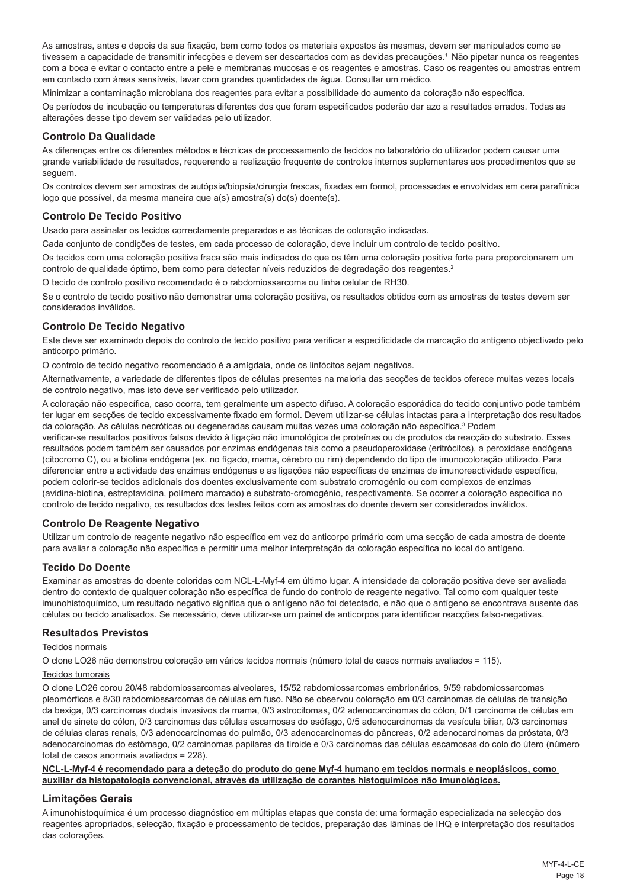As amostras, antes e depois da sua fixação, bem como todos os materiais expostos às mesmas, devem ser manipulados como se tivessem a capacidade de transmitir infecções e devem ser descartados com as devidas precauções.<sup>1</sup> Não pipetar nunca os reagentes com a boca e evitar o contacto entre a pele e membranas mucosas e os reagentes e amostras. Caso os reagentes ou amostras entrem em contacto com áreas sensíveis, lavar com grandes quantidades de água. Consultar um médico.

Minimizar a contaminação microbiana dos reagentes para evitar a possibilidade do aumento da coloração não específica.

Os períodos de incubação ou temperaturas diferentes dos que foram especificados poderão dar azo a resultados errados. Todas as alterações desse tipo devem ser validadas pelo utilizador.

#### **Controlo Da Qualidade**

As diferenças entre os diferentes métodos e técnicas de processamento de tecidos no laboratório do utilizador podem causar uma grande variabilidade de resultados, requerendo a realização frequente de controlos internos suplementares aos procedimentos que se seguem.

Os controlos devem ser amostras de autópsia/biopsia/cirurgia frescas, fixadas em formol, processadas e envolvidas em cera parafínica logo que possível, da mesma maneira que a(s) amostra(s) do(s) doente(s).

#### **Controlo De Tecido Positivo**

Usado para assinalar os tecidos correctamente preparados e as técnicas de coloração indicadas.

Cada conjunto de condições de testes, em cada processo de coloração, deve incluir um controlo de tecido positivo.

Os tecidos com uma coloração positiva fraca são mais indicados do que os têm uma coloração positiva forte para proporcionarem um controlo de qualidade óptimo, bem como para detectar níveis reduzidos de degradação dos reagentes.<sup>2</sup>

O tecido de controlo positivo recomendado é o rabdomiossarcoma ou linha celular de RH30.

Se o controlo de tecido positivo não demonstrar uma coloração positiva, os resultados obtidos com as amostras de testes devem ser considerados inválidos.

### **Controlo De Tecido Negativo**

Este deve ser examinado depois do controlo de tecido positivo para verificar a especificidade da marcação do antígeno objectivado pelo anticorpo primário.

O controlo de tecido negativo recomendado é a amígdala, onde os linfócitos sejam negativos.

Alternativamente, a variedade de diferentes tipos de células presentes na maioria das secções de tecidos oferece muitas vezes locais de controlo negativo, mas isto deve ser verificado pelo utilizador.

A coloração não específica, caso ocorra, tem geralmente um aspecto difuso. A coloração esporádica do tecido conjuntivo pode também ter lugar em secções de tecido excessivamente fixado em formol. Devem utilizar-se células intactas para a interpretação dos resultados da coloração. As células necróticas ou degeneradas causam muitas vezes uma coloração não específica.<sup>3</sup> Podem

verificar-se resultados positivos falsos devido à ligação não imunológica de proteínas ou de produtos da reacção do substrato. Esses resultados podem também ser causados por enzimas endógenas tais como a pseudoperoxidase (eritrócitos), a peroxidase endógena (citocromo C), ou a biotina endógena (ex. no fígado, mama, cérebro ou rim) dependendo do tipo de imunocoloração utilizado. Para diferenciar entre a actividade das enzimas endógenas e as ligações não específicas de enzimas de imunoreactividade específica, podem colorir-se tecidos adicionais dos doentes exclusivamente com substrato cromogénio ou com complexos de enzimas (avidina-biotina, estreptavidina, polímero marcado) e substrato-cromogénio, respectivamente. Se ocorrer a coloração específica no controlo de tecido negativo, os resultados dos testes feitos com as amostras do doente devem ser considerados inválidos.

#### **Controlo De Reagente Negativo**

Utilizar um controlo de reagente negativo não específico em vez do anticorpo primário com uma secção de cada amostra de doente para avaliar a coloração não específica e permitir uma melhor interpretação da coloração específica no local do antígeno.

## **Tecido Do Doente**

Examinar as amostras do doente coloridas com NCL-L-Myf-4 em último lugar. A intensidade da coloração positiva deve ser avaliada dentro do contexto de qualquer coloração não específica de fundo do controlo de reagente negativo. Tal como com qualquer teste imunohistoquímico, um resultado negativo significa que o antígeno não foi detectado, e não que o antígeno se encontrava ausente das células ou tecido analisados. Se necessário, deve utilizar-se um painel de anticorpos para identificar reacções falso-negativas.

#### **Resultados Previstos**

#### Tecidos normais

O clone LO26 não demonstrou coloração em vários tecidos normais (número total de casos normais avaliados = 115).

#### Tecidos tumorais

O clone LO26 corou 20/48 rabdomiossarcomas alveolares, 15/52 rabdomiossarcomas embrionários, 9/59 rabdomiossarcomas pleomórficos e 8/30 rabdomiossarcomas de células em fuso. Não se observou coloração em 0/3 carcinomas de células de transição da bexiga, 0/3 carcinomas ductais invasivos da mama, 0/3 astrocitomas, 0/2 adenocarcinomas do cólon, 0/1 carcinoma de células em anel de sinete do cólon, 0/3 carcinomas das células escamosas do esófago, 0/5 adenocarcinomas da vesícula biliar, 0/3 carcinomas de células claras renais, 0/3 adenocarcinomas do pulmão, 0/3 adenocarcinomas do pâncreas, 0/2 adenocarcinomas da próstata, 0/3 adenocarcinomas do estômago, 0/2 carcinomas papilares da tiroide e 0/3 carcinomas das células escamosas do colo do útero (número total de casos anormais avaliados = 228).

#### **NCL-L-Myf-4 é recomendado para a deteção do produto do gene Myf-4 humano em tecidos normais e neoplásicos, como auxiliar da histopatologia convencional, através da utilização de corantes histoquímicos não imunológicos.**

## **Limitações Gerais**

A imunohistoquímica é um processo diagnóstico em múltiplas etapas que consta de: uma formação especializada na selecção dos reagentes apropriados, selecção, fixação e processamento de tecidos, preparação das lâminas de IHQ e interpretação dos resultados das colorações.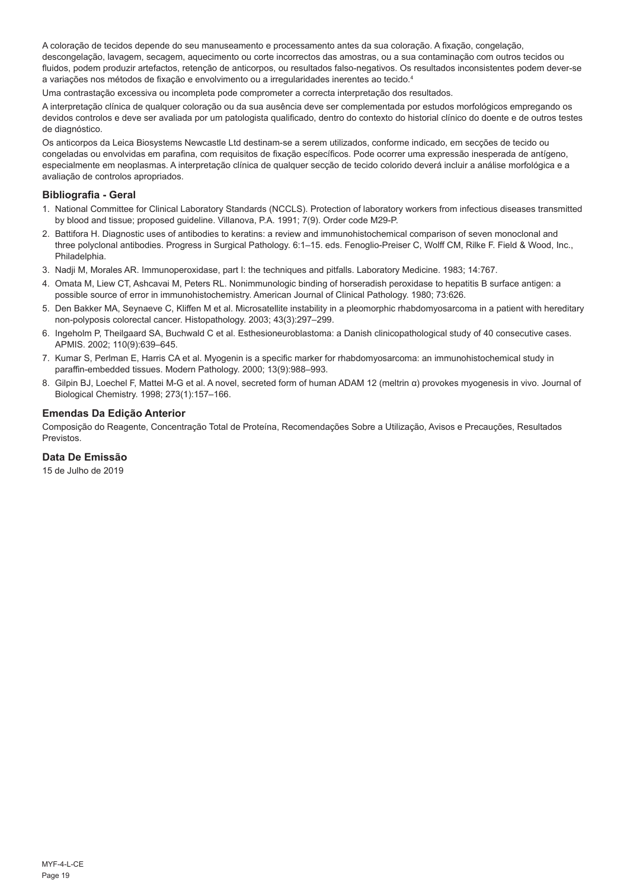A coloração de tecidos depende do seu manuseamento e processamento antes da sua coloração. A fixação, congelação, descongelação, lavagem, secagem, aquecimento ou corte incorrectos das amostras, ou a sua contaminação com outros tecidos ou fluidos, podem produzir artefactos, retenção de anticorpos, ou resultados falso-negativos. Os resultados inconsistentes podem dever-se a variações nos métodos de fixação e envolvimento ou a irregularidades inerentes ao tecido.<sup>4</sup>

Uma contrastação excessiva ou incompleta pode comprometer a correcta interpretação dos resultados.

A interpretação clínica de qualquer coloração ou da sua ausência deve ser complementada por estudos morfológicos empregando os devidos controlos e deve ser avaliada por um patologista qualificado, dentro do contexto do historial clínico do doente e de outros testes de diagnóstico.

Os anticorpos da Leica Biosystems Newcastle Ltd destinam-se a serem utilizados, conforme indicado, em secções de tecido ou congeladas ou envolvidas em parafina, com requisitos de fixação específicos. Pode ocorrer uma expressão inesperada de antígeno, especialmente em neoplasmas. A interpretação clínica de qualquer secção de tecido colorido deverá incluir a análise morfológica e a avaliação de controlos apropriados.

#### **Bibliografia - Geral**

- 1. National Committee for Clinical Laboratory Standards (NCCLS). Protection of laboratory workers from infectious diseases transmitted by blood and tissue; proposed guideline. Villanova, P.A. 1991; 7(9). Order code M29-P.
- 2. Battifora H. Diagnostic uses of antibodies to keratins: a review and immunohistochemical comparison of seven monoclonal and three polyclonal antibodies. Progress in Surgical Pathology. 6:1–15. eds. Fenoglio-Preiser C, Wolff CM, Rilke F. Field & Wood, Inc., Philadelphia.
- 3. Nadji M, Morales AR. Immunoperoxidase, part I: the techniques and pitfalls. Laboratory Medicine. 1983; 14:767.
- 4. Omata M, Liew CT, Ashcavai M, Peters RL. Nonimmunologic binding of horseradish peroxidase to hepatitis B surface antigen: a possible source of error in immunohistochemistry. American Journal of Clinical Pathology. 1980; 73:626.
- 5. Den Bakker MA, Seynaeve C, Kliffen M et al. Microsatellite instability in a pleomorphic rhabdomyosarcoma in a patient with hereditary non-polyposis colorectal cancer. Histopathology. 2003; 43(3):297–299.
- 6. Ingeholm P, Theilgaard SA, Buchwald C et al. Esthesioneuroblastoma: a Danish clinicopathological study of 40 consecutive cases. APMIS. 2002; 110(9):639–645.
- 7. Kumar S, Perlman E, Harris CA et al. Myogenin is a specific marker for rhabdomyosarcoma: an immunohistochemical study in paraffin-embedded tissues. Modern Pathology. 2000; 13(9):988–993.
- 8. Gilpin BJ, Loechel F, Mattei M-G et al. A novel, secreted form of human ADAM 12 (meltrin α) provokes myogenesis in vivo. Journal of Biological Chemistry. 1998; 273(1):157–166.

#### **Emendas Da Edição Anterior**

Composição do Reagente, Concentração Total de Proteína, Recomendações Sobre a Utilização, Avisos e Precauções, Resultados Previstos.

## **Data De Emissão**

15 de Julho de 2019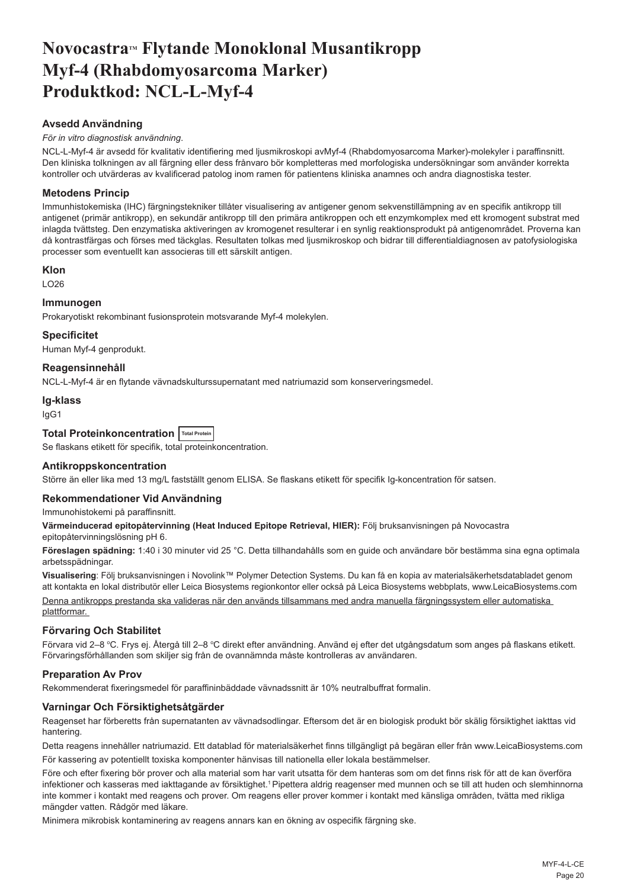## <span id="page-20-0"></span>Novocastra™ Flytande Monoklonal Musantikropp **Myf-4 (Rhabdomyosarcoma Marker) Produktkod: NCL-L-Myf-4**

## **Avsedd Användning**

#### *För in vitro diagnostisk användning*.

NCL-L-Myf-4 är avsedd för kvalitativ identifiering med ljusmikroskopi avMyf-4 (Rhabdomyosarcoma Marker)-molekyler i paraffinsnitt. Den kliniska tolkningen av all färgning eller dess frånvaro bör kompletteras med morfologiska undersökningar som använder korrekta kontroller och utvärderas av kvalificerad patolog inom ramen för patientens kliniska anamnes och andra diagnostiska tester.

### **Metodens Princip**

Immunhistokemiska (IHC) färgningstekniker tillåter visualisering av antigener genom sekvenstillämpning av en specifik antikropp till antigenet (primär antikropp), en sekundär antikropp till den primära antikroppen och ett enzymkomplex med ett kromogent substrat med inlagda tvättsteg. Den enzymatiska aktiveringen av kromogenet resulterar i en synlig reaktionsprodukt på antigenområdet. Proverna kan då kontrastfärgas och förses med täckglas. Resultaten tolkas med ljusmikroskop och bidrar till differentialdiagnosen av patofysiologiska processer som eventuellt kan associeras till ett särskilt antigen.

#### **Klon**

LO26

### **Immunogen**

Prokaryotiskt rekombinant fusionsprotein motsvarande Myf-4 molekylen.

### **Specificitet**

Human Myf-4 genprodukt.

### **Reagensinnehåll**

NCL-L-Myf-4 är en flytande vävnadskulturssupernatant med natriumazid som konserveringsmedel.

#### **Ig-klass**

IgG1

## **Total Proteinkoncentration Total Protein**

Se flaskans etikett för specifik, total proteinkoncentration.

#### **Antikroppskoncentration**

Större än eller lika med 13 mg/L fastställt genom ELISA. Se flaskans etikett för specifik Ig-koncentration för satsen.

#### **Rekommendationer Vid Användning**

Immunohistokemi på paraffinsnitt.

**Värmeinducerad epitopåtervinning (Heat Induced Epitope Retrieval, HIER):** Följ bruksanvisningen på Novocastra epitopåtervinningslösning pH 6.

**Föreslagen spädning:** 1:40 i 30 minuter vid 25 °C. Detta tillhandahålls som en guide och användare bör bestämma sina egna optimala arbetsspädningar.

**Visualisering**: Följ bruksanvisningen i Novolink™ Polymer Detection Systems. Du kan få en kopia av materialsäkerhetsdatabladet genom att kontakta en lokal distributör eller Leica Biosystems regionkontor eller också på Leica Biosystems webbplats, www.LeicaBiosystems.com Denna antikropps prestanda ska valideras när den används tillsammans med andra manuella färgningssystem eller automatiska plattformar.

#### **Förvaring Och Stabilitet**

Förvara vid 2–8 °C. Frys ej. Atergå till 2–8 °C direkt efter användning. Använd ej efter det utgångsdatum som anges på flaskans etikett. Förvaringsförhållanden som skiljer sig från de ovannämnda måste kontrolleras av användaren.

#### **Preparation Av Prov**

Rekommenderat fixeringsmedel för paraffininbäddade vävnadssnitt är 10% neutralbuffrat formalin.

#### **Varningar Och Försiktighetsåtgärder**

Reagenset har förberetts från supernatanten av vävnadsodlingar. Eftersom det är en biologisk produkt bör skälig försiktighet iakttas vid hantering.

Detta reagens innehåller natriumazid. Ett datablad för materialsäkerhet finns tillgängligt på begäran eller från www.LeicaBiosystems.com För kassering av potentiellt toxiska komponenter hänvisas till nationella eller lokala bestämmelser.

Före och efter fixering bör prover och alla material som har varit utsatta för dem hanteras som om det finns risk för att de kan överföra infektioner och kasseras med iakttagande av försiktighet.<sup>1</sup> Pipettera aldrig reagenser med munnen och se till att huden och slemhinnorna inte kommer i kontakt med reagens och prover. Om reagens eller prover kommer i kontakt med känsliga områden, tvätta med rikliga mängder vatten. Rådgör med läkare.

Minimera mikrobisk kontaminering av reagens annars kan en ökning av ospecifik färgning ske.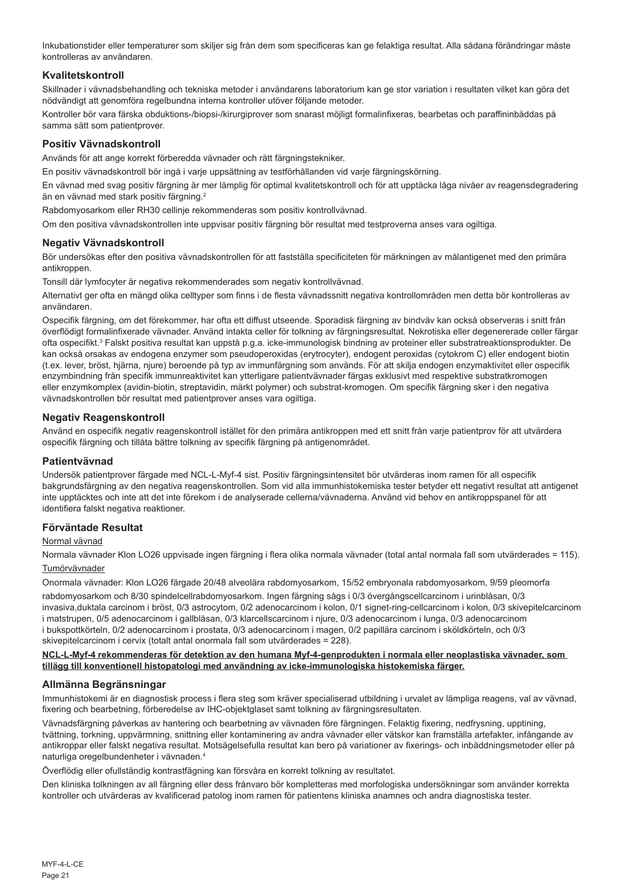Inkubationstider eller temperaturer som skiljer sig från dem som specificeras kan ge felaktiga resultat. Alla sådana förändringar måste kontrolleras av användaren.

### **Kvalitetskontroll**

Skillnader i vävnadsbehandling och tekniska metoder i användarens laboratorium kan ge stor variation i resultaten vilket kan göra det nödvändigt att genomföra regelbundna interna kontroller utöver följande metoder.

Kontroller bör vara färska obduktions-/biopsi-/kirurgiprover som snarast möjligt formalinfixeras, bearbetas och paraffininbäddas på samma sätt som patientprover.

### **Positiv Vävnadskontroll**

Används för att ange korrekt förberedda vävnader och rätt färgningstekniker.

En positiv vävnadskontroll bör ingå i varje uppsättning av testförhållanden vid varje färgningskörning.

En vävnad med svag positiv färgning är mer lämplig för optimal kvalitetskontroll och för att upptäcka låga nivåer av reagensdegradering än en vävnad med stark positiv färgning.<sup>2</sup>

Rabdomyosarkom eller RH30 cellinje rekommenderas som positiv kontrollvävnad.

Om den positiva vävnadskontrollen inte uppvisar positiv färgning bör resultat med testproverna anses vara ogiltiga.

#### **Negativ Vävnadskontroll**

Bör undersökas efter den positiva vävnadskontrollen för att fastställa specificiteten för märkningen av målantigenet med den primära antikroppen

Tonsill där lymfocyter är negativa rekommenderades som negativ kontrollvävnad.

Alternativt ger ofta en mängd olika celltyper som finns i de flesta vävnadssnitt negativa kontrollområden men detta bör kontrolleras av användaren.

Ospecifik färgning, om det förekommer, har ofta ett diffust utseende. Sporadisk färgning av bindväv kan också observeras i snitt från överflödigt formalinfixerade vävnader. Använd intakta celler för tolkning av färgningsresultat. Nekrotiska eller degenererade celler färgar ofta ospecifikt.<sup>s</sup> Falskt positiva resultat kan uppstå p.g.a. icke-immunologisk bindning av proteiner eller substratreaktionsprodukter. De kan också orsakas av endogena enzymer som pseudoperoxidas (erytrocyter), endogent peroxidas (cytokrom C) eller endogent biotin (t.ex. lever, bröst, hjärna, njure) beroende på typ av immunfärgning som används. För att skilja endogen enzymaktivitet eller ospecifik enzymbindning från specifik immunreaktivitet kan ytterligare patientvävnader färgas exklusivt med respektive substratkromogen eller enzymkomplex (avidin-biotin, streptavidin, märkt polymer) och substrat-kromogen. Om specifik färgning sker i den negativa vävnadskontrollen bör resultat med patientprover anses vara ogiltiga.

#### **Negativ Reagenskontroll**

Använd en ospecifik negativ reagenskontroll istället för den primära antikroppen med ett snitt från varje patientprov för att utvärdera ospecifik färgning och tillåta bättre tolkning av specifik färgning på antigenområdet.

#### **Patientvävnad**

Undersök patientprover färgade med NCL-L-Myf-4 sist. Positiv färgningsintensitet bör utvärderas inom ramen för all ospecifik bakgrundsfärgning av den negativa reagenskontrollen. Som vid alla immunhistokemiska tester betyder ett negativt resultat att antigenet inte upptäcktes och inte att det inte förekom i de analyserade cellerna/vävnaderna. Använd vid behov en antikroppspanel för att identifiera falskt negativa reaktioner.

#### **Förväntade Resultat**

#### Normal vävnad

Normala vävnader Klon LO26 uppvisade ingen färgning i flera olika normala vävnader (total antal normala fall som utvärderades = 115). Tumörvävnader

Onormala vävnader: Klon LO26 färgade 20/48 alveolära rabdomyosarkom, 15/52 embryonala rabdomyosarkom, 9/59 pleomorfa

rabdomyosarkom och 8/30 spindelcellrabdomyosarkom. Ingen färgning sågs i 0/3 övergångscellcarcinom i urinblåsan, 0/3 invasiva,duktala carcinom i bröst, 0/3 astrocytom, 0/2 adenocarcinom i kolon, 0/1 signet-ring-cellcarcinom i kolon, 0/3 skivepitelcarcinom i matstrupen, 0/5 adenocarcinom i gallblåsan, 0/3 klarcellscarcinom i njure, 0/3 adenocarcinom i lunga, 0/3 adenocarcinom i bukspottkörteln, 0/2 adenocarcinom i prostata, 0/3 adenocarcinom i magen, 0/2 papillära carcinom i sköldkörteln, och 0/3 skivepitelcarcinom i cervix (totalt antal onormala fall som utvärderades = 228).

#### **NCL-L-Myf-4 rekommenderas för detektion av den humana Myf-4-genprodukten i normala eller neoplastiska vävnader, som tillägg till konventionell histopatologi med användning av icke-immunologiska histokemiska färger.**

#### **Allmänna Begränsningar**

Immunhistokemi är en diagnostisk process i flera steg som kräver specialiserad utbildning i urvalet av lämpliga reagens, val av vävnad, fixering och bearbetning, förberedelse av IHC-objektglaset samt tolkning av färgningsresultaten.

Vävnadsfärgning påverkas av hantering och bearbetning av vävnaden före färgningen. Felaktig fixering, nedfrysning, upptining, tvättning, torkning, uppvärmning, snittning eller kontaminering av andra vävnader eller vätskor kan framställa artefakter, infångande av antikroppar eller falskt negativa resultat. Motsägelsefulla resultat kan bero på variationer av fixerings- och inbäddningsmetoder eller på naturliga oregelbundenheter i vävnaden.<sup>4</sup>

Överflödig eller ofullständig kontrastfägning kan försvåra en korrekt tolkning av resultatet.

Den kliniska tolkningen av all färgning eller dess frånvaro bör kompletteras med morfologiska undersökningar som använder korrekta kontroller och utvärderas av kvalificerad patolog inom ramen för patientens kliniska anamnes och andra diagnostiska tester.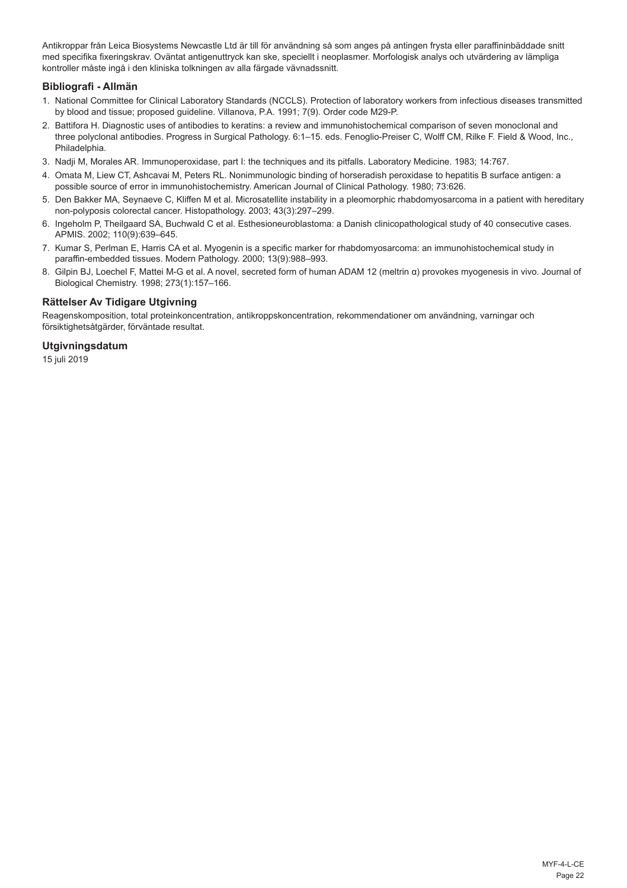Antikroppar från Leica Biosystems Newcastle Ltd är till för användning så som anges på antingen frysta eller paraffininbäddade snitt med specifika fixeringskrav. Oväntat antigenuttryck kan ske, speciellt i neoplasmer. Morfologisk analys och utvärdering av lämpliga kontroller måste ingå i den kliniska tolkningen av alla färgade vävnadssnitt.

#### **Bibliografi - Allmän**

- 1. National Committee for Clinical Laboratory Standards (NCCLS). Protection of laboratory workers from infectious diseases transmitted by blood and tissue; proposed guideline. Villanova, P.A. 1991; 7(9). Order code M29-P.
- 2. Battifora H. Diagnostic uses of antibodies to keratins: a review and immunohistochemical comparison of seven monoclonal and three polyclonal antibodies. Progress in Surgical Pathology. 6:1–15. eds. Fenoglio-Preiser C, Wolff CM, Rilke F. Field & Wood, Inc., Philadelphia.
- 3. Nadji M, Morales AR. Immunoperoxidase, part I: the techniques and its pitfalls. Laboratory Medicine. 1983; 14:767.
- 4. Omata M, Liew CT, Ashcavai M, Peters RL. Nonimmunologic binding of horseradish peroxidase to hepatitis B surface antigen: a possible source of error in immunohistochemistry. American Journal of Clinical Pathology. 1980; 73:626.
- 5. Den Bakker MA, Seynaeve C, Kliffen M et al. Microsatellite instability in a pleomorphic rhabdomyosarcoma in a patient with hereditary non-polyposis colorectal cancer. Histopathology. 2003; 43(3):297–299.
- 6. Ingeholm P, Theilgaard SA, Buchwald C et al. Esthesioneuroblastoma: a Danish clinicopathological study of 40 consecutive cases. APMIS. 2002; 110(9):639–645.
- 7. Kumar S, Perlman E, Harris CA et al. Myogenin is a specific marker for rhabdomyosarcoma: an immunohistochemical study in paraffin-embedded tissues. Modern Pathology. 2000; 13(9):988–993.
- 8. Gilpin BJ, Loechel F, Mattei M-G et al. A novel, secreted form of human ADAM 12 (meltrin α) provokes myogenesis in vivo. Journal of Biological Chemistry. 1998; 273(1):157–166.

## **Rättelser Av Tidigare Utgivning**

Reagenskomposition, total proteinkoncentration, antikroppskoncentration, rekommendationer om användning, varningar och försiktighetsåtgärder, förväntade resultat.

#### **Utgivningsdatum**

15 juli 2019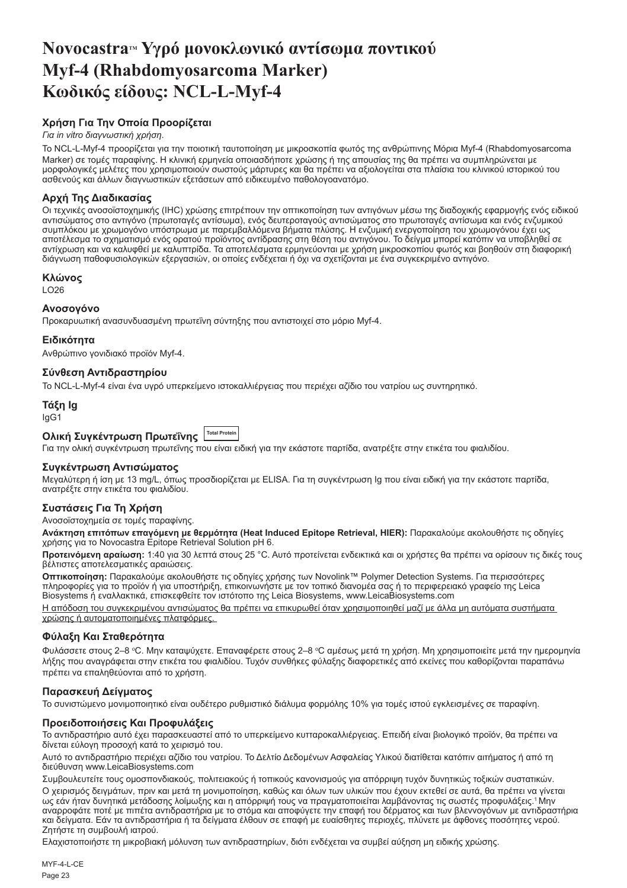## <span id="page-23-0"></span>**NovocastraTM Υγρό μονοκλωνικό αντίσωμα ποντικού Myf-4 (Rhabdomyosarcoma Marker) Κωδικός είδους: NCL-L-Myf-4**

## **Χρήση Για Την Οποία Προορίζεται**

### *Για in vitro διαγνωστική χρήση*.

Το NCL-L-Myf-4 προορίζεται για την ποιοτική ταυτοποίηση με μικροσκοπία φωτός της ανθρώπινης Μόρια Myf-4 (Rhabdomyosarcoma Marker) σε τομές παραφίνης. Η κλινική ερμηνεία οποιασδήποτε χρώσης ή της απουσίας της θα πρέπει να συμπληρώνεται με μορφολογικές μελέτες που χρησιμοποιούν σωστούς μάρτυρες και θα πρέπει να αξιολογείται στα πλαίσια του κλινικού ιστορικού του ασθενούς και άλλων διαγνωστικών εξετάσεων από ειδικευμένο παθολογοανατόμο.

## **Αρχή Της Διαδικασίας**

Οι τεχνικές ανοσοϊστοχημικής (IHC) χρώσης επιτρέπουν την οπτικοποίηση των αντιγόνων μέσω της διαδοχικής εφαρμογής ενός ειδικού αντισώματος στο αντιγόνο (πρωτοταγές αντίσωμα), ενός δευτεροταγούς αντισώματος στο πρωτοταγές αντίσωμα και ενός ενζυμικού συμπλόκου με χρωμογόνο υπόστρωμα με παρεμβαλλόμενα βήματα πλύσης. Η ενζυμική ενεργοποίηση του χρωμογόνου έχει ως αποτέλεσμα το σχηματισμό ενός ορατού προϊόντος αντίδρασης στη θέση του αντιγόνου. Το δείγμα μπορεί κατόπιν να υποβληθεί σε αντίχρωση και να καλυφθεί με καλυπτρίδα. Τα αποτελέσματα ερμηνεύονται με χρήση μικροσκοπίου φωτός και βοηθούν στη διαφορική διάγνωση παθοφυσιολογικών εξεργασιών, οι οποίες ενδέχεται ή όχι να σχετίζονται με ένα συγκεκριμένο αντιγόνο.

## **Κλώνος**

LO26

## **Ανοσογόνο**

Προκαρυωτική ανασυνδυασμένη πρωτεΐνη σύντηξης που αντιστοιχεί στο μόριο Myf-4.

## **Ειδικότητα**

Ανθρώπινο γονιδιακό προϊόν Myf-4.

## **Σύνθεση Αντιδραστηρίου**

Το NCL-L-Myf-4 είναι ένα υγρό υπερκείμενο ιστοκαλλιέργειας που περιέχει αζίδιο του νατρίου ως συντηρητικό.

**Τάξη Ig** IgG1

## **Ολική Συγκέντρωση Πρωτεΐνης Total Protein**

Για την ολική συγκέντρωση πρωτεΐνης που είναι ειδική για την εκάστοτε παρτίδα, ανατρέξτε στην ετικέτα του φιαλιδίου.

#### **Συγκέντρωση Αντισώματος**

Μεγαλύτερη ή ίση με 13 mg/L, όπως προσδιορίζεται με ELISA. Για τη συγκέντρωση Ig που είναι ειδική για την εκάστοτε παρτίδα, ανατρέξτε στην ετικέτα του φιαλιδίου.

## **Συστάσεις Για Τη Χρήση**

Ανοσοϊστοχημεία σε τομές παραφίνης.

**Ανάκτηση επιτόπων επαγόμενη με θερμότητα (Heat Induced Epitope Retrieval, HIER):** Παρακαλούμε ακολουθήστε τις οδηγίες χρήσης για το Novocastra Epitope Retrieval Solution pH 6.

**Προτεινόμενη αραίωση:** 1:40 για 30 λεπτά στους 25 °C. Αυτό προτείνεται ενδεικτικά και οι χρήστες θα πρέπει να ορίσουν τις δικές τους βέλτιστες αποτελεσματικές αραιώσεις.

**Οπτικοποίηση:** Παρακαλούμε ακολουθήστε τις οδηγίες χρήσης των Novolink™ Polymer Detection Systems. Για περισσότερες πληροφορίες για το προϊόν ή για υποστήριξη, επικοινωνήστε με τον τοπικό διανομέα σας ή το περιφερειακό γραφείο της Leica Biosystems ή εναλλακτικά, επισκεφθείτε τον ιστότοπο της Leica Biosystems, www.LeicaBiosystems.com

Η απόδοση του συγκεκριμένου αντισώματος θα πρέπει να επικυρωθεί όταν χρησιμοποιηθεί μαζί με άλλα μη αυτόματα συστήματα χρώσης ή αυτοματοποιημένες πλατφόρμες.

#### **Φύλαξη Και Σταθερότητα**

Φυλάσσετε στους 2–8 °C. Μην καταψύχετε. Επαναφέρετε στους 2–8 °C αμέσως μετά τη χρήση. Μη χρησιμοποιείτε μετά την ημερομηνία λήξης που αναγράφεται στην ετικέτα του φιαλιδίου. Τυχόν συνθήκες φύλαξης διαφορετικές από εκείνες που καθορίζονται παραπάνω πρέπει να επαληθεύονται από το χρήστη.

#### **Παρασκευή Δείγματος**

Το συνιστώμενο μονιμοποιητικό είναι ουδέτερο ρυθμιστικό διάλυμα φορμόλης 10% για τομές ιστού εγκλεισμένες σε παραφίνη.

#### **Προειδοποιήσεις Και Προφυλάξεις**

Το αντιδραστήριο αυτό έχει παρασκευαστεί από το υπερκείμενο κυτταροκαλλιέργειας. Επειδή είναι βιολογικό προϊόν, θα πρέπει να δίνεται εύλογη προσοχή κατά το χειρισμό του.

Αυτό το αντιδραστήριο περιέχει αζίδιο του νατρίου. Το Δελτίο Δεδομένων Ασφαλείας Υλικού διατίθεται κατόπιν αιτήματος ή από τη διεύθυνση www.LeicaBiosystems.com

Συμβουλευτείτε τους ομοσπονδιακούς, πολιτειακούς ή τοπικούς κανονισμούς για απόρριψη τυχόν δυνητικώς τοξικών συστατικών. Ο χειρισμός δειγμάτων, πριν και μετά τη μονιμοποίηση, καθώς και όλων των υλικών που έχουν εκτεθεί σε αυτά, θα πρέπει να γίνεται ως εάν ήταν δυνητικά μετάδοσης λοίμωξης και η απόρριψή τους να πραγματοποιείται λαμβάνοντας τις σωστές προφυλάξεις.<sup>1</sup>Μην αναρροφάτε ποτέ με πιπέτα αντιδραστήρια με το στόμα και αποφύγετε την επαφή του δέρματος και των βλεννογόνων με αντιδραστήρια και δείγματα. Εάν τα αντιδραστήρια ή τα δείγματα έλθουν σε επαφή με ευαίσθητες περιοχές, πλύνετε με άφθονες ποσότητες νερού. Ζητήστε τη συμβουλή ιατρού.

Ελαχιστοποιήστε τη μικροβιακή μόλυνση των αντιδραστηρίων, διότι ενδέχεται να συμβεί αύξηση μη ειδικής χρώσης.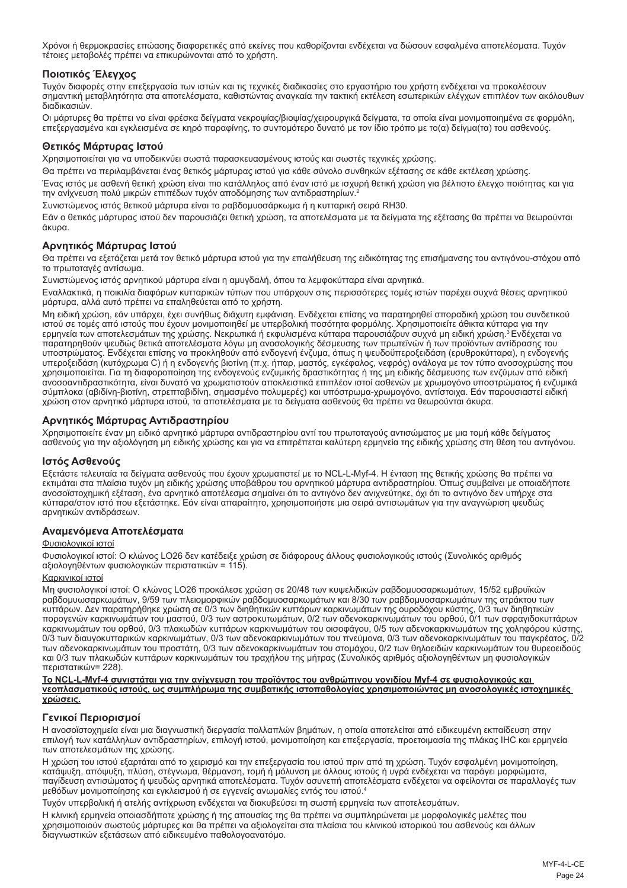Χρόνοι ή θερμοκρασίες επώασης διαφορετικές από εκείνες που καθορίζονται ενδέχεται να δώσουν εσφαλμένα αποτελέσματα. Τυχόν τέτοιες μεταβολές πρέπει να επικυρώνονται από το χρήστη.

### **Ποιοτικός Έλεγχος**

Τυχόν διαφορές στην επεξεργασία των ιστών και τις τεχνικές διαδικασίες στο εργαστήριο του χρήστη ενδέχεται να προκαλέσουν σημαντική μεταβλητότητα στα αποτελέσματα, καθιστώντας αναγκαία την τακτική εκτέλεση εσωτερικών ελέγχων επιπλέον των ακόλουθων διαδικασιών.

Οι μάρτυρες θα πρέπει να είναι φρέσκα δείγματα νεκροψίας/βιοψίας/χειρουργικά δείγματα, τα οποία είναι μονιμοποιημένα σε φορμόλη, επεξεργασμένα και εγκλεισμένα σε κηρό παραφίνης, το συντομότερο δυνατό με τον ίδιο τρόπο με το(α) δείγμα(τα) του ασθενούς.

#### **Θετικός Μάρτυρας Ιστού**

Χρησιμοποιείται για να υποδεικνύει σωστά παρασκευασμένους ιστούς και σωστές τεχνικές χρώσης.

Θα πρέπει να περιλαμβάνεται ένας θετικός μάρτυρας ιστού για κάθε σύνολο συνθηκών εξέτασης σε κάθε εκτέλεση χρώσης.

Ένας ιστός με ασθενή θετική χρώση είναι πιο κατάλληλος από έναν ιστό με ισχυρή θετική χρώση για βέλτιστο έλεγχο ποιότητας και για την ανίχνευση πολύ μικρών επιπέδων τυχόν αποδόμησης των αντιδραστηρίων.<sup>2</sup>

Συνιστώμενος ιστός θετικού μάρτυρα είναι το ραβδομυοσάρκωμα ή η κυτταρική σειρά RH30.

Εάν ο θετικός μάρτυρας ιστού δεν παρουσιάζει θετική χρώση, τα αποτελέσματα με τα δείγματα της εξέτασης θα πρέπει να θεωρούνται άκυρα.

#### **Αρνητικός Μάρτυρας Ιστού**

Θα πρέπει να εξετάζεται μετά τον θετικό μάρτυρα ιστού για την επαλήθευση της ειδικότητας της επισήμανσης του αντιγόνου-στόχου από το πρωτοταγές αντίσωμα.

Συνιστώμενος ιστός αρνητικού μάρτυρα είναι η αμυγδαλή, όπου τα λεμφοκύτταρα είναι αρνητικά.

Εναλλακτικά, η ποικιλία διαφόρων κυτταρικών τύπων που υπάρχουν στις περισσότερες τομές ιστών παρέχει συχνά θέσεις αρνητικού μάρτυρα, αλλά αυτό πρέπει να επαληθεύεται από το χρήστη.

Μη ειδική χρώση, εάν υπάρχει, έχει συνήθως διάχυτη εμφάνιση. Ενδέχεται επίσης να παρατηρηθεί σποραδική χρώση του συνδετικού ιστού σε τομές από ιστούς που έχουν μονιμοποιηθεί με υπερβολική ποσότητα φορμόλης. Χρησιμοποιείτε άθικτα κύτταρα για την<br>ερμηνεία των αποτελεσμάτων της χρώσης. Νεκρωτικά ή εκφυλισμένα κύτταρα παρουσιάζουν συχνά μη ειδική παρατηρηθούν ψευδώς θετικά αποτελέσματα λόγω μη ανοσολογικής δέσμευσης των πρωτεϊνών ή των προϊόντων αντίδρασης του υποστρώματος. Ενδέχεται επίσης να προκληθούν από ενδογενή ένζυμα, όπως η ψευδοϋπεροξειδάση (ερυθροκύτταρα), η ενδογενής<br>υπεροξειδάση (κυτόχρωμα C) ή η ενδογενής βιοτίνη (π.χ. ήπαρ, μαστός, εγκέφαλος, νεφρός) ανάλογα με το χρησιμοποιείται. Για τη διαφοροποίηση της ενδογενούς ενζυμικής δραστικότητας ή της μη ειδικής δέσμευσης των ενζύμων από ειδική ανοσοαντιδραστικότητα, είναι δυνατό να χρωματιστούν αποκλειστικά επιπλέον ιστοί ασθενών με χρωμογόνο υποστρώματος ή ενζυμικά σύμπλοκα (αβιδίνη-βιοτίνη, στρεπταβιδίνη, σημασμένο πολυμερές) και υπόστρωμα-χρωμογόνο, αντίστοιχα. Εάν παρουσιαστεί ειδική χρώση στον αρνητικό μάρτυρα ιστού, τα αποτελέσματα με τα δείγματα ασθενούς θα πρέπει να θεωρούνται άκυρα.

#### **Αρνητικός Μάρτυρας Αντιδραστηρίου**

Χρησιμοποιείτε έναν μη ειδικό αρνητικό μάρτυρα αντιδραστηρίου αντί του πρωτοταγούς αντισώματος με μια τομή κάθε δείγματος ασθενούς για την αξιολόγηση μη ειδικής χρώσης και για να επιτρέπεται καλύτερη ερμηνεία της ειδικής χρώσης στη θέση του αντιγόνου.

#### **Ιστός Ασθενούς**

Εξετάστε τελευταία τα δείγματα ασθενούς που έχουν χρωματιστεί με το NCL-L-Myf-4. Η ένταση της θετικής χρώσης θα πρέπει να εκτιμάται στα πλαίσια τυχόν μη ειδικής χρώσης υποβάθρου του αρνητικού μάρτυρα αντιδραστηρίου. Όπως συμβαίνει με οποιαδήποτε ανοσοϊστοχημική εξέταση, ένα αρνητικό αποτέλεσμα σημαίνει ότι το αντιγόνο δεν ανιχνεύτηκε, όχι ότι το αντιγόνο δεν υπήρχε στα κύτταρα/στον ιστό που εξετάστηκε. Εάν είναι απαραίτητο, χρησιμοποιήστε μια σειρά αντισωμάτων για την αναγνώριση ψευδώς αρνητικών αντιδράσεων.

#### **Αναμενόμενα Αποτελέσματα**

#### Φυσιολογικοί ιστοί

Φυσιολογικοί ιστοί: Ο κλώνος LO26 δεν κατέδειξε χρώση σε διάφορους άλλους φυσιολογικούς ιστούς (Συνολικός αριθμός αξιολογηθέντων φυσιολογικών περιστατικών = 115).

#### Καρκινικοί ιστοί

Μη φυσιολογικοί ιστοί: Ο κλώνος LO26 προκάλεσε χρώση σε 20/48 των κυψελιδικών ραβδομυοσαρκωμάτων, 15/52 εμβρυϊκών ραβδομυωσαρκωμάτων, 9/59 των πλειομορφικών ραβδομυοσαρκωμάτων και 8/30 των ραβδομυοσαρκωμάτων της ατράκτου των κυττάρων. Δεν παρατηρήθηκε χρώση σε 0/3 των διηθητικών κυττάρων καρκινωμάτων της ουροδόχου κύστης, 0/3 των διηθητικών<br>πορογενών καρκινωμάτων του μαστού, 0/3 των αστροκυτωμάτων, 0/2 των αδενοκαρκινωμάτων του ορθού, 0/1 των καρκινωμάτων του ορθού, 0/3 πλακωδών κυττάρων καρκινωμάτων του οισοφάγου, 0/5 των αδενοκαρκινωμάτων της χοληφόρου κύστης, 0/3 των διαυγοκυτταρικών καρκινωμάτων, 0/3 των αδενοκαρκινωμάτων του πνεύμονα, 0/3 των αδενοκαρκινωμάτων του παγκρέατος, 0/2 των αδενοκαρκινωμάτων του προστάτη, 0/3 των αδενοκαρκινωμάτων του στομάχου, 0/2 των θηλοειδών καρκινωμάτων του θυρεοειδούς και 0/3 των πλακωδών κυττάρων καρκινωμάτων του τραχήλου της μήτρας (Συνολικός αριθμός αξιολογηθέντων μη φυσιολογικών περιστατικών= 228).

**Το NCL-L-Myf-4 συνιστάται για την ανίχνευση του προϊόντος του ανθρώπινου γονιδίου Myf-4 σε φυσιολογικούς και νεοπλασματικούς ιστούς, ως συμπλήρωμα της συμβατικής ιστοπαθολογίας χρησιμοποιώντας μη ανοσολογικές ιστοχημικές χρώσεις.**

#### **Γενικοί Περιορισμοί**

Η ανοσοϊστοχημεία είναι μια διαγνωστική διεργασία πολλαπλών βημάτων, η οποία αποτελείται από ειδικευμένη εκπαίδευση στην επιλογή των κατάλληλων αντιδραστηρίων, επιλογή ιστού, μονιμοποίηση και επεξεργασία, προετοιμασία της πλάκας IHC και ερμηνεία των αποτελεσμάτων της χρώσης.

Η χρώση του ιστού εξαρτάται από το χειρισμό και την επεξεργασία του ιστού πριν από τη χρώση. Τυχόν εσφαλμένη μονιμοποίηση, κατάψυξη, απόψυξη, πλύση, στέγνωμα, θέρμανση, τομή ή μόλυνση με άλλους ιστούς ή υγρά ενδέχεται να παράγει μορφώματα, παγίδευση αντισώματος ή ψευδώς αρνητικά αποτελέσματα. Τυχόν ασυνεπή αποτελέσματα ενδέχεται να οφείλονται σε παραλλαγές των μεθόδων μονιμοποίησης και εγκλεισμού ή σε εγγενείς ανωμαλίες εντός του ιστού.<sup>4</sup>

Τυχόν υπερβολική ή ατελής αντίχρωση ενδέχεται να διακυβεύσει τη σωστή ερμηνεία των αποτελεσμάτων.

Η κλινική ερμηνεία οποιασδήποτε χρώσης ή της απουσίας της θα πρέπει να συμπληρώνεται με μορφολογικές μελέτες που χρησιμοποιούν σωστούς μάρτυρες και θα πρέπει να αξιολογείται στα πλαίσια του κλινικού ιστορικού του ασθενούς και άλλων διαγνωστικών εξετάσεων από ειδικευμένο παθολογοανατόμο.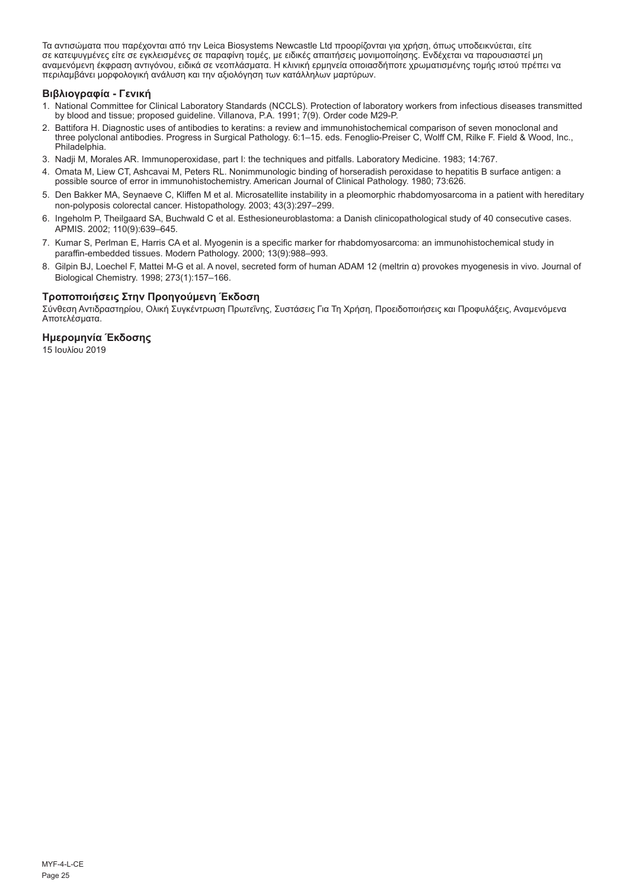Τα αντισώματα που παρέχονται από την Leica Biosystems Newcastle Ltd προορίζονται για χρήση, όπως υποδεικνύεται, είτε σε κατεψυγμένες είτε σε εγκλεισμένες σε παραφίνη τομές, με ειδικές απαιτήσεις μονιμοποίησης. Ενδέχεται να παρουσιαστεί μη<br>αναμενόμενη έκφραση αντιγόνου, ειδικά σε νεοπλάσματα. Η κλινική ερμηνεία οποιασδήποτε χρωματισμένης περιλαμβάνει μορφολογική ανάλυση και την αξιολόγηση των κατάλληλων μαρτύρων.

#### **Βιβλιογραφία - Γενική**

- 1. National Committee for Clinical Laboratory Standards (NCCLS). Protection of laboratory workers from infectious diseases transmitted by blood and tissue; proposed guideline. Villanova, P.A. 1991; 7(9). Order code M29-P.
- 2. Battifora H. Diagnostic uses of antibodies to keratins: a review and immunohistochemical comparison of seven monoclonal and three polyclonal antibodies. Progress in Surgical Pathology. 6:1–15. eds. Fenoglio-Preiser C, Wolff CM, Rilke F. Field & Wood, Inc., Philadelphia.
- 3. Nadji M, Morales AR. Immunoperoxidase, part I: the techniques and pitfalls. Laboratory Medicine. 1983; 14:767.
- 4. Omata M, Liew CT, Ashcavai M, Peters RL. Nonimmunologic binding of horseradish peroxidase to hepatitis B surface antigen: a possible source of error in immunohistochemistry. American Journal of Clinical Pathology. 1980; 73:626.
- 5. Den Bakker MA, Seynaeve C, Kliffen M et al. Microsatellite instability in a pleomorphic rhabdomyosarcoma in a patient with hereditary non-polyposis colorectal cancer. Histopathology. 2003; 43(3):297–299.
- 6. Ingeholm P, Theilgaard SA, Buchwald C et al. Esthesioneuroblastoma: a Danish clinicopathological study of 40 consecutive cases. APMIS. 2002; 110(9):639–645.
- 7. Kumar S, Perlman E, Harris CA et al. Myogenin is a specific marker for rhabdomyosarcoma: an immunohistochemical study in paraffin-embedded tissues. Modern Pathology. 2000; 13(9):988–993.
- 8. Gilpin BJ, Loechel F, Mattei M-G et al. A novel, secreted form of human ADAM 12 (meltrin α) provokes myogenesis in vivo. Journal of Biological Chemistry. 1998; 273(1):157–166.

#### **Τροποποιήσεις Στην Προηγούμενη Έκδοση**

Σύνθεση Αντιδραστηρίου, Ολική Συγκέντρωση Πρωτεΐνης, Συστάσεις Για Τη Χρήση, Προειδοποιήσεις και Προφυλάξεις, Αναμενόμενα Αποτελέσματα.

## **Ημερομηνία Έκδοσης**

15 Ιουλίου 2019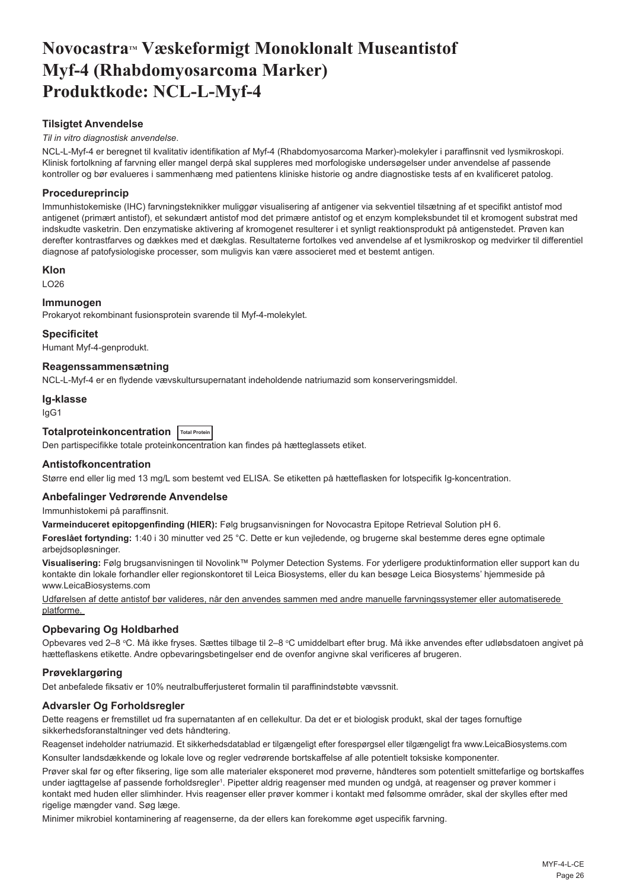## <span id="page-26-0"></span>**NovocastraTM Væskeformigt Monoklonalt Museantistof Myf-4 (Rhabdomyosarcoma Marker) Produktkode: NCL-L-Myf-4**

### **Tilsigtet Anvendelse**

#### *Til in vitro diagnostisk anvendelse*.

NCL-L-Myf-4 er beregnet til kvalitativ identifikation af Myf-4 (Rhabdomyosarcoma Marker)-molekyler i paraffinsnit ved lysmikroskopi. Klinisk fortolkning af farvning eller mangel derpå skal suppleres med morfologiske undersøgelser under anvendelse af passende kontroller og bør evalueres i sammenhæng med patientens kliniske historie og andre diagnostiske tests af en kvalificeret patolog.

### **Procedureprincip**

Immunhistokemiske (IHC) farvningsteknikker muliggør visualisering af antigener via sekventiel tilsætning af et specifikt antistof mod antigenet (primært antistof), et sekundært antistof mod det primære antistof og et enzym kompleksbundet til et kromogent substrat med indskudte vasketrin. Den enzymatiske aktivering af kromogenet resulterer i et synligt reaktionsprodukt på antigenstedet. Prøven kan derefter kontrastfarves og dækkes med et dækglas. Resultaterne fortolkes ved anvendelse af et lysmikroskop og medvirker til differentiel diagnose af patofysiologiske processer, som muligvis kan være associeret med et bestemt antigen.

#### **Klon**

LO26

#### **Immunogen**

Prokaryot rekombinant fusionsprotein svarende til Myf-4-molekylet.

#### **Specificitet**

Humant Myf-4-genprodukt.

#### **Reagenssammensætning**

NCL-L-Myf-4 er en flydende vævskultursupernatant indeholdende natriumazid som konserveringsmiddel.

#### **Ig-klasse**

IgG1

## **Totalproteinkoncentration Total Protein**

Den partispecifikke totale proteinkoncentration kan findes på hætteglassets etiket.

#### **Antistofkoncentration**

Større end eller lig med 13 mg/L som bestemt ved ELISA. Se etiketten på hætteflasken for lotspecifik Ig-koncentration.

#### **Anbefalinger Vedrørende Anvendelse**

Immunhistokemi på paraffinsnit.

**Varmeinduceret epitopgenfinding (HIER):** Følg brugsanvisningen for Novocastra Epitope Retrieval Solution pH 6.

**Foreslået fortynding:** 1:40 i 30 minutter ved 25 °C. Dette er kun vejledende, og brugerne skal bestemme deres egne optimale arbejdsopløsninger.

**Visualisering:** Følg brugsanvisningen til Novolink™ Polymer Detection Systems. For yderligere produktinformation eller support kan du kontakte din lokale forhandler eller regionskontoret til Leica Biosystems, eller du kan besøge Leica Biosystems' hjemmeside på www.LeicaBiosystems.com

Udførelsen af dette antistof bør valideres, når den anvendes sammen med andre manuelle farvningssystemer eller automatiserede platforme.

#### **Opbevaring Og Holdbarhed**

Opbevares ved 2–8 ℃. Må ikke fryses. Sættes tilbage til 2–8 ℃ umiddelbart efter brug. Må ikke anvendes efter udløbsdatoen angivet på hætteflaskens etikette. Andre opbevaringsbetingelser end de ovenfor angivne skal verificeres af brugeren.

#### **Prøveklargøring**

Det anbefalede fiksativ er 10% neutralbufferjusteret formalin til paraffinindstøbte vævssnit.

#### **Advarsler Og Forholdsregler**

Dette reagens er fremstillet ud fra supernatanten af en cellekultur. Da det er et biologisk produkt, skal der tages fornuftige sikkerhedsforanstaltninger ved dets håndtering.

Reagenset indeholder natriumazid. Et sikkerhedsdatablad er tilgængeligt efter forespørgsel eller tilgængeligt fra www.LeicaBiosystems.com

Konsulter landsdækkende og lokale love og regler vedrørende bortskaffelse af alle potentielt toksiske komponenter.

Prøver skal før og efter fiksering, lige som alle materialer eksponeret mod prøverne, håndteres som potentielt smittefarlige og bortskaffes under iagttagelse af passende forholdsregler<sup>1</sup>. Pipetter aldrig reagenser med munden og undgå, at reagenser og prøver kommer i kontakt med huden eller slimhinder. Hvis reagenser eller prøver kommer i kontakt med følsomme områder, skal der skylles efter med rigelige mængder vand. Søg læge.

Minimer mikrobiel kontaminering af reagenserne, da der ellers kan forekomme øget uspecifik farvning.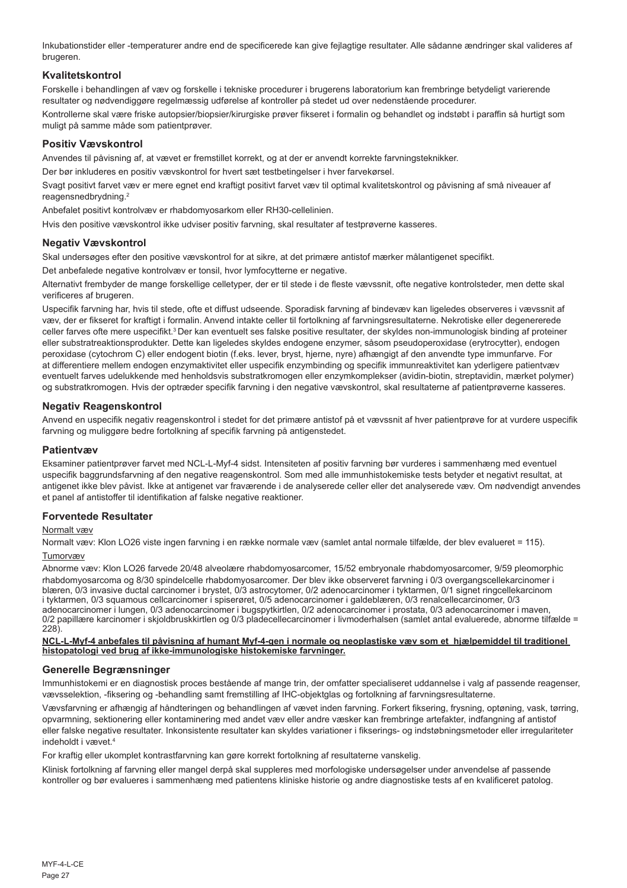Inkubationstider eller -temperaturer andre end de specificerede kan give fejlagtige resultater. Alle sådanne ændringer skal valideres af brugeren.

#### **Kvalitetskontrol**

Forskelle i behandlingen af væv og forskelle i tekniske procedurer i brugerens laboratorium kan frembringe betydeligt varierende resultater og nødvendiggøre regelmæssig udførelse af kontroller på stedet ud over nedenstående procedurer.

Kontrollerne skal være friske autopsier/biopsier/kirurgiske prøver fikseret i formalin og behandlet og indstøbt i paraffin så hurtigt som muligt på samme måde som patientprøver.

#### **Positiv Vævskontrol**

Anvendes til påvisning af, at vævet er fremstillet korrekt, og at der er anvendt korrekte farvningsteknikker.

Der bør inkluderes en positiv vævskontrol for hvert sæt testbetingelser i hver farvekørsel.

Svagt positivt farvet væv er mere egnet end kraftigt positivt farvet væv til optimal kvalitetskontrol og påvisning af små niveauer af reagensnedbrydning.<sup>2</sup>

Anbefalet positivt kontrolvæv er rhabdomyosarkom eller RH30-cellelinien.

Hvis den positive vævskontrol ikke udviser positiv farvning, skal resultater af testprøverne kasseres.

#### **Negativ Vævskontrol**

Skal undersøges efter den positive vævskontrol for at sikre, at det primære antistof mærker målantigenet specifikt.

Det anbefalede negative kontrolvæv er tonsil, hvor lymfocytterne er negative.

Alternativt frembyder de mange forskellige celletyper, der er til stede i de fleste vævssnit, ofte negative kontrolsteder, men dette skal verificeres af brugeren.

Uspecifik farvning har, hvis til stede, ofte et diffust udseende. Sporadisk farvning af bindevæv kan ligeledes observeres i vævssnit af væv, der er fikseret for kraftigt i formalin. Anvend intakte celler til fortolkning af farvningsresultaterne. Nekrotiske eller degenererede celler farves ofte mere uspecifikt.<sup>3</sup>Der kan eventuelt ses falske positive resultater, der skyldes non-immunologisk binding af proteiner eller substratreaktionsprodukter. Dette kan ligeledes skyldes endogene enzymer, såsom pseudoperoxidase (erytrocytter), endogen peroxidase (cytochrom C) eller endogent biotin (f.eks. lever, bryst, hjerne, nyre) afhængigt af den anvendte type immunfarve. For at differentiere mellem endogen enzymaktivitet eller uspecifik enzymbinding og specifik immunreaktivitet kan yderligere patientvæv eventuelt farves udelukkende med henholdsvis substratkromogen eller enzymkomplekser (avidin-biotin, streptavidin, mærket polymer) og substratkromogen. Hvis der optræder specifik farvning i den negative vævskontrol, skal resultaterne af patientprøverne kasseres.

#### **Negativ Reagenskontrol**

Anvend en uspecifik negativ reagenskontrol i stedet for det primære antistof på et vævssnit af hver patientprøve for at vurdere uspecifik farvning og muliggøre bedre fortolkning af specifik farvning på antigenstedet.

#### **Patientvæv**

Eksaminer patientprøver farvet med NCL-L-Myf-4 sidst. Intensiteten af positiv farvning bør vurderes i sammenhæng med eventuel uspecifik baggrundsfarvning af den negative reagenskontrol. Som med alle immunhistokemiske tests betyder et negativt resultat, at antigenet ikke blev påvist. Ikke at antigenet var fraværende i de analyserede celler eller det analyserede væv. Om nødvendigt anvendes et panel af antistoffer til identifikation af falske negative reaktioner.

#### **Forventede Resultater**

#### Normalt væv

Normalt væv: Klon LO26 viste ingen farvning i en række normale væv (samlet antal normale tilfælde, der blev evalueret = 115). Tumorvæv

Abnorme væv: Klon LO26 farvede 20/48 alveolære rhabdomyosarcomer, 15/52 embryonale rhabdomyosarcomer, 9/59 pleomorphic rhabdomyosarcoma og 8/30 spindelcelle rhabdomyosarcomer. Der blev ikke observeret farvning i 0/3 overgangscellekarcinomer i blæren, 0/3 invasive ductal carcinomer i brystet, 0/3 astrocytomer, 0/2 adenocarcinomer i tyktarmen, 0/1 signet ringcellekarcinom i tyktarmen, 0/3 squamous cellcarcinomer i spiserøret, 0/5 adenocarcinomer i galdeblæren, 0/3 renalcellecarcinomer, 0/3 adenocarcinomer i lungen, 0/3 adenocarcinomer i bugspytkirtlen, 0/2 adenocarcinomer i prostata, 0/3 adenocarcinomer i maven, 0/2 papillære karcinomer i skjoldbruskkirtlen og 0/3 pladecellecarcinomer i livmoderhalsen (samlet antal evaluerede, abnorme tilfælde = 228).

**NCL-L-Myf-4 anbefales til påvisning af humant Myf-4-gen i normale og neoplastiske væv som et hjælpemiddel til traditionel histopatologi ved brug af ikke-immunologiske histokemiske farvninger.**

#### **Generelle Begrænsninger**

Immunhistokemi er en diagnostisk proces bestående af mange trin, der omfatter specialiseret uddannelse i valg af passende reagenser, vævsselektion, -fiksering og -behandling samt fremstilling af IHC-objektglas og fortolkning af farvningsresultaterne.

Vævsfarvning er afhængig af håndteringen og behandlingen af vævet inden farvning. Forkert fiksering, frysning, optøning, vask, tørring, opvarmning, sektionering eller kontaminering med andet væv eller andre væsker kan frembringe artefakter, indfangning af antistof eller falske negative resultater. Inkonsistente resultater kan skyldes variationer i fikserings- og indstøbningsmetoder eller irregulariteter indeholdt i vævet.<sup>4</sup>

For kraftig eller ukomplet kontrastfarvning kan gøre korrekt fortolkning af resultaterne vanskelig.

Klinisk fortolkning af farvning eller mangel derpå skal suppleres med morfologiske undersøgelser under anvendelse af passende kontroller og bør evalueres i sammenhæng med patientens kliniske historie og andre diagnostiske tests af en kvalificeret patolog.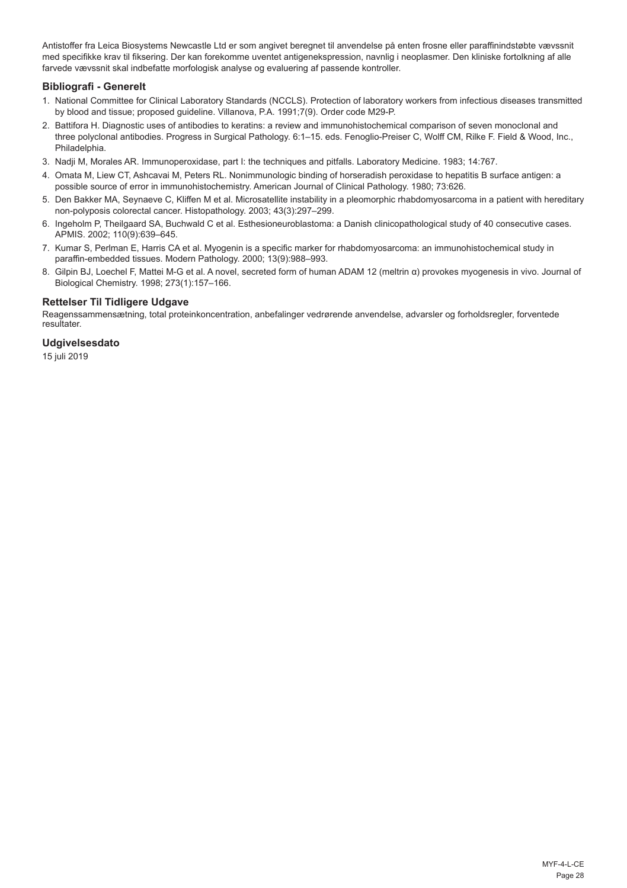Antistoffer fra Leica Biosystems Newcastle Ltd er som angivet beregnet til anvendelse på enten frosne eller paraffinindstøbte vævssnit med specifikke krav til fiksering. Der kan forekomme uventet antigenekspression, navnlig i neoplasmer. Den kliniske fortolkning af alle farvede vævssnit skal indbefatte morfologisk analyse og evaluering af passende kontroller.

#### **Bibliografi - Generelt**

- 1. National Committee for Clinical Laboratory Standards (NCCLS). Protection of laboratory workers from infectious diseases transmitted by blood and tissue; proposed guideline. Villanova, P.A. 1991;7(9). Order code M29-P.
- 2. Battifora H. Diagnostic uses of antibodies to keratins: a review and immunohistochemical comparison of seven monoclonal and three polyclonal antibodies. Progress in Surgical Pathology. 6:1–15. eds. Fenoglio-Preiser C, Wolff CM, Rilke F. Field & Wood, Inc., Philadelphia.
- 3. Nadji M, Morales AR. Immunoperoxidase, part I: the techniques and pitfalls. Laboratory Medicine. 1983; 14:767.
- 4. Omata M, Liew CT, Ashcavai M, Peters RL. Nonimmunologic binding of horseradish peroxidase to hepatitis B surface antigen: a possible source of error in immunohistochemistry. American Journal of Clinical Pathology. 1980; 73:626.
- 5. Den Bakker MA, Seynaeve C, Kliffen M et al. Microsatellite instability in a pleomorphic rhabdomyosarcoma in a patient with hereditary non-polyposis colorectal cancer. Histopathology. 2003; 43(3):297–299.
- 6. Ingeholm P, Theilgaard SA, Buchwald C et al. Esthesioneuroblastoma: a Danish clinicopathological study of 40 consecutive cases. APMIS. 2002; 110(9):639–645.
- 7. Kumar S, Perlman E, Harris CA et al. Myogenin is a specific marker for rhabdomyosarcoma: an immunohistochemical study in paraffin-embedded tissues. Modern Pathology. 2000; 13(9):988–993.
- 8. Gilpin BJ, Loechel F, Mattei M-G et al. A novel, secreted form of human ADAM 12 (meltrin α) provokes myogenesis in vivo. Journal of Biological Chemistry. 1998; 273(1):157–166.

## **Rettelser Til Tidligere Udgave**

Reagenssammensætning, total proteinkoncentration, anbefalinger vedrørende anvendelse, advarsler og forholdsregler, forventede resultater.

#### **Udgivelsesdato**

15 juli 2019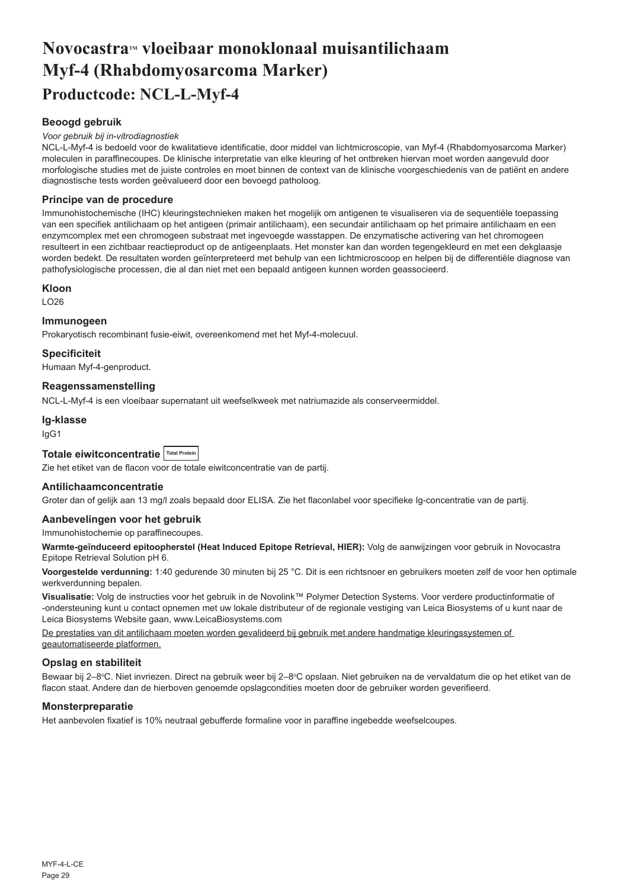## <span id="page-29-0"></span>**NovocastraTM vloeibaar monoklonaal muisantilichaam Myf-4 (Rhabdomyosarcoma Marker) Productcode: NCL-L-Myf-4**

## **Beoogd gebruik**

#### *Voor gebruik bij in-vitrodiagnostiek*

NCL-L-Myf-4 is bedoeld voor de kwalitatieve identificatie, door middel van lichtmicroscopie, van Myf-4 (Rhabdomyosarcoma Marker) moleculen in paraffinecoupes. De klinische interpretatie van elke kleuring of het ontbreken hiervan moet worden aangevuld door morfologische studies met de juiste controles en moet binnen de context van de klinische voorgeschiedenis van de patiënt en andere diagnostische tests worden geëvalueerd door een bevoegd patholoog.

#### **Principe van de procedure**

Immunohistochemische (IHC) kleuringstechnieken maken het mogelijk om antigenen te visualiseren via de sequentiële toepassing van een specifiek antilichaam op het antigeen (primair antilichaam), een secundair antilichaam op het primaire antilichaam en een enzymcomplex met een chromogeen substraat met ingevoegde wasstappen. De enzymatische activering van het chromogeen resulteert in een zichtbaar reactieproduct op de antigeenplaats. Het monster kan dan worden tegengekleurd en met een dekglaasje worden bedekt. De resultaten worden geïnterpreteerd met behulp van een lichtmicroscoop en helpen bij de differentiële diagnose van pathofysiologische processen, die al dan niet met een bepaald antigeen kunnen worden geassocieerd.

### **Kloon**

LO26

#### **Immunogeen**

Prokaryotisch recombinant fusie-eiwit, overeenkomend met het Myf-4-molecuul.

#### **Specificiteit**

Humaan Myf-4-genproduct.

#### **Reagenssamenstelling**

NCL-L-Myf-4 is een vloeibaar supernatant uit weefselkweek met natriumazide als conserveermiddel.

#### **Ig-klasse**

IgG1

## **Totale eiwitconcentratie Total Protein**

Zie het etiket van de flacon voor de totale eiwitconcentratie van de partij.

#### **Antilichaamconcentratie**

Groter dan of gelijk aan 13 mg/l zoals bepaald door ELISA. Zie het flaconlabel voor specifieke Ig-concentratie van de partij.

#### **Aanbevelingen voor het gebruik**

Immunohistochemie op paraffinecoupes.

**Warmte-geïnduceerd epitoopherstel (Heat Induced Epitope Retrieval, HIER):** Volg de aanwijzingen voor gebruik in Novocastra Epitope Retrieval Solution pH 6.

**Voorgestelde verdunning:** 1:40 gedurende 30 minuten bij 25 °C. Dit is een richtsnoer en gebruikers moeten zelf de voor hen optimale werkverdunning bepalen.

**Visualisatie:** Volg de instructies voor het gebruik in de Novolink™ Polymer Detection Systems. Voor verdere productinformatie of -ondersteuning kunt u contact opnemen met uw lokale distributeur of de regionale vestiging van Leica Biosystems of u kunt naar de Leica Biosystems Website gaan, www.LeicaBiosystems.com

De prestaties van dit antilichaam moeten worden gevalideerd bij gebruik met andere handmatige kleuringssystemen of geautomatiseerde platformen.

### **Opslag en stabiliteit**

Bewaar bij 2–8°C. Niet invriezen. Direct na gebruik weer bij 2–8°C opslaan. Niet gebruiken na de vervaldatum die op het etiket van de flacon staat. Andere dan de hierboven genoemde opslagcondities moeten door de gebruiker worden geverifieerd.

#### **Monsterpreparatie**

Het aanbevolen fixatief is 10% neutraal gebufferde formaline voor in paraffine ingebedde weefselcoupes.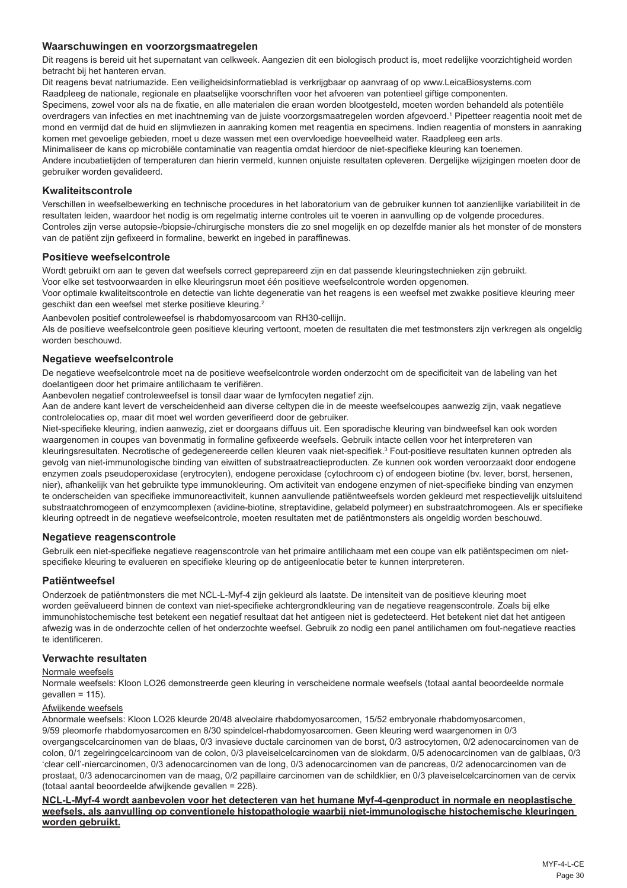#### **Waarschuwingen en voorzorgsmaatregelen**

Dit reagens is bereid uit het supernatant van celkweek. Aangezien dit een biologisch product is, moet redelijke voorzichtigheid worden betracht bij het hanteren ervan.

Dit reagens bevat natriumazide. Een veiligheidsinformatieblad is verkrijgbaar op aanvraag of op www.LeicaBiosystems.com Raadpleeg de nationale, regionale en plaatselijke voorschriften voor het afvoeren van potentieel giftige componenten.

Specimens, zowel voor als na de fixatie, en alle materialen die eraan worden blootgesteld, moeten worden behandeld als potentiële overdragers van infecties en met inachtneming van de juiste voorzorgsmaatregelen worden afgevoerd.1 Pipetteer reagentia nooit met de mond en vermijd dat de huid en slijmvliezen in aanraking komen met reagentia en specimens. Indien reagentia of monsters in aanraking komen met gevoelige gebieden, moet u deze wassen met een overvloedige hoeveelheid water. Raadpleeg een arts.

Minimaliseer de kans op microbiële contaminatie van reagentia omdat hierdoor de niet-specifieke kleuring kan toenemen.

Andere incubatietijden of temperaturen dan hierin vermeld, kunnen onjuiste resultaten opleveren. Dergelijke wijzigingen moeten door de gebruiker worden gevalideerd.

#### **Kwaliteitscontrole**

Verschillen in weefselbewerking en technische procedures in het laboratorium van de gebruiker kunnen tot aanzienlijke variabiliteit in de resultaten leiden, waardoor het nodig is om regelmatig interne controles uit te voeren in aanvulling op de volgende procedures. Controles zijn verse autopsie-/biopsie-/chirurgische monsters die zo snel mogelijk en op dezelfde manier als het monster of de monsters van de patiënt zijn gefixeerd in formaline, bewerkt en ingebed in paraffinewas.

#### **Positieve weefselcontrole**

Wordt gebruikt om aan te geven dat weefsels correct geprepareerd zijn en dat passende kleuringstechnieken zijn gebruikt. Voor elke set testvoorwaarden in elke kleuringsrun moet één positieve weefselcontrole worden opgenomen.

Voor optimale kwaliteitscontrole en detectie van lichte degeneratie van het reagens is een weefsel met zwakke positieve kleuring meer geschikt dan een weefsel met sterke positieve kleuring.<sup>2</sup>

Aanbevolen positief controleweefsel is rhabdomyosarcoom van RH30-cellijn.

Als de positieve weefselcontrole geen positieve kleuring vertoont, moeten de resultaten die met testmonsters zijn verkregen als ongeldig worden beschouwd.

#### **Negatieve weefselcontrole**

De negatieve weefselcontrole moet na de positieve weefselcontrole worden onderzocht om de specificiteit van de labeling van het doelantigeen door het primaire antilichaam te verifiëren.

Aanbevolen negatief controleweefsel is tonsil daar waar de lymfocyten negatief zijn.

Aan de andere kant levert de verscheidenheid aan diverse celtypen die in de meeste weefselcoupes aanwezig zijn, vaak negatieve controlelocaties op, maar dit moet wel worden geverifieerd door de gebruiker.

Niet-specifieke kleuring, indien aanwezig, ziet er doorgaans diffuus uit. Een sporadische kleuring van bindweefsel kan ook worden waargenomen in coupes van bovenmatig in formaline gefixeerde weefsels. Gebruik intacte cellen voor het interpreteren van kleuringsresultaten. Necrotische of gedegenereerde cellen kleuren vaak niet-specifiek.<sup>3</sup> Fout-positieve resultaten kunnen optreden als gevolg van niet-immunologische binding van eiwitten of substraatreactieproducten. Ze kunnen ook worden veroorzaakt door endogene enzymen zoals pseudoperoxidase (erytrocyten), endogene peroxidase (cytochroom c) of endogeen biotine (bv. lever, borst, hersenen, nier), afhankelijk van het gebruikte type immunokleuring. Om activiteit van endogene enzymen of niet-specifieke binding van enzymen te onderscheiden van specifieke immunoreactiviteit, kunnen aanvullende patiëntweefsels worden gekleurd met respectievelijk uitsluitend substraatchromogeen of enzymcomplexen (avidine-biotine, streptavidine, gelabeld polymeer) en substraatchromogeen. Als er specifieke kleuring optreedt in de negatieve weefselcontrole, moeten resultaten met de patiëntmonsters als ongeldig worden beschouwd.

#### **Negatieve reagenscontrole**

Gebruik een niet-specifieke negatieve reagenscontrole van het primaire antilichaam met een coupe van elk patiëntspecimen om nietspecifieke kleuring te evalueren en specifieke kleuring op de antigeenlocatie beter te kunnen interpreteren.

#### **Patiëntweefsel**

Onderzoek de patiëntmonsters die met NCL-L-Myf-4 zijn gekleurd als laatste. De intensiteit van de positieve kleuring moet worden geëvalueerd binnen de context van niet-specifieke achtergrondkleuring van de negatieve reagenscontrole. Zoals bij elke immunohistochemische test betekent een negatief resultaat dat het antigeen niet is gedetecteerd. Het betekent niet dat het antigeen afwezig was in de onderzochte cellen of het onderzochte weefsel. Gebruik zo nodig een panel antilichamen om fout-negatieve reacties te identificeren.

#### **Verwachte resultaten**

#### Normale weefsels

Normale weefsels: Kloon LO26 demonstreerde geen kleuring in verscheidene normale weefsels (totaal aantal beoordeelde normale  $gevallen = 115$ ).

#### Afwijkende weefsels

Abnormale weefsels: Kloon LO26 kleurde 20/48 alveolaire rhabdomyosarcomen, 15/52 embryonale rhabdomyosarcomen, 9/59 pleomorfe rhabdomyosarcomen en 8/30 spindelcel-rhabdomyosarcomen. Geen kleuring werd waargenomen in 0/3 overgangscelcarcinomen van de blaas, 0/3 invasieve ductale carcinomen van de borst, 0/3 astrocytomen, 0/2 adenocarcinomen van de colon, 0/1 zegelringcelcarcinoom van de colon, 0/3 plaveiselcelcarcinomen van de slokdarm, 0/5 adenocarcinomen van de galblaas, 0/3 'clear cell'-niercarcinomen, 0/3 adenocarcinomen van de long, 0/3 adenocarcinomen van de pancreas, 0/2 adenocarcinomen van de prostaat, 0/3 adenocarcinomen van de maag, 0/2 papillaire carcinomen van de schildklier, en 0/3 plaveiselcelcarcinomen van de cervix (totaal aantal beoordeelde afwijkende gevallen = 228).

**NCL-L-Myf-4 wordt aanbevolen voor het detecteren van het humane Myf-4-genproduct in normale en neoplastische weefsels, als aanvulling op conventionele histopathologie waarbij niet-immunologische histochemische kleuringen worden gebruikt.**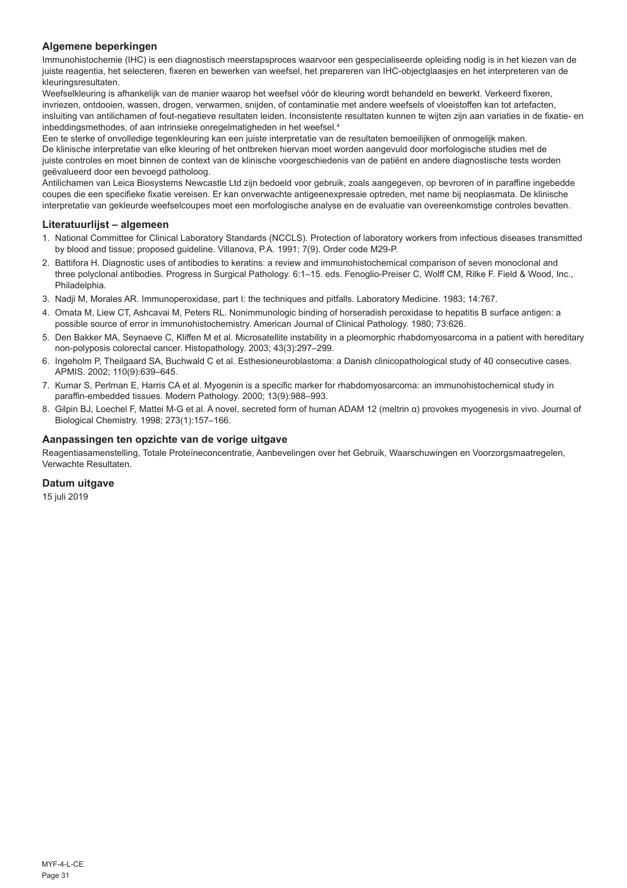## **Algemene beperkingen**

Immunohistochemie (IHC) is een diagnostisch meerstapsproces waarvoor een gespecialiseerde opleiding nodig is in het kiezen van de juiste reagentia, het selecteren, fixeren en bewerken van weefsel, het prepareren van IHC-objectglaasjes en het interpreteren van de kleuringsresultaten.

Weefselkleuring is afhankelijk van de manier waarop het weefsel vóór de kleuring wordt behandeld en bewerkt. Verkeerd fixeren, invriezen, ontdooien, wassen, drogen, verwarmen, snijden, of contaminatie met andere weefsels of vloeistoffen kan tot artefacten, insluiting van antilichamen of fout-negatieve resultaten leiden. Inconsistente resultaten kunnen te wijten zijn aan variaties in de fixatie- en inbeddingsmethodes, of aan intrinsieke onregelmatigheden in het weefsel.<sup>4</sup>

Een te sterke of onvolledige tegenkleuring kan een juiste interpretatie van de resultaten bemoeilijken of onmogelijk maken. De klinische interpretatie van elke kleuring of het ontbreken hiervan moet worden aangevuld door morfologische studies met de juiste controles en moet binnen de context van de klinische voorgeschiedenis van de patiënt en andere diagnostische tests worden geëvalueerd door een bevoegd patholoog.

Antilichamen van Leica Biosystems Newcastle Ltd zijn bedoeld voor gebruik, zoals aangegeven, op bevroren of in paraffine ingebedde coupes die een specifieke fixatie vereisen. Er kan onverwachte antigeenexpressie optreden, met name bij neoplasmata. De klinische interpretatie van gekleurde weefselcoupes moet een morfologische analyse en de evaluatie van overeenkomstige controles bevatten.

#### **Literatuurlijst – algemeen**

- 1. National Committee for Clinical Laboratory Standards (NCCLS). Protection of laboratory workers from infectious diseases transmitted by blood and tissue; proposed guideline. Villanova, P.A. 1991; 7(9). Order code M29-P.
- 2. Battifora H. Diagnostic uses of antibodies to keratins: a review and immunohistochemical comparison of seven monoclonal and three polyclonal antibodies. Progress in Surgical Pathology. 6:1–15. eds. Fenoglio-Preiser C, Wolff CM, Rilke F. Field & Wood, Inc., Philadelphia.
- 3. Nadji M, Morales AR. Immunoperoxidase, part I: the techniques and pitfalls. Laboratory Medicine. 1983; 14:767.
- 4. Omata M, Liew CT, Ashcavai M, Peters RL. Nonimmunologic binding of horseradish peroxidase to hepatitis B surface antigen: a possible source of error in immunohistochemistry. American Journal of Clinical Pathology. 1980; 73:626.
- 5. Den Bakker MA, Seynaeve C, Kliffen M et al. Microsatellite instability in a pleomorphic rhabdomyosarcoma in a patient with hereditary non-polyposis colorectal cancer. Histopathology. 2003; 43(3):297–299.
- 6. Ingeholm P, Theilgaard SA, Buchwald C et al. Esthesioneuroblastoma: a Danish clinicopathological study of 40 consecutive cases. APMIS. 2002; 110(9):639–645.
- 7. Kumar S, Perlman E, Harris CA et al. Myogenin is a specific marker for rhabdomyosarcoma: an immunohistochemical study in paraffin-embedded tissues. Modern Pathology. 2000; 13(9):988–993.
- 8. Gilpin BJ, Loechel F, Mattei M-G et al. A novel, secreted form of human ADAM 12 (meltrin α) provokes myogenesis in vivo. Journal of Biological Chemistry. 1998; 273(1):157–166.

#### **Aanpassingen ten opzichte van de vorige uitgave**

Reagentiasamenstelling, Totale Proteïneconcentratie, Aanbevelingen over het Gebruik, Waarschuwingen en Voorzorgsmaatregelen, Verwachte Resultaten.

## **Datum uitgave**

15 juli 2019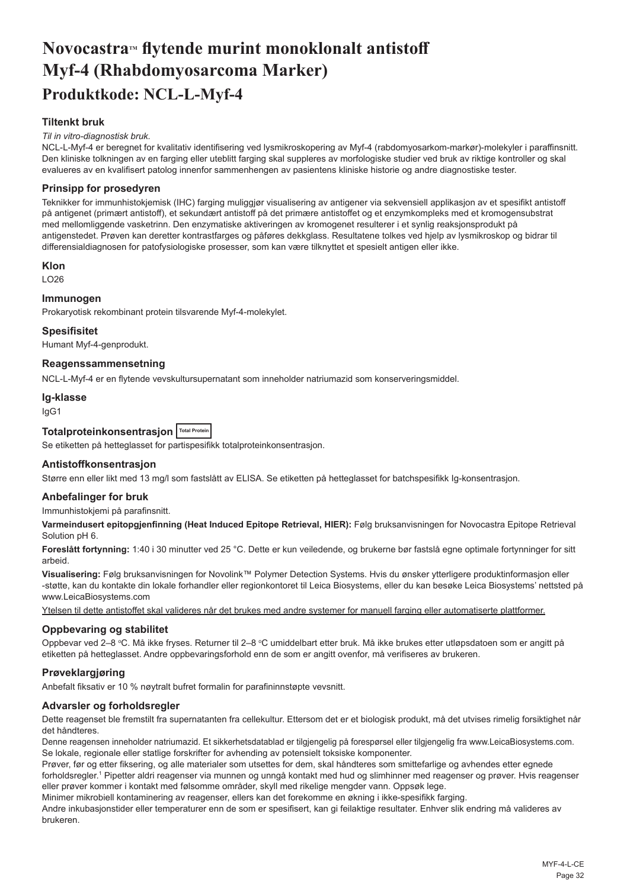## <span id="page-32-0"></span>Novocastra<sup>*M*</sup> flytende murint monoklonalt antistoff **Myf-4 (Rhabdomyosarcoma Marker) Produktkode: NCL-L-Myf-4**

### **Tiltenkt bruk**

#### *Til in vitro-diagnostisk bruk.*

NCL-L-Myf-4 er beregnet for kvalitativ identifisering ved lysmikroskopering av Myf-4 (rabdomyosarkom-markør)-molekyler i paraffinsnitt. Den kliniske tolkningen av en farging eller uteblitt farging skal suppleres av morfologiske studier ved bruk av riktige kontroller og skal evalueres av en kvalifisert patolog innenfor sammenhengen av pasientens kliniske historie og andre diagnostiske tester.

#### **Prinsipp for prosedyren**

Teknikker for immunhistokjemisk (IHC) farging muliggjør visualisering av antigener via sekvensiell applikasjon av et spesifikt antistoff på antigenet (primært antistoff), et sekundært antistoff på det primære antistoffet og et enzymkompleks med et kromogensubstrat med mellomliggende vasketrinn. Den enzymatiske aktiveringen av kromogenet resulterer i et synlig reaksjonsprodukt på antigenstedet. Prøven kan deretter kontrastfarges og påføres dekkglass. Resultatene tolkes ved hjelp av lysmikroskop og bidrar til differensialdiagnosen for patofysiologiske prosesser, som kan være tilknyttet et spesielt antigen eller ikke.

#### **Klon**

LO26

### **Immunogen**

Prokaryotisk rekombinant protein tilsvarende Myf-4-molekylet.

#### **Spesifisitet**

Humant Myf-4-genprodukt.

## **Reagenssammensetning**

NCL-L-Myf-4 er en flytende vevskultursupernatant som inneholder natriumazid som konserveringsmiddel.

#### **Ig-klasse**

IgG1

## **Totalproteinkonsentrasjon Total Protein**

Se etiketten på hetteglasset for partispesifikk totalproteinkonsentrasjon.

#### **Antistoffkonsentrasjon**

Større enn eller likt med 13 mg/l som fastslått av ELISA. Se etiketten på hetteglasset for batchspesifikk Ig-konsentrasjon.

#### **Anbefalinger for bruk**

Immunhistokjemi på parafinsnitt.

**Varmeindusert epitopgjenfinning (Heat Induced Epitope Retrieval, HIER):** Følg bruksanvisningen for Novocastra Epitope Retrieval Solution pH 6.

**Foreslått fortynning:** 1:40 i 30 minutter ved 25 °C. Dette er kun veiledende, og brukerne bør fastslå egne optimale fortynninger for sitt arbeid.

**Visualisering:** Følg bruksanvisningen for Novolink™ Polymer Detection Systems. Hvis du ønsker ytterligere produktinformasjon eller -støtte, kan du kontakte din lokale forhandler eller regionkontoret til Leica Biosystems, eller du kan besøke Leica Biosystems' nettsted på www.LeicaBiosystems.com

Ytelsen til dette antistoffet skal valideres når det brukes med andre systemer for manuell farging eller automatiserte plattformer.

#### **Oppbevaring og stabilitet**

Oppbevar ved 2–8 °C. Må ikke fryses. Returner til 2–8 °C umiddelbart etter bruk. Må ikke brukes etter utløpsdatoen som er angitt på etiketten på hetteglasset. Andre oppbevaringsforhold enn de som er angitt ovenfor, må verifiseres av brukeren.

#### **Prøveklargjøring**

Anbefalt fiksativ er 10 % nøytralt bufret formalin for parafininnstøpte vevsnitt.

#### **Advarsler og forholdsregler**

Dette reagenset ble fremstilt fra supernatanten fra cellekultur. Ettersom det er et biologisk produkt, må det utvises rimelig forsiktighet når det håndteres.

Denne reagensen inneholder natriumazid. Et sikkerhetsdatablad er tilgjengelig på forespørsel eller tilgjengelig fra www.LeicaBiosystems.com. Se lokale, regionale eller statlige forskrifter for avhending av potensielt toksiske komponenter.

Prøver, før og etter fiksering, og alle materialer som utsettes for dem, skal håndteres som smittefarlige og avhendes etter egnede forholdsregler.<sup>1</sup> Pipetter aldri reagenser via munnen og unngå kontakt med hud og slimhinner med reagenser og prøver. Hvis reagenser eller prøver kommer i kontakt med følsomme områder, skyll med rikelige mengder vann. Oppsøk lege.

Minimer mikrobiell kontaminering av reagenser, ellers kan det forekomme en økning i ikke-spesifikk farging. Andre inkubasjonstider eller temperaturer enn de som er spesifisert, kan gi feilaktige resultater. Enhver slik endring må valideres av

brukeren.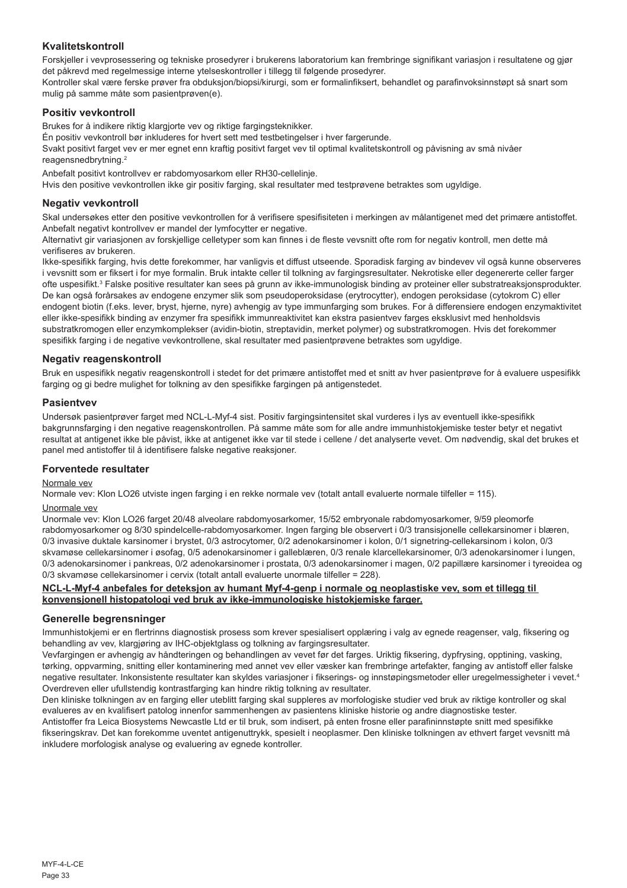## **Kvalitetskontroll**

Forskjeller i vevprosessering og tekniske prosedyrer i brukerens laboratorium kan frembringe signifikant variasjon i resultatene og gjør det påkrevd med regelmessige interne ytelseskontroller i tillegg til følgende prosedyrer.

Kontroller skal være ferske prøver fra obduksjon/biopsi/kirurgi, som er formalinfiksert, behandlet og parafinvoksinnstøpt så snart som mulig på samme måte som pasientprøven(e).

### **Positiv vevkontroll**

Brukes for å indikere riktig klargjorte vev og riktige fargingsteknikker.

Én positiv vevkontroll bør inkluderes for hvert sett med testbetingelser i hver fargerunde.

Svakt positivt farget vev er mer egnet enn kraftig positivt farget vev til optimal kvalitetskontroll og påvisning av små nivåer reagensnedbrytning.<sup>2</sup>

Anbefalt positivt kontrollvev er rabdomyosarkom eller RH30-cellelinje.

Hvis den positive vevkontrollen ikke gir positiv farging, skal resultater med testprøvene betraktes som ugyldige.

#### **Negativ vevkontroll**

Skal undersøkes etter den positive vevkontrollen for å verifisere spesifisiteten i merkingen av målantigenet med det primære antistoffet. Anbefalt negativt kontrollvev er mandel der lymfocytter er negative.

Alternativt gir variasjonen av forskjellige celletyper som kan finnes i de fleste vevsnitt ofte rom for negativ kontroll, men dette må verifiseres av brukeren.

Ikke-spesifikk farging, hvis dette forekommer, har vanligvis et diffust utseende. Sporadisk farging av bindevev vil også kunne observeres i vevsnitt som er fiksert i for mye formalin. Bruk intakte celler til tolkning av fargingsresultater. Nekrotiske eller degenererte celler farger ofte uspesifikt.<sup>3</sup> Falske positive resultater kan sees på grunn av ikke-immunologisk binding av proteiner eller substratreaksjonsprodukter. De kan også forårsakes av endogene enzymer slik som pseudoperoksidase (erytrocytter), endogen peroksidase (cytokrom C) eller endogent biotin (f.eks. lever, bryst, hjerne, nyre) avhengig av type immunfarging som brukes. For å differensiere endogen enzymaktivitet eller ikke-spesifikk binding av enzymer fra spesifikk immunreaktivitet kan ekstra pasientvev farges eksklusivt med henholdsvis substratkromogen eller enzymkomplekser (avidin-biotin, streptavidin, merket polymer) og substratkromogen. Hvis det forekommer spesifikk farging i de negative vevkontrollene, skal resultater med pasientprøvene betraktes som ugyldige.

### **Negativ reagenskontroll**

Bruk en uspesifikk negativ reagenskontroll i stedet for det primære antistoffet med et snitt av hver pasientprøve for å evaluere uspesifikk farging og gi bedre mulighet for tolkning av den spesifikke fargingen på antigenstedet.

#### **Pasientvev**

Undersøk pasientprøver farget med NCL-L-Myf-4 sist. Positiv fargingsintensitet skal vurderes i lys av eventuell ikke-spesifikk bakgrunnsfarging i den negative reagenskontrollen. På samme måte som for alle andre immunhistokjemiske tester betyr et negativt resultat at antigenet ikke ble påvist, ikke at antigenet ikke var til stede i cellene / det analyserte vevet. Om nødvendig, skal det brukes et panel med antistoffer til å identifisere falske negative reaksjoner.

#### **Forventede resultater**

#### Normale vev

Normale vev: Klon LO26 utviste ingen farging i en rekke normale vev (totalt antall evaluerte normale tilfeller = 115).

#### Unormale vev

Unormale vev: Klon LO26 farget 20/48 alveolare rabdomyosarkomer, 15/52 embryonale rabdomyosarkomer, 9/59 pleomorfe rabdomyosarkomer og 8/30 spindelcelle-rabdomyosarkomer. Ingen farging ble observert i 0/3 transisjonelle cellekarsinomer i blæren, 0/3 invasive duktale karsinomer i brystet, 0/3 astrocytomer, 0/2 adenokarsinomer i kolon, 0/1 signetring-cellekarsinom i kolon, 0/3 skvamøse cellekarsinomer i øsofag, 0/5 adenokarsinomer i galleblæren, 0/3 renale klarcellekarsinomer, 0/3 adenokarsinomer i lungen, 0/3 adenokarsinomer i pankreas, 0/2 adenokarsinomer i prostata, 0/3 adenokarsinomer i magen, 0/2 papillære karsinomer i tyreoidea og 0/3 skvamøse cellekarsinomer i cervix (totalt antall evaluerte unormale tilfeller = 228).

#### **NCL-L-Myf-4 anbefales for deteksjon av humant Myf-4-genp i normale og neoplastiske vev, som et tillegg til konvensjonell histopatologi ved bruk av ikke-immunologiske histokjemiske farger.**

#### **Generelle begrensninger**

Immunhistokjemi er en flertrinns diagnostisk prosess som krever spesialisert opplæring i valg av egnede reagenser, valg, fiksering og behandling av vev, klargjøring av IHC-objektglass og tolkning av fargingsresultater.

Vevfargingen er avhengig av håndteringen og behandlingen av vevet før det farges. Uriktig fiksering, dypfrysing, opptining, vasking, tørking, oppvarming, snitting eller kontaminering med annet vev eller væsker kan frembringe artefakter, fanging av antistoff eller falske negative resultater. Inkonsistente resultater kan skyldes variasjoner i fikserings- og innstøpingsmetoder eller uregelmessigheter i vevet.<sup>4</sup> Overdreven eller ufullstendig kontrastfarging kan hindre riktig tolkning av resultater.

Den kliniske tolkningen av en farging eller uteblitt farging skal suppleres av morfologiske studier ved bruk av riktige kontroller og skal evalueres av en kvalifisert patolog innenfor sammenhengen av pasientens kliniske historie og andre diagnostiske tester. Antistoffer fra Leica Biosystems Newcastle Ltd er til bruk, som indisert, på enten frosne eller parafininnstøpte snitt med spesifikke fikseringskrav. Det kan forekomme uventet antigenuttrykk, spesielt i neoplasmer. Den kliniske tolkningen av ethvert farget vevsnitt må inkludere morfologisk analyse og evaluering av egnede kontroller.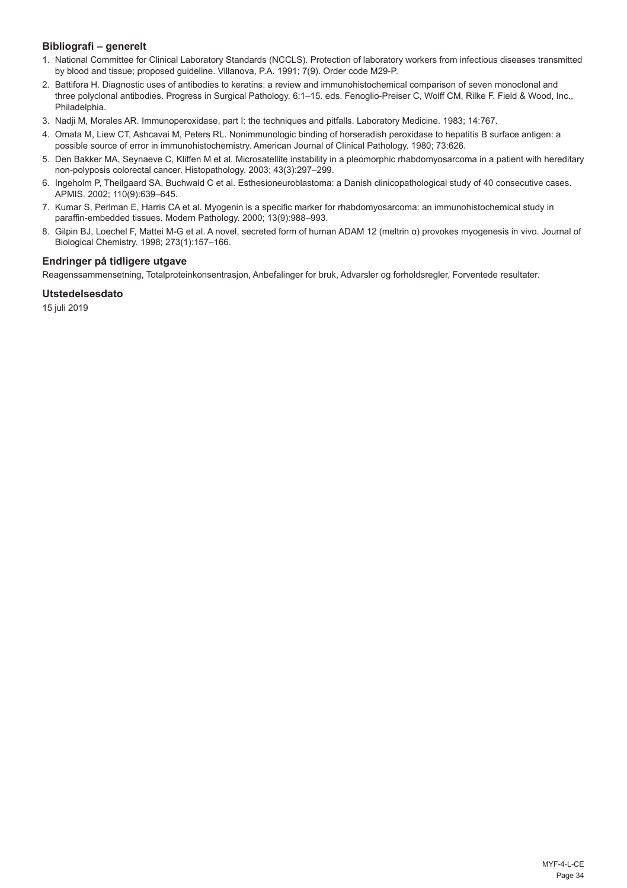## **Bibliografi – generelt**

- 1. National Committee for Clinical Laboratory Standards (NCCLS). Protection of laboratory workers from infectious diseases transmitted by blood and tissue; proposed guideline. Villanova, P.A. 1991; 7(9). Order code M29-P.
- 2. Battifora H. Diagnostic uses of antibodies to keratins: a review and immunohistochemical comparison of seven monoclonal and three polyclonal antibodies. Progress in Surgical Pathology. 6:1–15. eds. Fenoglio-Preiser C, Wolff CM, Rilke F. Field & Wood, Inc., Philadelphia.
- 3. Nadji M, Morales AR. Immunoperoxidase, part I: the techniques and pitfalls. Laboratory Medicine. 1983; 14:767.
- 4. Omata M, Liew CT, Ashcavai M, Peters RL. Nonimmunologic binding of horseradish peroxidase to hepatitis B surface antigen: a possible source of error in immunohistochemistry. American Journal of Clinical Pathology. 1980; 73:626.
- 5. Den Bakker MA, Seynaeve C, Kliffen M et al. Microsatellite instability in a pleomorphic rhabdomyosarcoma in a patient with hereditary non-polyposis colorectal cancer. Histopathology. 2003; 43(3):297–299.
- 6. Ingeholm P, Theilgaard SA, Buchwald C et al. Esthesioneuroblastoma: a Danish clinicopathological study of 40 consecutive cases. APMIS. 2002; 110(9):639–645.
- 7. Kumar S, Perlman E, Harris CA et al. Myogenin is a specific marker for rhabdomyosarcoma: an immunohistochemical study in paraffin-embedded tissues. Modern Pathology. 2000; 13(9):988–993.
- 8. Gilpin BJ, Loechel F, Mattei M-G et al. A novel, secreted form of human ADAM 12 (meltrin α) provokes myogenesis in vivo. Journal of Biological Chemistry. 1998; 273(1):157–166.

## **Endringer på tidligere utgave**

Reagenssammensetning, Totalproteinkonsentrasjon, Anbefalinger for bruk, Advarsler og forholdsregler, Forventede resultater.

## **Utstedelsesdato**

15 juli 2019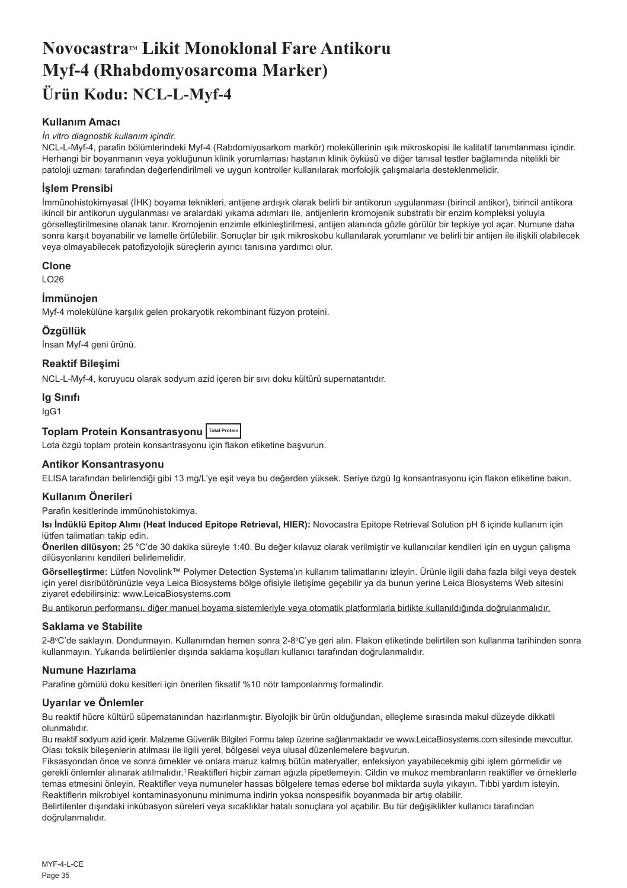## <span id="page-35-0"></span>**NovocastraTM Likit Monoklonal Fare Antikoru Myf-4 (Rhabdomyosarcoma Marker) Ürün Kodu: NCL-L-Myf-4**

## **Kullanım Amacı**

#### *İn vitro diagnostik kullanım içindir.*

NCL-L-Myf-4, parafin bölümlerindeki Myf-4 (Rabdomiyosarkom markör) moleküllerinin ışık mikroskopisi ile kalitatif tanımlanması içindir. Herhangi bir boyanmanın veya yokluğunun klinik yorumlaması hastanın klinik öyküsü ve diğer tanısal testler bağlamında nitelikli bir patoloji uzmanı tarafından değerlendirilmeli ve uygun kontroller kullanılarak morfolojik çalışmalarla desteklenmelidir.

### **İşlem Prensibi**

İmmünohistokimyasal (İHK) boyama teknikleri, antijene ardışık olarak belirli bir antikorun uygulanması (birincil antikor), birincil antikora ikincil bir antikorun uygulanması ve aralardaki yıkama adımları ile, antijenlerin kromojenik substratlı bir enzim kompleksi yoluyla görselleştirilmesine olanak tanır. Kromojenin enzimle etkinleştirilmesi, antijen alanında gözle görülür bir tepkiye yol açar. Numune daha sonra karşıt boyanabilir ve lamelle örtülebilir. Sonuçlar bir ışık mikroskobu kullanılarak yorumlanır ve belirli bir antijen ile ilişkili olabilecek veya olmayabilecek patofizyolojik süreçlerin ayırıcı tanısına yardımcı olur.

#### **Clone**

LO26

#### **İmmünojen**

Myf-4 molekülüne karşılık gelen prokaryotik rekombinant füzyon proteini.

#### **Özgüllük**

İnsan Myf-4 geni ürünü.

#### **Reaktif Bileşimi**

NCL-L-Myf-4, koruyucu olarak sodyum azid içeren bir sıvı doku kültürü supernatantıdır.

#### **Ig Sınıfı**

IgG1

## **Toplam Protein Konsantrasyonu Total Protein**

Lota özgü toplam protein konsantrasyonu için flakon etiketine başvurun.

#### **Antikor Konsantrasyonu**

ELISA tarafından belirlendiği gibi 13 mg/L'ye eşit veya bu değerden yüksek. Seriye özgü Ig konsantrasyonu için flakon etiketine bakın.

#### **Kullanım Önerileri**

Parafin kesitlerinde immünohistokimya.

**Isı İndüklü Epitop Alımı (Heat Induced Epitope Retrieval, HIER):** Novocastra Epitope Retrieval Solution pH 6 içinde kullanım için lütfen talimatları takip edin.

**Önerilen dilüsyon:** 25 °C'de 30 dakika süreyle 1:40. Bu değer kılavuz olarak verilmiştir ve kullanıcılar kendileri için en uygun çalışma dilüsyonlarını kendileri belirlemelidir.

**Görselleştirme:** Lütfen Novolink™ Polymer Detection Systems'ın kullanım talimatlarını izleyin. Ürünle ilgili daha fazla bilgi veya destek için yerel disribütörünüzle veya Leica Biosystems bölge ofisiyle iletişime geçebilir ya da bunun yerine Leica Biosystems Web sitesini ziyaret edebilirsiniz: www.LeicaBiosystems.com

Bu antikorun performansı, diğer manuel boyama sistemleriyle veya otomatik platformlarla birlikte kullanıldığında doğrulanmalıdır.

#### **Saklama ve Stabilite**

2-8ºC'de saklayın. Dondurmayın. Kullanımdan hemen sonra 2-8ºC'ye geri alın. Flakon etiketinde belirtilen son kullanma tarihinden sonra kullanmayın. Yukarıda belirtilenler dışında saklama koşulları kullanıcı tarafından doğrulanmalıdır.

#### **Numune Hazırlama**

Parafine gömülü doku kesitleri için önerilen fiksatif %10 nötr tamponlanmış formalindir.

#### **Uyarılar ve Önlemler**

Bu reaktif hücre kültürü süpernatanından hazırlanmıştır. Biyolojik bir ürün olduğundan, elleçleme sırasında makul düzeyde dikkatli olunmalıdır.

Bu reaktif sodyum azid içerir. Malzeme Güvenlik Bilgileri Formu talep üzerine sağlanmaktadır ve www.LeicaBiosystems.com sitesinde mevcuttur. Olası toksik bileşenlerin atılması ile ilgili yerel, bölgesel veya ulusal düzenlemelere başvurun.

Fiksasyondan önce ve sonra örnekler ve onlara maruz kalmış bütün materyaller, enfeksiyon yayabilecekmiş gibi işlem görmelidir ve gerekli önlemler alınarak atılmalıdır.<sup>1</sup>Reaktifleri hiçbir zaman ağızla pipetlemeyin. Cildin ve mukoz membranların reaktifler ve örneklerle temas etmesini önleyin. Reaktifler veya numuneler hassas bölgelere temas ederse bol miktarda suyla yıkayın. Tıbbi yardım isteyin. Reaktiflerin mikrobiyel kontaminasyonunu minimuma indirin yoksa nonspesifik boyanmada bir artış olabilir.

Belirtilenler dışındaki inkübasyon süreleri veya sıcaklıklar hatalı sonuçlara yol açabilir. Bu tür değişiklikler kullanıcı tarafından doğrulanmalıdır.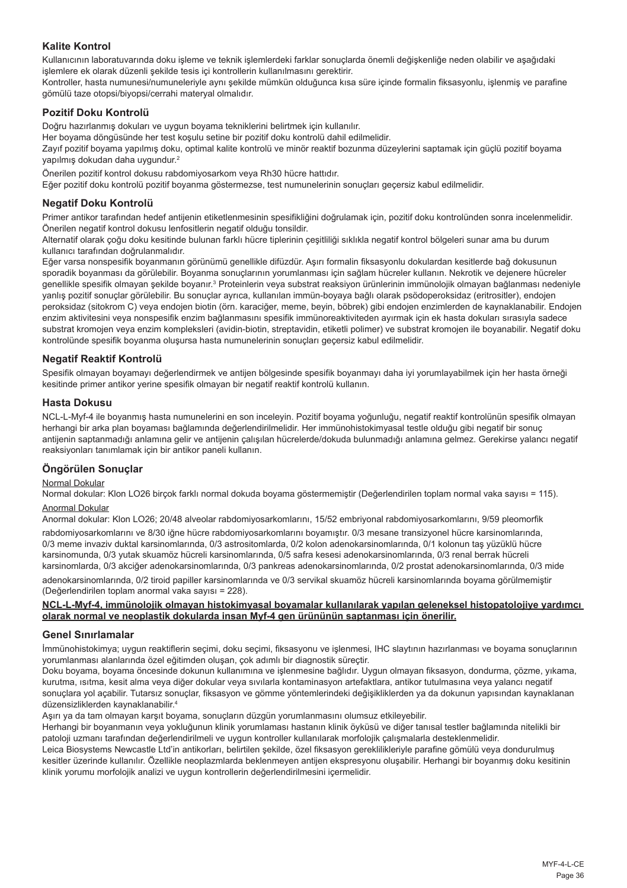## **Kalite Kontrol**

Kullanıcının laboratuvarında doku işleme ve teknik işlemlerdeki farklar sonuçlarda önemli değişkenliğe neden olabilir ve aşağıdaki işlemlere ek olarak düzenli şekilde tesis içi kontrollerin kullanılmasını gerektirir.

Kontroller, hasta numunesi/numuneleriyle aynı şekilde mümkün olduğunca kısa süre içinde formalin fiksasyonlu, işlenmiş ve parafine gömülü taze otopsi/biyopsi/cerrahi materyal olmalıdır.

### **Pozitif Doku Kontrolü**

Doğru hazırlanmış dokuları ve uygun boyama tekniklerini belirtmek için kullanılır.

Her boyama döngüsünde her test koşulu setine bir pozitif doku kontrolü dahil edilmelidir.

Zayıf pozitif boyama yapılmış doku, optimal kalite kontrolü ve minör reaktif bozunma düzeylerini saptamak için güçlü pozitif boyama yapılmış dokudan daha uygundur.<sup>2</sup>

Önerilen pozitif kontrol dokusu rabdomiyosarkom veya Rh30 hücre hattıdır.

Eğer pozitif doku kontrolü pozitif boyanma göstermezse, test numunelerinin sonuçları geçersiz kabul edilmelidir.

#### **Negatif Doku Kontrolü**

Primer antikor tarafından hedef antijenin etiketlenmesinin spesifikliğini doğrulamak için, pozitif doku kontrolünden sonra incelenmelidir. Önerilen negatif kontrol dokusu lenfositlerin negatif olduğu tonsildir.

Alternatif olarak çoğu doku kesitinde bulunan farklı hücre tiplerinin çeşitliliği sıklıkla negatif kontrol bölgeleri sunar ama bu durum kullanıcı tarafından doğrulanmalıdır.

Eğer varsa nonspesifik boyanmanın görünümü genellikle difüzdür. Aşırı formalin fiksasyonlu dokulardan kesitlerde bağ dokusunun sporadik boyanması da görülebilir. Boyanma sonuçlarının yorumlanması için sağlam hücreler kullanın. Nekrotik ve dejenere hücreler genellikle spesifik olmayan şekilde boyanır.<sup>3</sup> Proteinlerin veya substrat reaksiyon ürünlerinin immünolojik olmayan bağlanması nedeniyle yanlış pozitif sonuçlar görülebilir. Bu sonuçlar ayrıca, kullanılan immün-boyaya bağlı olarak psödoperoksidaz (eritrositler), endojen peroksidaz (sitokrom C) veya endojen biotin (örn. karaciğer, meme, beyin, böbrek) gibi endojen enzimlerden de kaynaklanabilir. Endojen enzim aktivitesini veya nonspesifik enzim bağlanmasını spesifik immünoreaktiviteden ayırmak için ek hasta dokuları sırasıyla sadece substrat kromojen veya enzim kompleksleri (avidin-biotin, streptavidin, etiketli polimer) ve substrat kromojen ile boyanabilir. Negatif doku kontrolünde spesifik boyanma oluşursa hasta numunelerinin sonuçları geçersiz kabul edilmelidir.

#### **Negatif Reaktif Kontrolü**

Spesifik olmayan boyamayı değerlendirmek ve antijen bölgesinde spesifik boyanmayı daha iyi yorumlayabilmek için her hasta örneği kesitinde primer antikor yerine spesifik olmayan bir negatif reaktif kontrolü kullanın.

#### **Hasta Dokusu**

NCL-L-Myf-4 ile boyanmış hasta numunelerini en son inceleyin. Pozitif boyama yoğunluğu, negatif reaktif kontrolünün spesifik olmayan herhangi bir arka plan boyaması bağlamında değerlendirilmelidir. Her immünohistokimyasal testle olduğu gibi negatif bir sonuç antijenin saptanmadığı anlamına gelir ve antijenin çalışılan hücrelerde/dokuda bulunmadığı anlamına gelmez. Gerekirse yalancı negatif reaksiyonları tanımlamak için bir antikor paneli kullanın.

#### **Öngörülen Sonuçlar**

#### Normal Dokular

Normal dokular: Klon LO26 birçok farklı normal dokuda boyama göstermemiştir (Değerlendirilen toplam normal vaka sayısı = 115). Anormal Dokular

Anormal dokular: Klon LO26; 20/48 alveolar rabdomiyosarkomlarını, 15/52 embriyonal rabdomiyosarkomlarını, 9/59 pleomorfik rabdomiyosarkomlarını ve 8/30 iğne hücre rabdomiyosarkomlarını boyamıştır. 0/3 mesane transizyonel hücre karsinomlarında, 0/3 meme invaziv duktal karsinomlarında, 0/3 astrositomlarda, 0/2 kolon adenokarsinomlarında, 0/1 kolonun taş yüzüklü hücre karsinomunda, 0/3 yutak skuamöz hücreli karsinomlarında, 0/5 safra kesesi adenokarsinomlarında, 0/3 renal berrak hücreli karsinomlarda, 0/3 akciğer adenokarsinomlarında, 0/3 pankreas adenokarsinomlarında, 0/2 prostat adenokarsinomlarında, 0/3 mide adenokarsinomlarında, 0/2 tiroid papiller karsinomlarında ve 0/3 servikal skuamöz hücreli karsinomlarında boyama görülmemiştir

(Değerlendirilen toplam anormal vaka sayısı = 228).

#### **NCL-L-Myf-4, immünolojik olmayan histokimyasal boyamalar kullanılarak yapılan geleneksel histopatolojiye yardımcı olarak normal ve neoplastik dokularda insan Myf-4 gen ürününün saptanması için önerilir.**

#### **Genel Sınırlamalar**

İmmünohistokimya; uygun reaktiflerin seçimi, doku seçimi, fiksasyonu ve işlenmesi, IHC slaytının hazırlanması ve boyama sonuçlarının yorumlanması alanlarında özel eğitimden oluşan, çok adımlı bir diagnostik süreçtir.

Doku boyama, boyama öncesinde dokunun kullanımına ve işlenmesine bağlıdır. Uygun olmayan fiksasyon, dondurma, çözme, yıkama, kurutma, ısıtma, kesit alma veya diğer dokular veya sıvılarla kontaminasyon artefaktlara, antikor tutulmasına veya yalancı negatif sonuçlara yol açabilir. Tutarsız sonuçlar, fiksasyon ve gömme yöntemlerindeki değişikliklerden ya da dokunun yapısından kaynaklanan düzensizliklerden kaynaklanabilir.<sup>4</sup>

Aşırı ya da tam olmayan karşıt boyama, sonuçların düzgün yorumlanmasını olumsuz etkileyebilir.

Herhangi bir boyanmanın veya yokluğunun klinik yorumlaması hastanın klinik öyküsü ve diğer tanısal testler bağlamında nitelikli bir patoloji uzmanı tarafından değerlendirilmeli ve uygun kontroller kullanılarak morfolojik çalışmalarla desteklenmelidir.

Leica Biosystems Newcastle Ltd'in antikorları, belirtilen şekilde, özel fiksasyon gereklilikleriyle parafine gömülü veya dondurulmuş kesitler üzerinde kullanılır. Özellikle neoplazmlarda beklenmeyen antijen ekspresyonu oluşabilir. Herhangi bir boyanmış doku kesitinin klinik yorumu morfolojik analizi ve uygun kontrollerin değerlendirilmesini içermelidir.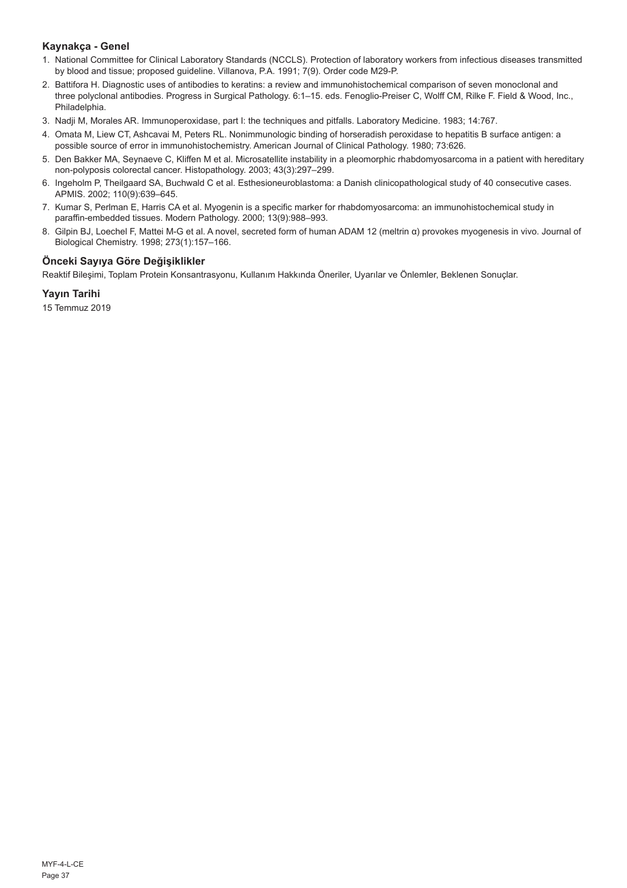## **Kaynakça - Genel**

- 1. National Committee for Clinical Laboratory Standards (NCCLS). Protection of laboratory workers from infectious diseases transmitted by blood and tissue; proposed guideline. Villanova, P.A. 1991; 7(9). Order code M29-P.
- 2. Battifora H. Diagnostic uses of antibodies to keratins: a review and immunohistochemical comparison of seven monoclonal and three polyclonal antibodies. Progress in Surgical Pathology. 6:1–15. eds. Fenoglio-Preiser C, Wolff CM, Rilke F. Field & Wood, Inc., Philadelphia.
- 3. Nadji M, Morales AR. Immunoperoxidase, part I: the techniques and pitfalls. Laboratory Medicine. 1983; 14:767.
- 4. Omata M, Liew CT, Ashcavai M, Peters RL. Nonimmunologic binding of horseradish peroxidase to hepatitis B surface antigen: a possible source of error in immunohistochemistry. American Journal of Clinical Pathology. 1980; 73:626.
- 5. Den Bakker MA, Seynaeve C, Kliffen M et al. Microsatellite instability in a pleomorphic rhabdomyosarcoma in a patient with hereditary non-polyposis colorectal cancer. Histopathology. 2003; 43(3):297–299.
- 6. Ingeholm P, Theilgaard SA, Buchwald C et al. Esthesioneuroblastoma: a Danish clinicopathological study of 40 consecutive cases. APMIS. 2002; 110(9):639–645.
- 7. Kumar S, Perlman E, Harris CA et al. Myogenin is a specific marker for rhabdomyosarcoma: an immunohistochemical study in paraffin-embedded tissues. Modern Pathology. 2000; 13(9):988–993.
- 8. Gilpin BJ, Loechel F, Mattei M-G et al. A novel, secreted form of human ADAM 12 (meltrin α) provokes myogenesis in vivo. Journal of Biological Chemistry. 1998; 273(1):157–166.

## **Önceki Sayıya Göre Değişiklikler**

Reaktif Bileşimi, Toplam Protein Konsantrasyonu, Kullanım Hakkında Öneriler, Uyarılar ve Önlemler, Beklenen Sonuçlar.

## **Yayın Tarihi**

15 Temmuz 2019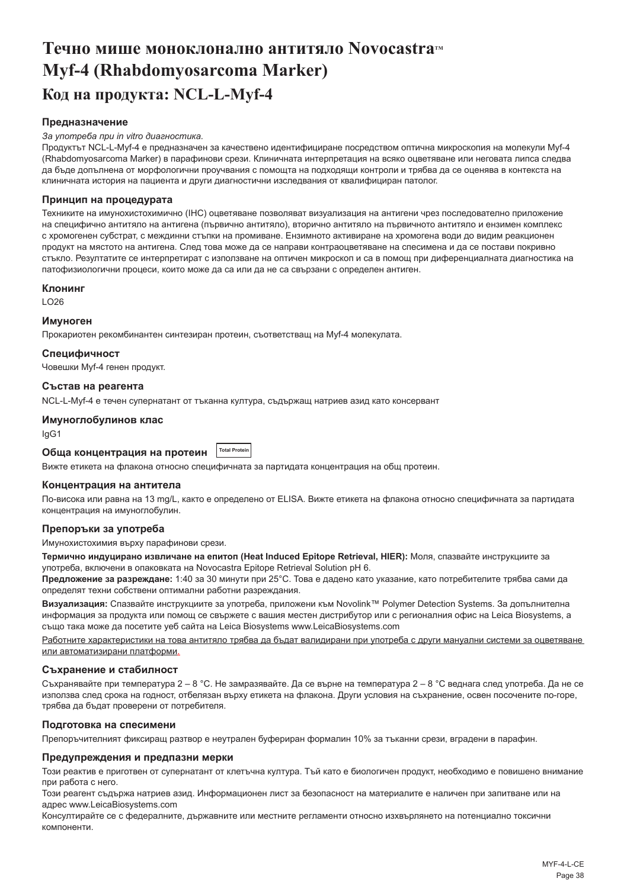## <span id="page-38-0"></span>**Течно мише моноклонално антитяло Novocastra™ Myf-4 (Rhabdomyosarcoma Marker) Код на продукта: NCL-L-Myf-4**

#### **Предназначение**

#### *За употреба при in vitro диагностика.*

Продуктът NCL-L-Myf-4 е предназначен за качествено идентифициране посредством оптична микроскопия на молекули Myf-4 (Rhabdomyosarcoma Marker) в парафинови срези. Клиничната интерпретация на всяко оцветяване или неговата липса следва да бъде допълнена от морфологични проучвания с помощта на подходящи контроли и трябва да се оценява в контекста на клиничната история на пациента и други диагностични изследвания от квалифициран патолог.

#### **Принцип на процедурата**

Техниките на имунохистохимично (IHC) оцветяване позволяват визуализация на антигени чрез последователно приложение на специфично антитяло на антигена (първично антитяло), вторично антитяло на първичното антитяло и ензимен комплекс с хромогенен субстрат, с междинни стъпки на промиване. Ензимното активиране на хромогена води до видим реакционен продукт на мястото на антигена. След това може да се направи контраоцветяване на спесимена и да се постави покривно стъкло. Резултатите се интерпретират с използване на оптичен микроскоп и са в помощ при диференциалната диагностика на патофизиологични процеси, които може да са или да не са свързани с определен антиген.

#### **Клонинг**

LO26

#### **Имуноген**

Прокариотен рекомбинантен синтезиран протеин, съответстващ на Myf-4 молекулата.

#### **Специфичност**

Човешки Myf-4 генен продукт.

## **Състав на реагента**

NCL-L-Myf-4 е течен супернатант от тъканна култура, съдържащ натриев азид като консервант

#### **Имуноглобулинов клас**

IgG1

#### **Обща концентрация на протеин Total Protein**

Вижте етикета на флакона относно специфичната за партидата концентрация на общ протеин.

#### **Концентрация на антитела**

По-висока или равна на 13 mg/L, както е определено от ELISA. Вижте етикета на флакона относно специфичната за партидата концентрация на имуноглобулин.

#### **Препоръки за употреба**

Имунохистохимия върху парафинови срези.

**Термично индуцирано извличане на епитоп (Heat Induced Epitope Retrieval, HIER):** Моля, спазвайте инструкциите за употреба, включени в опаковката на Novocastra Epitope Retrieval Solution pH 6.

**Предложение за разреждане:** 1:40 за 30 минути при 25°C. Това е дадено като указание, като потребителите трябва сами да определят техни собствени оптимални работни разреждания.

**Визуализация:** Спазвайте инструкциите за употреба, приложени към Novolink™ Polymer Detection Systems. За допълнителна информация за продукта или помощ се свържете с вашия местен дистрибутор или с регионалния офис на Leica Biosystems, а също така може да посетите уеб сайта на Leica Biosystems www.LeicaBiosystems.com

Работните характеристики на това антитяло трябва да бъдат валидирани при употреба с други мануални системи за оцветяване или автоматизирани платформи.

#### **Съхранение и стабилност**

Съхранявайте при температура 2 – 8 °С. Не замразявайте. Да се върне на температура 2 – 8 °С веднага след употреба. Да не се използва след срока на годност, отбелязан върху етикета на флакона. Други условия на съхранение, освен посочените по-горе, трябва да бъдат проверени от потребителя.

#### **Подготовка на спесимени**

Препоръчителният фиксиращ разтвор е неутрален буфериран формалин 10% за тъканни срези, вградени в парафин.

#### **Предупреждения и предпазни мерки**

Този реактив е приготвен от супернатант от клетъчна култура. Тъй като е биологичен продукт, необходимо е повишено внимание при работа с него.

Този реагент съдържа натриев азид. Информационен лист за безопасност на материалите е наличен при запитване или на адрес www.LeicaBiosystems.com

Консултирайте се с федералните, държавните или местните регламенти относно изхвърлянето на потенциално токсични компоненти.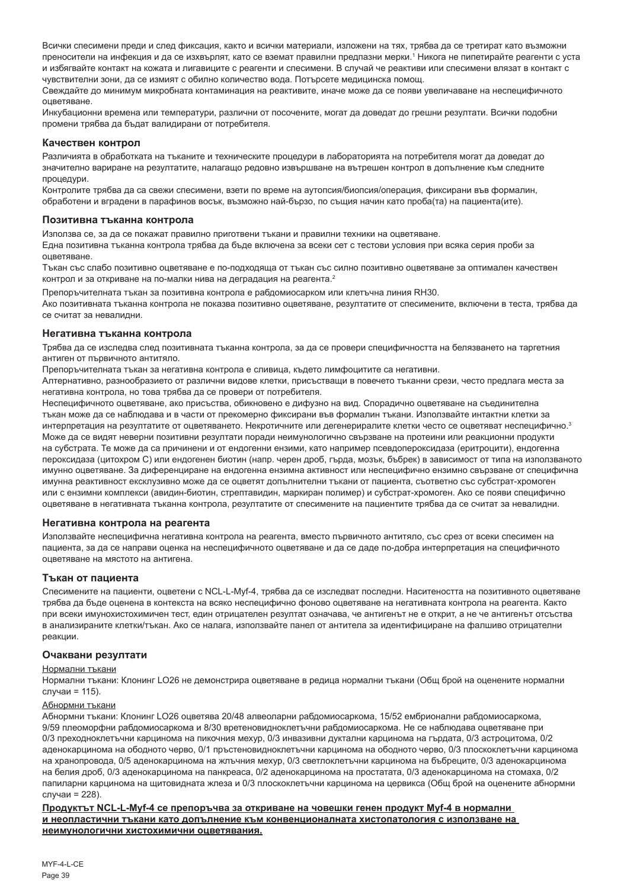Всички спесимени преди и след фиксация, както и всички материали, изложени на тях, трябва да се третират като възможни преносители на инфекция и да се изхвърлят, като се вземат правилни предпазни мерки.' Никога не пипетирайте реагенти с уста и избягвайте контакт на кожата и лигавиците с реагенти и спесимени. В случай че реактиви или спесимени влязат в контакт с чувствителни зони, да се измият с обилно количество вода. Потърсете медицинска помощ.

Свеждайте до минимум микробната контаминация на реактивите, иначе може да се появи увеличаване на неспецифичното оцветяване.

Инкубационни времена или температури, различни от посочените, могат да доведат до грешни резултати. Всички подобни промени трябва да бъдат валидирани от потребителя.

#### **Качествен контрол**

Различията в обработката на тъканите и техническите процедури в лабораторията на потребителя могат да доведат до значително вариране на резултатите, налагащо редовно извършване на вътрешен контрол в допълнение към следните процедури.

Контролите трябва да са свежи спесимени, взети по време на аутопсия/биопсия/операция, фиксирани във формалин, обработени и вградени в парафинов восък, възможно най-бързо, по същия начин като проба(та) на пациента(ите).

#### **Позитивна тъканна контрола**

Използва се, за да се покажат правилно приготвени тъкани и правилни техники на оцветяване.

Една позитивна тъканна контрола трябва да бъде включена за всеки сет с тестови условия при всяка серия проби за оцветяване.

Тъкан със слабо позитивно оцветяване е по-подходяща от тъкан със силно позитивно оцветяване за оптимален качествен контрол и за откриване на по-малки нива на деградация на реагента.<sup>2</sup>

Препоръчителната тъкан за позитивна контрола е рабдомиосарком или клетъчна линия RH30.

Ако позитивната тъканна контрола не показва позитивно оцветяване, резултатите от спесимените, включени в теста, трябва да се считат за невалидни.

#### **Негативна тъканна контрола**

Трябва да се изследва след позитивната тъканна контрола, за да се провери специфичността на белязването на таргетния антиген от първичното антитяло.

Препоръчителната тъкан за негативна контрола е сливица, където лимфоцитите са негативни.

Алтернативно, разнообразието от различни видове клетки, присъстващи в повечето тъканни срези, често предлага места за негативна контрола, но това трябва да се провери от потребителя.

Неспецифичното оцветяване, ако присъства, обикновено е дифузно на вид. Спорадично оцветяване на съединителна тъкан може да се наблюдава и в части от прекомерно фиксирани във формалин тъкани. Използвайте интактни клетки за интерпретация на резултатите от оцветяването. Некротичните или дегенериралите клетки често се оцветяват неспецифично.<sup>3</sup> Може да се видят неверни позитивни резултати поради неимунологично свързване на протеини или реакционни продукти на субстрата. Те може да са причинени и от ендогенни ензими, като например псевдопероксидаза (еритроцити), ендогенна пероксидаза (цитохром C) или ендогенен биотин (напр. черен дроб, гърда, мозък, бъбрек) в зависимост от типа на използваното имунно оцветяване. За диференциране на ендогенна ензимна активност или неспецифично ензимно свързване от специфична имунна реактивност ексклузивно може да се оцветят допълнителни тъкани от пациента, съответно със субстрат-хромоген или с ензимни комплекси (авидин-биотин, стрептавидин, маркиран полимер) и субстрат-хромоген. Ако се появи специфично оцветяване в негативната тъканна контрола, резултатите от спесимените на пациентите трябва да се считат за невалидни.

#### **Негативна контрола на реагента**

Използвайте неспецифична негативна контрола на реагента, вместо първичното антитяло, със срез от всеки спесимен на пациента, за да се направи оценка на неспецифичното оцветяване и да се даде по-добра интерпретация на специфичното оцветяване на мястото на антигена.

#### **Тъкан от пациента**

Спесимените на пациенти, оцветени с NCL-L-Myf-4, трябва да се изследват последни. Наситеността на позитивното оцветяване трябва да бъде оценена в контекста на всяко неспецифично фоново оцветяване на негативната контрола на реагента. Както при всеки имунохистохимичен тест, един отрицателен резултат означава, че антигенът не е открит, а не че антигенът отсъства в анализираните клетки/тъкан. Ако се налага, използвайте панел от антитела за идентифициране на фалшиво отрицателни реакции.

#### **Очаквани резултати**

#### Нормални тъкани

Нормални тъкани: Клонинг LO26 не демонстрира оцветяване в редица нормални тъкани (Общ брой на оценените нормални случаи = 115).

#### Абнормни тъкани

Абнормни тъкани: Клонинг LO26 оцветява 20/48 алвеоларни рабдомиосаркома, 15/52 ембрионални рабдомиосаркома, 9/59 плеоморфни рабдомиосаркома и 8/30 вретеновидноклетъчни рабдомиосаркома. Не се наблюдава оцветяване при 0/3 преходноклетъчни карцинома на пикочния мехур, 0/3 инвазивни дуктални карцинома на гърдата, 0/3 астроцитома, 0/2 аденокарцинома на ободното черво, 0/1 пръстеновидноклетъчни карцинома на ободното черво, 0/3 плоскоклетъчни карцинома на хранопровода, 0/5 аденокарцинома на жлъчния мехур, 0/3 светлоклетъчни карцинома на бъбреците, 0/3 аденокарцинома на белия дроб, 0/3 аденокарцинома на панкреаса, 0/2 аденокарцинома на простатата, 0/3 аденокарцинома на стомаха, 0/2 папиларни карцинома на щитовидната жлеза и 0/3 плоскоклетъчни карцинома на цервикса (Общ брой на оценените абнормни случаи = 228).

**Продуктът NCL-L-Myf-4 се препоръчва за откриване на човешки генен продукт Myf-4 в нормални и неопластични тъкани като допълнение към конвенционалната хистопатология с използване на неимунологични хистохимични оцветявания.**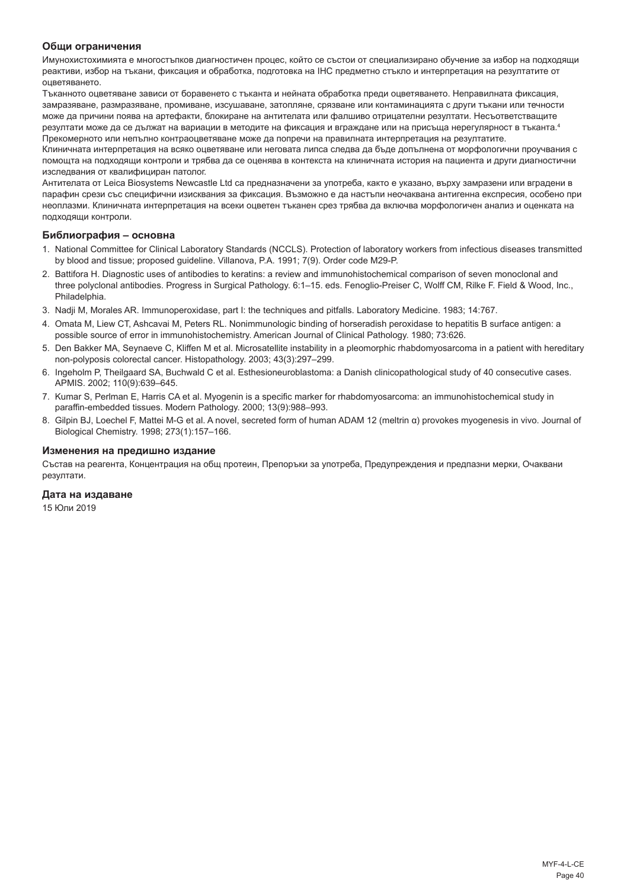#### **Общи ограничения**

Имунохистохимията е многостъпков диагностичен процес, който се състои от специализирано обучение за избор на подходящи реактиви, избор на тъкани, фиксация и обработка, подготовка на IHC предметно стъкло и интерпретация на резултатите от оцветяването.

Тъканното оцветяване зависи от боравенето с тъканта и нейната обработка преди оцветяването. Неправилната фиксация, замразяване, размразяване, промиване, изсушаване, затопляне, срязване или контаминацията с други тъкани или течности може да причини поява на артефакти, блокиране на антителата или фалшиво отрицателни резултати. Несъответстващите резултати може да се дължат на вариации в методите на фиксация и вграждане или на присъща нерегулярност в тъканта.<sup>4</sup> Прекомерното или непълно контраоцветяване може да попречи на правилната интерпретация на резултатите.

Клиничната интерпретация на всяко оцветяване или неговата липса следва да бъде допълнена от морфологични проучвания с помощта на подходящи контроли и трябва да се оценява в контекста на клиничната история на пациента и други диагностични изследвания от квалифициран патолог.

Антителата от Leica Biosystems Newcastle Ltd са предназначени за употреба, както е указано, върху замразени или вградени в парафин срези със специфични изисквания за фиксация. Възможно е да настъпи неочаквана антигенна експресия, особено при неоплазми. Клиничната интерпретация на всеки оцветен тъканен срез трябва да включва морфологичен анализ и оценката на подходящи контроли.

#### **Библиография – основна**

- 1. National Committee for Clinical Laboratory Standards (NCCLS). Protection of laboratory workers from infectious diseases transmitted by blood and tissue; proposed guideline. Villanova, P.A. 1991; 7(9). Order code M29-P.
- 2. Battifora H. Diagnostic uses of antibodies to keratins: a review and immunohistochemical comparison of seven monoclonal and three polyclonal antibodies. Progress in Surgical Pathology. 6:1–15. eds. Fenoglio-Preiser C, Wolff CM, Rilke F. Field & Wood, Inc., Philadelphia.
- 3. Nadji M, Morales AR. Immunoperoxidase, part I: the techniques and pitfalls. Laboratory Medicine. 1983; 14:767.
- 4. Omata M, Liew CT, Ashcavai M, Peters RL. Nonimmunologic binding of horseradish peroxidase to hepatitis B surface antigen: a possible source of error in immunohistochemistry. American Journal of Clinical Pathology. 1980; 73:626.
- 5. Den Bakker MA, Seynaeve C, Kliffen M et al. Microsatellite instability in a pleomorphic rhabdomyosarcoma in a patient with hereditary non-polyposis colorectal cancer. Histopathology. 2003; 43(3):297–299.
- 6. Ingeholm P, Theilgaard SA, Buchwald C et al. Esthesioneuroblastoma: a Danish clinicopathological study of 40 consecutive cases. APMIS. 2002; 110(9):639–645.
- 7. Kumar S, Perlman E, Harris CA et al. Myogenin is a specific marker for rhabdomyosarcoma: an immunohistochemical study in paraffin-embedded tissues. Modern Pathology. 2000; 13(9):988–993.
- 8. Gilpin BJ, Loechel F, Mattei M-G et al. A novel, secreted form of human ADAM 12 (meltrin α) provokes myogenesis in vivo. Journal of Biological Chemistry. 1998; 273(1):157–166.

#### **Изменения на предишно издание**

Състав на реагента, Концентрация на общ протеин, Препоръки за употреба, Предупреждения и предпазни мерки, Очаквани резултати.

#### **Дата на издаване**

15 Юли 2019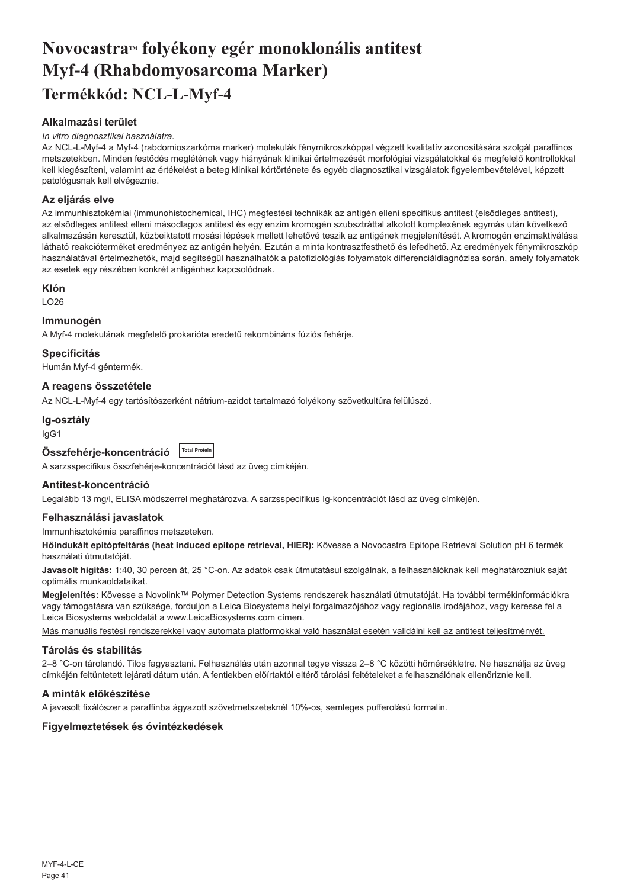## <span id="page-41-0"></span>Novocastra™ folyékony egér monoklonális antitest **Myf-4 (Rhabdomyosarcoma Marker) Termékkód: NCL-L-Myf-4**

## **Alkalmazási terület**

#### *In vitro diagnosztikai használatra.*

Az NCL-L-Myf-4 a Myf-4 (rabdomioszarkóma marker) molekulák fénymikroszkóppal végzett kvalitatív azonosítására szolgál paraffinos metszetekben. Minden festődés meglétének vagy hiányának klinikai értelmezését morfológiai vizsgálatokkal és megfelelő kontrollokkal kell kiegészíteni, valamint az értékelést a beteg klinikai kórtörténete és egyéb diagnosztikai vizsgálatok figyelembevételével, képzett patológusnak kell elvégeznie.

#### **Az eljárás elve**

Az immunhisztokémiai (immunohistochemical, IHC) megfestési technikák az antigén elleni specifikus antitest (elsődleges antitest), az elsődleges antitest elleni másodlagos antitest és egy enzim kromogén szubsztráttal alkotott komplexének egymás után következő alkalmazásán keresztül, közbeiktatott mosási lépések mellett lehetővé teszik az antigének megjelenítését. A kromogén enzimaktiválása látható reakcióterméket eredményez az antigén helyén. Ezután a minta kontrasztfesthető és lefedhető. Az eredmények fénymikroszkóp használatával értelmezhetők, majd segítségül használhatók a patofiziológiás folyamatok differenciáldiagnózisa során, amely folyamatok az esetek egy részében konkrét antigénhez kapcsolódnak.

#### **Klón**

LO26

#### **Immunogén**

A Myf-4 molekulának megfelelő prokarióta eredetű rekombináns fúziós fehérje.

#### **Specificitás**

Humán Myf-4 géntermék.

### **A reagens összetétele**

Az NCL-L-Myf-4 egy tartósítószerként nátrium-azidot tartalmazó folyékony szövetkultúra felülúszó.

#### **Ig-osztály**

IgG1

| Összfehérje-koncentráció Total Protein |  |
|----------------------------------------|--|
|                                        |  |

A sarzsspecifikus összfehérje-koncentrációt lásd az üveg címkéjén.

#### **Antitest-koncentráció**

Legalább 13 mg/l, ELISA módszerrel meghatározva. A sarzsspecifikus Ig-koncentrációt lásd az üveg címkéjén.

#### **Felhasználási javaslatok**

Immunhisztokémia paraffinos metszeteken.

**Hőindukált epitópfeltárás (heat induced epitope retrieval, HIER):** Kövesse a Novocastra Epitope Retrieval Solution pH 6 termék használati útmutatóját.

**Javasolt hígítás:** 1:40, 30 percen át, 25 °C-on. Az adatok csak útmutatásul szolgálnak, a felhasználóknak kell meghatározniuk saját optimális munkaoldataikat.

**Megjelenítés:** Kövesse a Novolink™ Polymer Detection Systems rendszerek használati útmutatóját. Ha további termékinformációkra vagy támogatásra van szüksége, forduljon a Leica Biosystems helyi forgalmazójához vagy regionális irodájához, vagy keresse fel a Leica Biosystems weboldalát a www.LeicaBiosystems.com címen.

Más manuális festési rendszerekkel vagy automata platformokkal való használat esetén validálni kell az antitest teljesítményét.

#### **Tárolás és stabilitás**

2–8 °C-on tárolandó. Tilos fagyasztani. Felhasználás után azonnal tegye vissza 2–8 °C közötti hőmérsékletre. Ne használja az üveg címkéjén feltüntetett lejárati dátum után. A fentiekben előírtaktól eltérő tárolási feltételeket a felhasználónak ellenőriznie kell.

#### **A minták előkészítése**

A javasolt fixálószer a paraffinba ágyazott szövetmetszeteknél 10%-os, semleges pufferolású formalin.

#### **Figyelmeztetések és óvintézkedések**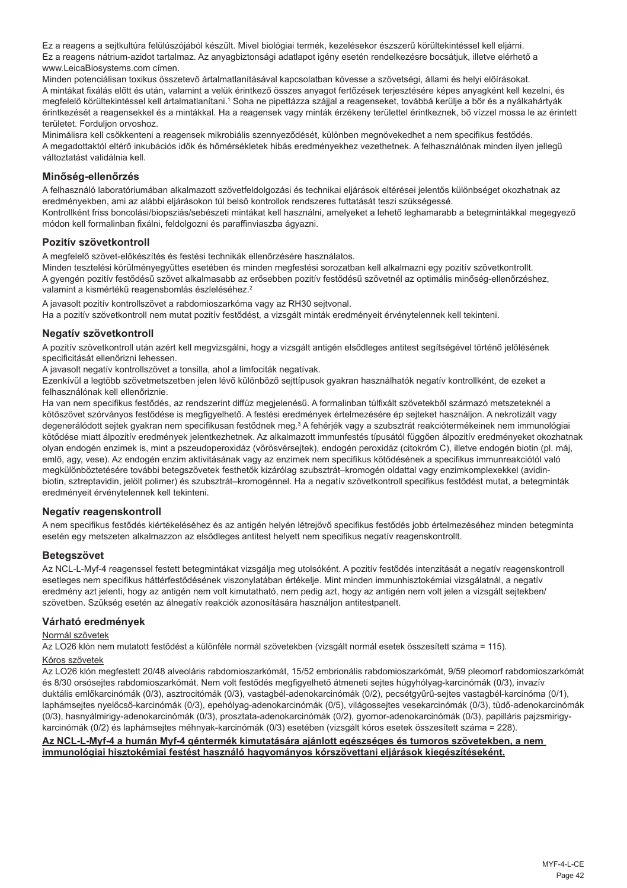Ez a reagens a sejtkultúra felülúszójából készült. Mivel biológiai termék, kezelésekor észszerű körültekintéssel kell eljárni. Ez a reagens nátrium-azidot tartalmaz. Az anyagbiztonsági adatlapot igény esetén rendelkezésre bocsátjuk, illetve elérhető a www.LeicaBiosystems.com címen.

Minden potenciálisan toxikus összetevő ártalmatlanításával kapcsolatban kövesse a szövetségi, állami és helyi előírásokat. A mintákat fixálás előtt és után, valamint a velük érintkező összes anyagot fertőzések terjesztésére képes anyagként kell kezelni, és megfelelő körültekintéssel kell ártalmatlanítani.' Soha ne pipettázza szájjal a reagenseket, továbbá kerülje a bőr és a nyálkahártyák érintkezését a reagensekkel és a mintákkal. Ha a reagensek vagy minták érzékeny területtel érintkeznek, bő vízzel mossa le az érintett területet. Forduljon orvoshoz.

Minimálisra kell csökkenteni a reagensek mikrobiális szennyeződését, különben megnövekedhet a nem specifikus festődés. A megadottaktól eltérő inkubációs idők és hőmérsékletek hibás eredményekhez vezethetnek. A felhasználónak minden ilyen jellegű változtatást validálnia kell.

#### **Minőség-ellenőrzés**

A felhasználó laboratóriumában alkalmazott szövetfeldolgozási és technikai eljárások eltérései jelentős különbséget okozhatnak az eredményekben, ami az alábbi eljárásokon túl belső kontrollok rendszeres futtatását teszi szükségessé.

Kontrollként friss boncolási/biopsziás/sebészeti mintákat kell használni, amelyeket a lehető leghamarabb a betegmintákkal megegyező módon kell formalinban fixálni, feldolgozni és paraffinviaszba ágyazni.

#### **Pozitív szövetkontroll**

A megfelelő szövet-előkészítés és festési technikák ellenőrzésére használatos.

Minden tesztelési körülményegyüttes esetében és minden megfestési sorozatban kell alkalmazni egy pozitív szövetkontrollt. A gyengén pozitív festődésű szövet alkalmasabb az erősebben pozitív festődésű szövetnél az optimális minőség-ellenőrzéshez, valamint a kismértékű reagensbomlás észleléséhez.<sup>2</sup>

A javasolt pozitív kontrollszövet a rabdomioszarkóma vagy az RH30 sejtvonal.

Ha a pozitív szövetkontroll nem mutat pozitív festődést, a vizsgált minták eredményeit érvénytelennek kell tekinteni.

#### **Negatív szövetkontroll**

A pozitív szövetkontroll után azért kell megvizsgálni, hogy a vizsgált antigén elsődleges antitest segítségével történő jelölésének specificitását ellenőrizni lehessen.

A javasolt negatív kontrollszövet a tonsilla, ahol a limfociták negatívak.

Ezenkívül a legtöbb szövetmetszetben jelen lévő különböző sejttípusok gyakran használhatók negatív kontrollként, de ezeket a felhasználónak kell ellenőriznie.

Ha van nem specifikus festődés, az rendszerint diffúz megjelenésű. A formalinban túlfixált szövetekből származó metszeteknél a kötőszövet szórványos festődése is megfigyelhető. A festési eredmények értelmezésére ép sejteket használjon. A nekrotizált vagy degenerálódott sejtek gyakran nem specifikusan festődnek meg.<sup>3</sup> A fehérjék vagy a szubsztrát reakciótermékeinek nem immunológiai kötődése miatt álpozitív eredmények jelentkezhetnek. Az alkalmazott immunfestés típusától függően álpozitív eredményeket okozhatnak olyan endogén enzimek is, mint a pszeudoperoxidáz (vörösvérsejtek), endogén peroxidáz (citokróm C), illetve endogén biotin (pl. máj, emlő, agy, vese). Az endogén enzim aktivitásának vagy az enzimek nem specifikus kötődésének a specifikus immunreakciótól való megkülönböztetésére további betegszövetek festhetők kizárólag szubsztrát–kromogén oldattal vagy enzimkomplexekkel (avidinbiotin, sztreptavidin, jelölt polimer) és szubsztrát–kromogénnel. Ha a negatív szövetkontroll specifikus festődést mutat, a betegminták eredményeit érvénytelennek kell tekinteni.

#### **Negatív reagenskontroll**

A nem specifikus festődés kiértékeléséhez és az antigén helyén létrejövő specifikus festődés jobb értelmezéséhez minden betegminta esetén egy metszeten alkalmazzon az elsődleges antitest helyett nem specifikus negatív reagenskontrollt.

#### **Betegszövet**

Az NCL-L-Myf-4 reagenssel festett betegmintákat vizsgálja meg utolsóként. A pozitív festődés intenzitását a negatív reagenskontroll esetleges nem specifikus háttérfestődésének viszonylatában értékelje. Mint minden immunhisztokémiai vizsgálatnál, a negatív eredmény azt jelenti, hogy az antigén nem volt kimutatható, nem pedig azt, hogy az antigén nem volt jelen a vizsgált sejtekben/ szövetben. Szükség esetén az álnegatív reakciók azonosítására használjon antitestpanelt.

#### **Várható eredmények**

#### Normál szövetek

Az LO26 klón nem mutatott festődést a különféle normál szövetekben (vizsgált normál esetek összesített száma = 115).

#### Kóros szövetek

Az LO26 klón megfestett 20/48 alveoláris rabdomioszarkómát, 15/52 embrionális rabdomioszarkómát, 9/59 pleomorf rabdomioszarkómát és 8/30 orsósejtes rabdomioszarkómát. Nem volt festődés megfigyelhető átmeneti sejtes húgyhólyag-karcinómák (0/3), invazív duktális emlőkarcinómák (0/3), asztrocitómák (0/3), vastagbél-adenokarcinómák (0/2), pecsétgyűrű-sejtes vastagbél-karcinóma (0/1), laphámsejtes nyelőcső-karcinómák (0/3), epehólyag-adenokarcinómák (0/5), világossejtes vesekarcinómák (0/3), tüdő-adenokarcinómák (0/3), hasnyálmirigy-adenokarcinómák (0/3), prosztata-adenokarcinómák (0/2), gyomor-adenokarcinómák (0/3), papilláris pajzsmirigykarcinómák (0/2) és laphámsejtes méhnyak-karcinómák (0/3) esetében (vizsgált kóros esetek összesített száma = 228).

#### **Az NCL-L-Myf-4 a humán Myf-4 géntermék kimutatására ajánlott egészséges és tumoros szövetekben, a nem immunológiai hisztokémiai festést használó hagyományos kórszövettani eljárások kiegészítéseként.**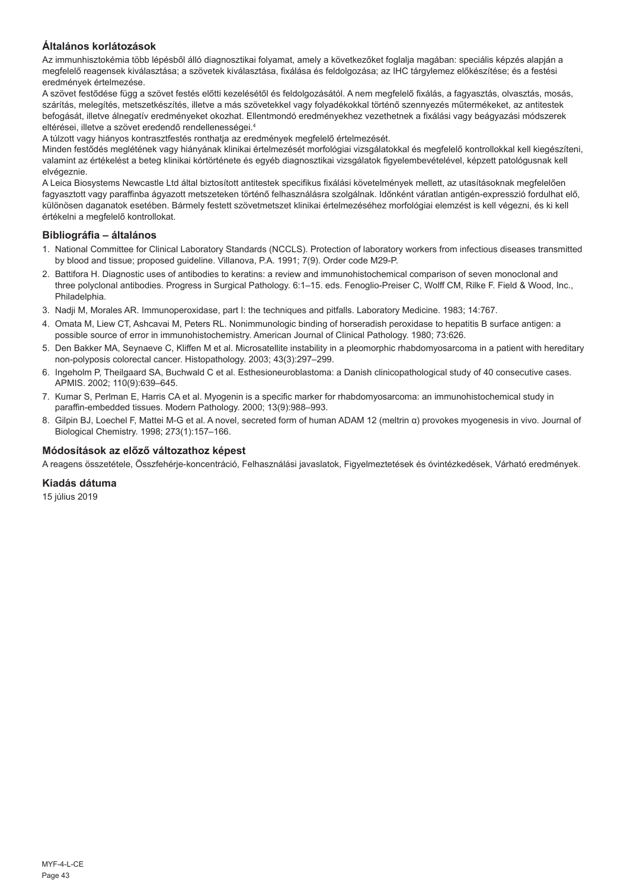## **Általános korlátozások**

Az immunhisztokémia több lépésből álló diagnosztikai folyamat, amely a következőket foglalja magában: speciális képzés alapján a megfelelő reagensek kiválasztása; a szövetek kiválasztása, fixálása és feldolgozása; az IHC tárgylemez előkészítése; és a festési eredmények értelmezése.

A szövet festődése függ a szövet festés előtti kezelésétől és feldolgozásától. A nem megfelelő fixálás, a fagyasztás, olvasztás, mosás, szárítás, melegítés, metszetkészítés, illetve a más szövetekkel vagy folyadékokkal történő szennyezés műtermékeket, az antitestek befogását, illetve álnegatív eredményeket okozhat. Ellentmondó eredményekhez vezethetnek a fixálási vagy beágyazási módszerek eltérései, illetve a szövet eredendő rendellenességei.<sup>4</sup>

A túlzott vagy hiányos kontrasztfestés ronthatja az eredmények megfelelő értelmezését.

Minden festődés meglétének vagy hiányának klinikai értelmezését morfológiai vizsgálatokkal és megfelelő kontrollokkal kell kiegészíteni, valamint az értékelést a beteg klinikai kórtörténete és egyéb diagnosztikai vizsgálatok figyelembevételével, képzett patológusnak kell elvégeznie.

A Leica Biosystems Newcastle Ltd által biztosított antitestek specifikus fixálási követelmények mellett, az utasításoknak megfelelően fagyasztott vagy paraffinba ágyazott metszeteken történő felhasználásra szolgálnak. Időnként váratlan antigén-expresszió fordulhat elő, különösen daganatok esetében. Bármely festett szövetmetszet klinikai értelmezéséhez morfológiai elemzést is kell végezni, és ki kell értékelni a megfelelő kontrollokat.

#### **Bibliográfia – általános**

- 1. National Committee for Clinical Laboratory Standards (NCCLS). Protection of laboratory workers from infectious diseases transmitted by blood and tissue; proposed guideline. Villanova, P.A. 1991; 7(9). Order code M29-P.
- 2. Battifora H. Diagnostic uses of antibodies to keratins: a review and immunohistochemical comparison of seven monoclonal and three polyclonal antibodies. Progress in Surgical Pathology. 6:1–15. eds. Fenoglio-Preiser C, Wolff CM, Rilke F. Field & Wood, Inc., Philadelphia.
- 3. Nadji M, Morales AR. Immunoperoxidase, part I: the techniques and pitfalls. Laboratory Medicine. 1983; 14:767.
- 4. Omata M, Liew CT, Ashcavai M, Peters RL. Nonimmunologic binding of horseradish peroxidase to hepatitis B surface antigen: a possible source of error in immunohistochemistry. American Journal of Clinical Pathology. 1980; 73:626.
- 5. Den Bakker MA, Seynaeve C, Kliffen M et al. Microsatellite instability in a pleomorphic rhabdomyosarcoma in a patient with hereditary non-polyposis colorectal cancer. Histopathology. 2003; 43(3):297–299.
- 6. Ingeholm P, Theilgaard SA, Buchwald C et al. Esthesioneuroblastoma: a Danish clinicopathological study of 40 consecutive cases. APMIS. 2002; 110(9):639–645.
- 7. Kumar S, Perlman E, Harris CA et al. Myogenin is a specific marker for rhabdomyosarcoma: an immunohistochemical study in paraffin-embedded tissues. Modern Pathology. 2000; 13(9):988–993.
- 8. Gilpin BJ, Loechel F, Mattei M-G et al. A novel, secreted form of human ADAM 12 (meltrin α) provokes myogenesis in vivo. Journal of Biological Chemistry. 1998; 273(1):157–166.

### **Módosítások az előző változathoz képest**

A reagens összetétele, Összfehérje-koncentráció, Felhasználási javaslatok, Figyelmeztetések és óvintézkedések, Várható eredmények.

#### **Kiadás dátuma**

15 július 2019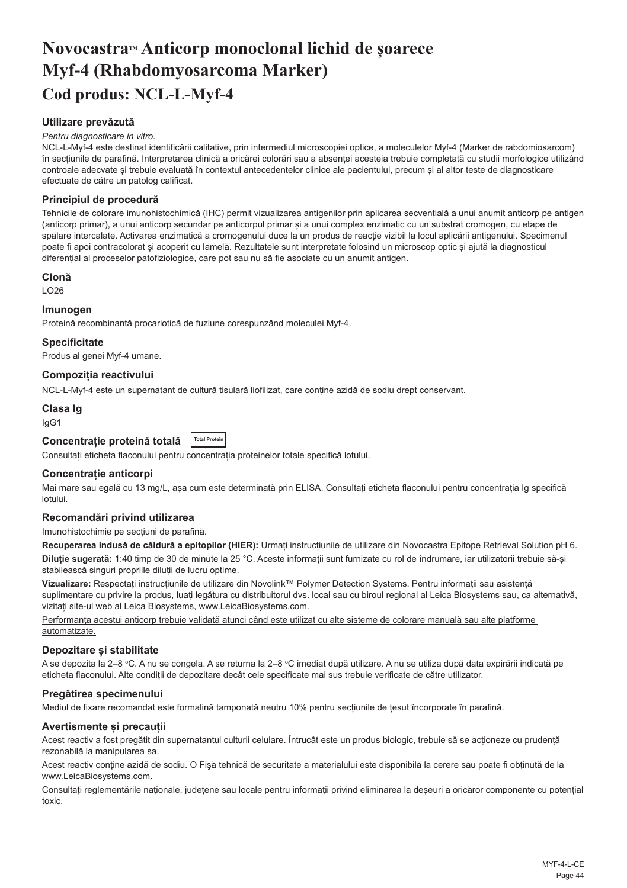## <span id="page-44-0"></span>**NovocastraTM Anticorp monoclonal lichid de șoarece Myf-4 (Rhabdomyosarcoma Marker) Cod produs: NCL-L-Myf-4**

## **Utilizare prevăzută**

#### *Pentru diagnosticare in vitro.*

NCL-L-Myf-4 este destinat identificării calitative, prin intermediul microscopiei optice, a moleculelor Myf-4 (Marker de rabdomiosarcom) în secțiunile de parafină. Interpretarea clinică a oricărei colorări sau a absenței acesteia trebuie completată cu studii morfologice utilizând controale adecvate și trebuie evaluată în contextul antecedentelor clinice ale pacientului, precum și al altor teste de diagnosticare efectuate de către un patolog calificat.

#### **Principiul de procedură**

Tehnicile de colorare imunohistochimică (IHC) permit vizualizarea antigenilor prin aplicarea secvențială a unui anumit anticorp pe antigen (anticorp primar), a unui anticorp secundar pe anticorpul primar și a unui complex enzimatic cu un substrat cromogen, cu etape de spălare intercalate. Activarea enzimatică a cromogenului duce la un produs de reacție vizibil la locul aplicării antigenului. Specimenul poate fi apoi contracolorat și acoperit cu lamelă. Rezultatele sunt interpretate folosind un microscop optic și ajută la diagnosticul diferențial al proceselor patofiziologice, care pot sau nu să fie asociate cu un anumit antigen.

#### **Clonă**

LO26

#### **Imunogen**

Proteină recombinantă procariotică de fuziune corespunzând moleculei Myf-4.

#### **Specificitate**

Produs al genei Myf-4 umane.

#### **Compoziția reactivului**

NCL-L-Myf-4 este un supernatant de cultură tisulară liofilizat, care conține azidă de sodiu drept conservant.

#### **Clasa Ig**

IgG1

## **Concentrație proteină totală Total Protein**

Consultați eticheta flaconului pentru concentrația proteinelor totale specifică lotului.

#### **Concentrație anticorpi**

Mai mare sau egală cu 13 mg/L, asa cum este determinată prin ELISA. Consultati eticheta flaconului pentru concentratia Ig specifică lotului.

#### **Recomandări privind utilizarea**

Imunohistochimie pe secțiuni de parafină.

**Recuperarea indusă de căldură a epitopilor (HIER):** Urmați instrucțiunile de utilizare din Novocastra Epitope Retrieval Solution pH 6.

**Diluție sugerată:** 1:40 timp de 30 de minute la 25 °C. Aceste informații sunt furnizate cu rol de îndrumare, iar utilizatorii trebuie să-și stabilească singuri propriile diluții de lucru optime.

**Vizualizare:** Respectați instrucțiunile de utilizare din Novolink™ Polymer Detection Systems. Pentru informații sau asistență suplimentare cu privire la produs, luați legătura cu distribuitorul dvs. local sau cu biroul regional al Leica Biosystems sau, ca alternativă, vizitați site-ul web al Leica Biosystems, www.LeicaBiosystems.com.

Performanța acestui anticorp trebuie validată atunci când este utilizat cu alte sisteme de colorare manuală sau alte platforme automatizate.

#### **Depozitare și stabilitate**

A se depozita la 2–8 °C. A nu se congela. A se returna la 2–8 °C imediat după utilizare. A nu se utiliza după data expirării indicată pe eticheta flaconului. Alte condiții de depozitare decât cele specificate mai sus trebuie verificate de către utilizator.

#### **Pregătirea specimenului**

Mediul de fixare recomandat este formalină tamponată neutru 10% pentru secțiunile de țesut încorporate în parafină.

#### **Avertismente și precauții**

Acest reactiv a fost pregătit din supernatantul culturii celulare. Întrucât este un produs biologic, trebuie să se acționeze cu prudență rezonabilă la manipularea sa.

Acest reactiv conține azidă de sodiu. O Fişă tehnică de securitate a materialului este disponibilă la cerere sau poate fi obținută de la www.LeicaBiosystems.com.

Consultați reglementările naționale, județene sau locale pentru informații privind eliminarea la deșeuri a oricăror componente cu potențial toxic.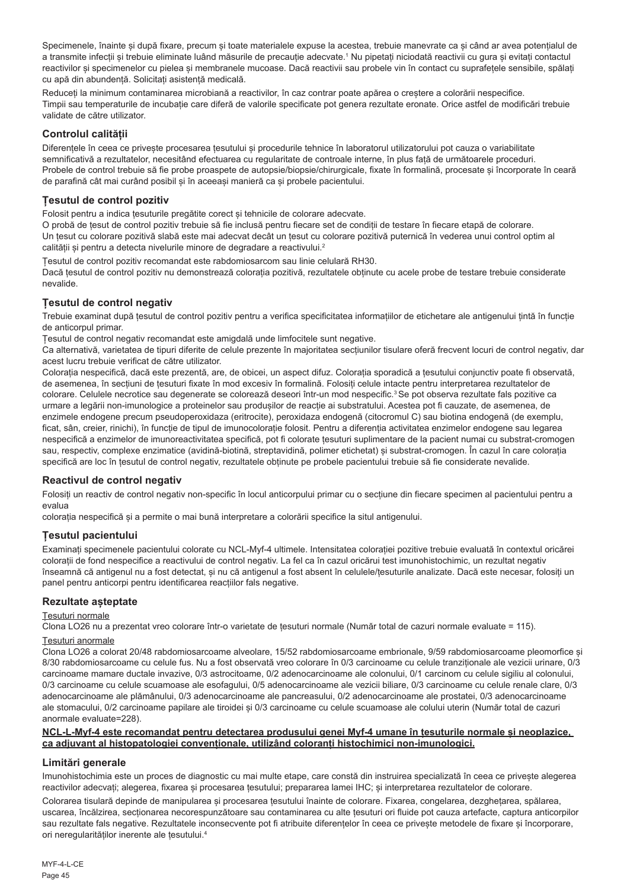Specimenele, înainte și după fixare, precum și toate materialele expuse la acestea, trebuie manevrate ca și când ar avea potențialul de a transmite infecții și trebuie eliminate luând măsurile de precauție adecvate.' Nu pipetați niciodată reactivii cu gura și evitați contactul reactivilor și specimenelor cu pielea și membranele mucoase. Dacă reactivii sau probele vin în contact cu suprafețele sensibile, spălați cu apă din abundență. Solicitați asistență medicală.

Reduceți la minimum contaminarea microbiană a reactivilor, în caz contrar poate apărea o creștere a colorării nespecifice. Timpii sau temperaturile de incubație care diferă de valorile specificate pot genera rezultate eronate. Orice astfel de modificări trebuie validate de către utilizator.

## **Controlul calității**

Diferentele în ceea ce priveste procesarea tesutului si procedurile tehnice în laboratorul utilizatorului pot cauza o variabilitate semnificativă a rezultatelor, necesitând efectuarea cu regularitate de controale interne, în plus față de următoarele proceduri. Probele de control trebuie să fie probe proaspete de autopsie/biopsie/chirurgicale, fixate în formalină, procesate și încorporate în ceară de parafină cât mai curând posibil și în aceeași manieră ca și probele pacientului.

### **Țesutul de control pozitiv**

Folosit pentru a indica țesuturile pregătite corect și tehnicile de colorare adecvate.

O probă de țesut de control pozitiv trebuie să fie inclusă pentru fiecare set de condiții de testare în fiecare etapă de colorare. Un țesut cu colorare pozitivă slabă este mai adecvat decât un țesut cu colorare pozitivă puternică în vederea unui control optim al calității și pentru a detecta nivelurile minore de degradare a reactivului.<sup>2</sup>

Țesutul de control pozitiv recomandat este rabdomiosarcom sau linie celulară RH30. Dacă țesutul de control pozitiv nu demonstrează colorația pozitivă, rezultatele obținute cu acele probe de testare trebuie considerate nevalide.

## **Țesutul de control negativ**

Trebuie examinat după țesutul de control pozitiv pentru a verifica specificitatea informațiilor de etichetare ale antigenului țintă în funcție de anticorpul primar.

Țesutul de control negativ recomandat este amigdală unde limfocitele sunt negative.

Ca alternativă, varietatea de tipuri diferite de celule prezente în majoritatea secțiunilor tisulare oferă frecvent locuri de control negativ, dar acest lucru trebuie verificat de către utilizator.

Colorația nespecifică, dacă este prezentă, are, de obicei, un aspect difuz. Colorația sporadică a țesutului conjunctiv poate fi observată, de asemenea, în secțiuni de țesuturi fixate în mod excesiv în formalină. Folosiți celule intacte pentru interpretarea rezultatelor de colorare. Celulele necrotice sau degenerate se colorează deseori într-un mod nespecific.<sup>3</sup>Se pot observa rezultate fals pozitive ca urmare a legării non-imunologice a proteinelor sau produșilor de reacție ai substratului. Acestea pot fi cauzate, de asemenea, de enzimele endogene precum pseudoperoxidaza (eritrocite), peroxidaza endogenă (citocromul C) sau biotina endogenă (de exemplu, ficat, sân, creier, rinichi), în funcție de tipul de imunocolorație folosit. Pentru a diferenția activitatea enzimelor endogene sau legarea nespecifică a enzimelor de imunoreactivitatea specifică, pot fi colorate țesuturi suplimentare de la pacient numai cu substrat-cromogen sau, respectiv, complexe enzimatice (avidină-biotină, streptavidină, polimer etichetat) și substrat-cromogen. În cazul în care colorația specifică are loc în țesutul de control negativ, rezultatele obținute pe probele pacientului trebuie să fie considerate nevalide.

#### **Reactivul de control negativ**

Folosiți un reactiv de control negativ non-specific în locul anticorpului primar cu o secțiune din fiecare specimen al pacientului pentru a evalua

colorația nespecifică și a permite o mai bună interpretare a colorării specifice la situl antigenului.

## **Țesutul pacientului**

Examinați specimenele pacientului colorate cu NCL-Myf-4 ultimele. Intensitatea colorației pozitive trebuie evaluată în contextul oricărei colorații de fond nespecifice a reactivului de control negativ. La fel ca în cazul oricărui test imunohistochimic, un rezultat negativ înseamnă că antigenul nu a fost detectat, și nu că antigenul a fost absent în celulele/țesuturile analizate. Dacă este necesar, folosiți un panel pentru anticorpi pentru identificarea reacțiilor fals negative.

## **Rezultate așteptate**

#### Țesuturi normale

Clona LO26 nu a prezentat vreo colorare într-o varietate de țesuturi normale (Număr total de cazuri normale evaluate = 115).

#### Țesuturi anormale

Clona LO26 a colorat 20/48 rabdomiosarcoame alveolare, 15/52 rabdomiosarcoame embrionale, 9/59 rabdomiosarcoame pleomorfice și 8/30 rabdomiosarcoame cu celule fus. Nu a fost observată vreo colorare în 0/3 carcinoame cu celule tranziționale ale vezicii urinare, 0/3 carcinoame mamare ductale invazive, 0/3 astrocitoame, 0/2 adenocarcinoame ale colonului, 0/1 carcinom cu celule sigiliu al colonului, 0/3 carcinoame cu celule scuamoase ale esofagului, 0/5 adenocarcinoame ale vezicii biliare, 0/3 carcinoame cu celule renale clare, 0/3 adenocarcinoame ale plămânului, 0/3 adenocarcinoame ale pancreasului, 0/2 adenocarcinoame ale prostatei, 0/3 adenocarcinoame ale stomacului, 0/2 carcinoame papilare ale tiroidei și 0/3 carcinoame cu celule scuamoase ale colului uterin (Număr total de cazuri anormale evaluate=228).

#### **NCL-L-Myf-4 este recomandat pentru detectarea produsului genei Myf-4 umane în țesuturile normale și neoplazice, ca adjuvant al histopatologiei convenționale, utilizând coloranți histochimici non-imunologici.**

## **Limitări generale**

Imunohistochimia este un proces de diagnostic cu mai multe etape, care constă din instruirea specializată în ceea ce privește alegerea reactivilor adecvați; alegerea, fixarea și procesarea țesutului; prepararea lamei IHC; și interpretarea rezultatelor de colorare.

Colorarea tisulară depinde de manipularea și procesarea tesutului înainte de colorare. Fixarea, congelarea, dezghetarea, spălarea, uscarea, încălzirea, secționarea necorespunzătoare sau contaminarea cu alte țesuturi ori fluide pot cauza artefacte, captura anticorpilor sau rezultate fals negative. Rezultatele inconsecvente pot fi atribuite diferențelor în ceea ce privește metodele de fixare și încorporare, ori neregularităților inerente ale tesutului.<sup>4</sup>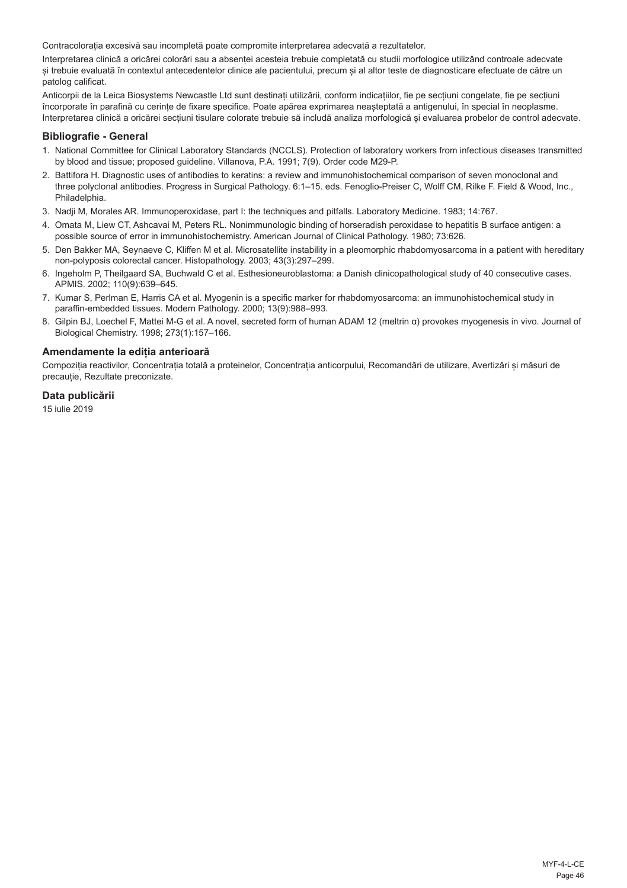Contracolorația excesivă sau incompletă poate compromite interpretarea adecvată a rezultatelor.

Interpretarea clinică a oricărei colorări sau a absenței acesteia trebuie completată cu studii morfologice utilizând controale adecvate și trebuie evaluată în contextul antecedentelor clinice ale pacientului, precum și al altor teste de diagnosticare efectuate de către un patolog calificat.

Anticorpii de la Leica Biosystems Newcastle Ltd sunt destinați utilizării, conform indicațiilor, fie pe secțiuni congelate, fie pe secțiuni încorporate în parafină cu cerințe de fixare specifice. Poate apărea exprimarea neașteptată a antigenului, în special în neoplasme. Interpretarea clinică a oricărei secțiuni tisulare colorate trebuie să includă analiza morfologică și evaluarea probelor de control adecvate.

#### **Bibliografie - General**

- 1. National Committee for Clinical Laboratory Standards (NCCLS). Protection of laboratory workers from infectious diseases transmitted by blood and tissue; proposed guideline. Villanova, P.A. 1991; 7(9). Order code M29-P.
- 2. Battifora H. Diagnostic uses of antibodies to keratins: a review and immunohistochemical comparison of seven monoclonal and three polyclonal antibodies. Progress in Surgical Pathology. 6:1–15. eds. Fenoglio-Preiser C, Wolff CM, Rilke F. Field & Wood, Inc., Philadelphia.
- 3. Nadji M, Morales AR. Immunoperoxidase, part I: the techniques and pitfalls. Laboratory Medicine. 1983; 14:767.
- 4. Omata M, Liew CT, Ashcavai M, Peters RL. Nonimmunologic binding of horseradish peroxidase to hepatitis B surface antigen: a possible source of error in immunohistochemistry. American Journal of Clinical Pathology. 1980; 73:626.
- 5. Den Bakker MA, Seynaeve C, Kliffen M et al. Microsatellite instability in a pleomorphic rhabdomyosarcoma in a patient with hereditary non-polyposis colorectal cancer. Histopathology. 2003; 43(3):297–299.
- 6. Ingeholm P, Theilgaard SA, Buchwald C et al. Esthesioneuroblastoma: a Danish clinicopathological study of 40 consecutive cases. APMIS. 2002; 110(9):639–645.
- 7. Kumar S, Perlman E, Harris CA et al. Myogenin is a specific marker for rhabdomyosarcoma: an immunohistochemical study in paraffin-embedded tissues. Modern Pathology. 2000; 13(9):988–993.
- 8. Gilpin BJ, Loechel F, Mattei M-G et al. A novel, secreted form of human ADAM 12 (meltrin α) provokes myogenesis in vivo. Journal of Biological Chemistry. 1998; 273(1):157–166.

#### **Amendamente la ediția anterioară**

Compoziția reactivilor, Concentrația totală a proteinelor, Concentrația anticorpului, Recomandări de utilizare, Avertizări și măsuri de precauție, Rezultate preconizate.

#### **Data publicării**

15 iulie 2019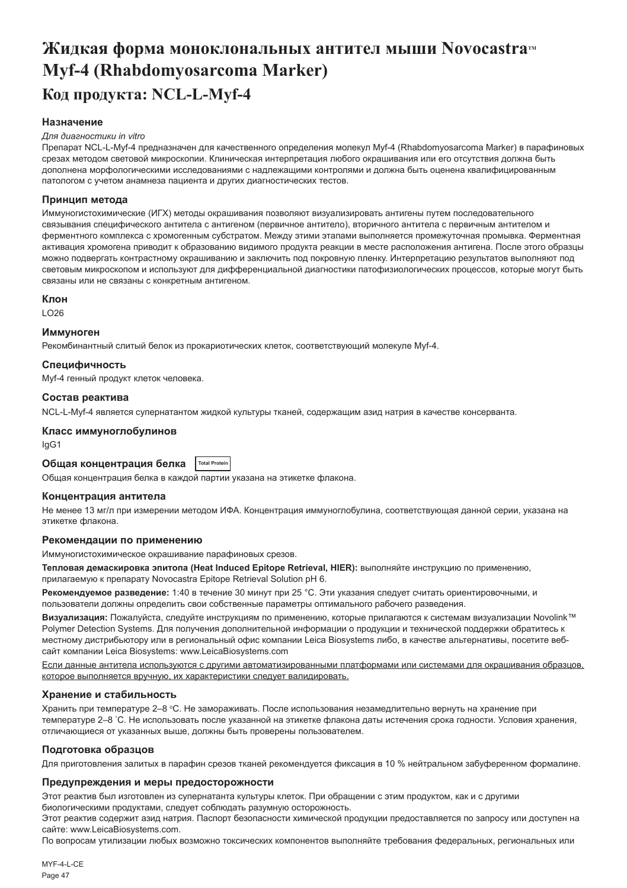# <span id="page-47-0"></span>Жидкая форма моноклональных антител мыши Novocastra<sup>™</sup> **Myf-4 (Rhabdomyosarcoma Marker) Код продукта: NCL-L-Myf-4**

#### **Назначение**

#### *Для диагностики in vitro*

Препарат NCL-L-Myf-4 предназначен для качественного определения молекул Myf-4 (Rhabdomyosarcoma Marker) в парафиновых срезах методом световой микроскопии. Клиническая интерпретация любого окрашивания или его отсутствия должна быть дополнена морфологическими исследованиями с надлежащими контролями и должна быть оценена квалифицированным патологом с учетом анамнеза пациента и других диагностических тестов.

#### **Принцип метода**

Иммуногистохимические (ИГХ) методы окрашивания позволяют визуализировать антигены путем последовательного связывания специфического антитела с антигеном (первичное антитело), вторичного антитела с первичным антителом и ферментного комплекса с хромогенным субстратом. Между этими этапами выполняется промежуточная промывка. Ферментная активация хромогена приводит к образованию видимого продукта реакции в месте расположения антигена. После этого образцы можно подвергать контрастному окрашиванию и заключить под покровную пленку. Интерпретацию результатов выполняют под световым микроскопом и используют для дифференциальной диагностики патофизиологических процессов, которые могут быть связаны или не связаны с конкретным антигеном.

#### **Клон**

 $LO26$ 

#### **Иммуноген**

Рекомбинантный слитый белок из прокариотических клеток, соответствующий молекуле Myf-4.

#### **Специфичность**

Myf-4 генный продукт клеток человека.

#### **Состав реактива**

NCL-L-Myf-4 является супернатантом жидкой культуры тканей, содержащим азид натрия в качестве консерванта.

## **Класс иммуноглобулинов**

IgG1

## **Общая концентрация белка Total Protein**

Общая концентрация белка в каждой партии указана на этикетке флакона.

#### **Концентрация антитела**

Не менее 13 мг/л при измерении методом ИФА. Концентрация иммуноглобулина, соответствующая данной серии, указана на этикетке флакона.

#### **Рекомендации по применению**

Иммуногистохимическое окрашивание парафиновых срезов.

**Тепловая демаскировка эпитопа (Heat Induced Epitope Retrieval, HIER):** выполняйте инструкцию по применению, прилагаемую к препарату Novocastra Epitope Retrieval Solution pH 6.

**Рекомендуемое разведение:** 1:40 в течение 30 минут при 25 °C. Эти указания следует считать ориентировочными, и пользователи должны определить свои собственные параметры оптимального рабочего разведения.

**Визуализация:** Пожалуйста, следуйте инструкциям по применению, которые прилагаются к системам визуализации Novolink™ Polymer Detection Systems. Для получения дополнительной информации о продукции и технической поддержки обратитесь к местному дистрибьютору или в региональный офис компании Leica Biosystems либо, в качестве альтернативы, посетите вебсайт компании Leica Biosystems: www.LeicaBiosystems.com

Если данные антитела используются с другими автоматизированными платформами или системами для окрашивания образцов, которое выполняется вручную, их характеристики следует валидировать.

#### **Хранение и стабильность**

Хранить при температуре 2–8 °C. Не замораживать. После использования незамедлительно вернуть на хранение при температуре 2–8 ° C. Не использовать после указанной на этикетке флакона даты истечения срока годности. Условия хранения, отличающиеся от указанных выше, должны быть проверены пользователем.

#### **Подготовка образцов**

Для приготовления залитых в парафин срезов тканей рекомендуется фиксация в 10 % нейтральном забуференном формалине.

#### **Предупреждения и меры предосторожности**

Этот реактив был изготовлен из супернатанта культуры клеток. При обращении с этим продуктом, как и с другими биологическими продуктами, следует соблюдать разумную осторожность.

Этот реактив содержит азид натрия. Паспорт безопасности химической продукции предоставляется по запросу или доступен на сайте: www.LeicaBiosystems.com.

По вопросам утилизации любых возможно токсических компонентов выполняйте требования федеральных, региональных или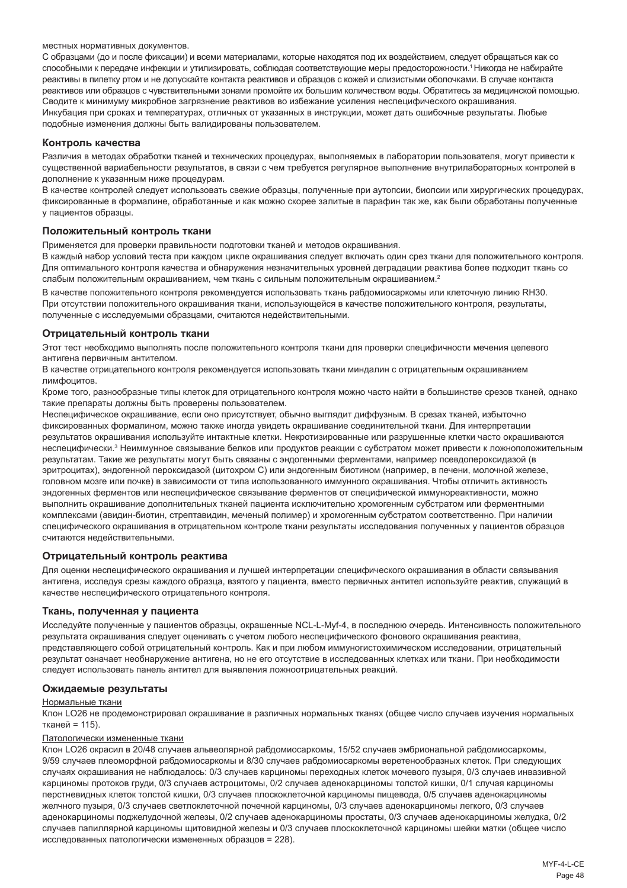#### местных нормативных документов.

С образцами (до и после фиксации) и всеми материалами, которые находятся под их воздействием, следует обращаться как со способными к передаче инфекции и утилизировать, соблюдая соответствующие меры предосторожности.<sup>1</sup>Никогда не набирайте реактивы в пипетку ртом и не допускайте контакта реактивов и образцов с кожей и слизистыми оболочками. В случае контакта реактивов или образцов с чувствительными зонами промойте их большим количеством воды. Обратитесь за медицинской помощью. Сводите к минимуму микробное загрязнение реактивов во избежание усиления неспецифического окрашивания. Инкубация при сроках и температурах, отличных от указанных в инструкции, может дать ошибочные результаты. Любые подобные изменения должны быть валидированы пользователем.

#### **Контроль качества**

Различия в методах обработки тканей и технических процедурах, выполняемых в лаборатории пользователя, могут привести к существенной вариабельности результатов, в связи с чем требуется регулярное выполнение внутрилабораторных контролей в дополнение к указанным ниже процедурам.

В качестве контролей следует использовать свежие образцы, полученные при аутопсии, биопсии или хирургических процедурах, фиксированные в формалине, обработанные и как можно скорее залитые в парафин так же, как были обработаны полученные у пациентов образцы.

#### **Положительный контроль ткани**

Применяется для проверки правильности подготовки тканей и методов окрашивания.

В каждый набор условий теста при каждом цикле окрашивания следует включать один срез ткани для положительного контроля. Для оптимального контроля качества и обнаружения незначительных уровней деградации реактива более подходит ткань со слабым положительным окрашиванием, чем ткань с сильным положительным окрашиванием.<sup>2</sup>

В качестве положительного контроля рекомендуется использовать ткань рабдомиосаркомы или клеточную линию RH30. При отсутствии положительного окрашивания ткани, использующейся в качестве положительного контроля, результаты, полученные с исследуемыми образцами, считаются недействительными.

#### **Отрицательный контроль ткани**

Этот тест необходимо выполнять после положительного контроля ткани для проверки специфичности мечения целевого антигена первичным антителом.

В качестве отрицательного контроля рекомендуется использовать ткани миндалин с отрицательным окрашиванием лимфоцитов.

Кроме того, разнообразные типы клеток для отрицательного контроля можно часто найти в большинстве срезов тканей, однако такие препараты должны быть проверены пользователем.

Неспецифическое окрашивание, если оно присутствует, обычно выглядит диффузным. В срезах тканей, избыточно фиксированных формалином, можно также иногда увидеть окрашивание соединительной ткани. Для интерпретации результатов окрашивания используйте интактные клетки. Некротизированные или разрушенные клетки часто окрашиваются неспецифически.<sup>з</sup> Неиммунное связывание белков или продуктов реакции с субстратом может привести к ложноположительным результатам. Такие же результаты могут быть связаны с эндогенными ферментами, например псевдопероксидазой (в эритроцитах), эндогенной пероксидазой (цитохром C) или эндогенным биотином (например, в печени, молочной железе, головном мозге или почке) в зависимости от типа использованного иммунного окрашивания. Чтобы отличить активность эндогенных ферментов или неспецифическое связывание ферментов от специфической иммунореактивности, можно выполнить окрашивание дополнительных тканей пациента исключительно хромогенным субстратом или ферментными комплексами (авидин-биотин, стрептавидин, меченый полимер) и хромогенным субстратом соответственно. При наличии специфического окрашивания в отрицательном контроле ткани результаты исследования полученных у пациентов образцов считаются недействительными.

#### **Отрицательный контроль реактива**

Для оценки неспецифического окрашивания и лучшей интерпретации специфического окрашивания в области связывания антигена, исследуя срезы каждого образца, взятого у пациента, вместо первичных антител используйте реактив, служащий в качестве неспецифического отрицательного контроля.

#### **Ткань, полученная у пациента**

Исследуйте полученные у пациентов образцы, окрашенные NCL-L-Myf-4, в последнюю очередь. Интенсивность положительного результата окрашивания следует оценивать с учетом любого неспецифического фонового окрашивания реактива, представляющего собой отрицательный контроль. Как и при любом иммуногистохимическом исследовании, отрицательный результат означает необнаружение антигена, но не его отсутствие в исследованных клетках или ткани. При необходимости следует использовать панель антител для выявления ложноотрицательных реакций.

#### **Ожидаемые результаты**

#### Нормальные ткани

Клон LO26 не продемонстрировал окрашивание в различных нормальных тканях (общее число случаев изучения нормальных тканей = 115).

#### Патологически измененные ткани

Клон LO26 окрасил в 20/48 случаев альвеолярной рабдомиосаркомы, 15/52 случаев эмбриональной рабдомиосаркомы, 9/59 случаев плеоморфной рабдомиосаркомы и 8/30 случаев рабдомиосаркомы веретенообразных клеток. При следующих случаях окрашивания не наблюдалось: 0/3 случаев карциномы переходных клеток мочевого пузыря, 0/3 случаев инвазивной карциномы протоков груди, 0/3 случаев астроцитомы, 0/2 случаев аденокарциномы толстой кишки, 0/1 случая карциномы перстневидных клеток толстой кишки, 0/3 случаев плоскоклеточной карциномы пищевода, 0/5 случаев аденокарциномы желчного пузыря, 0/3 случаев светлоклеточной почечной карциномы, 0/3 случаев аденокарциномы легкого, 0/3 случаев аденокарциномы поджелудочной железы, 0/2 случаев аденокарциномы простаты, 0/3 случаев аденокарциномы желудка, 0/2 случаев папиллярной карциномы щитовидной железы и 0/3 случаев плоскоклеточной карциномы шейки матки (общее число исследованных патологически измененных образцов = 228).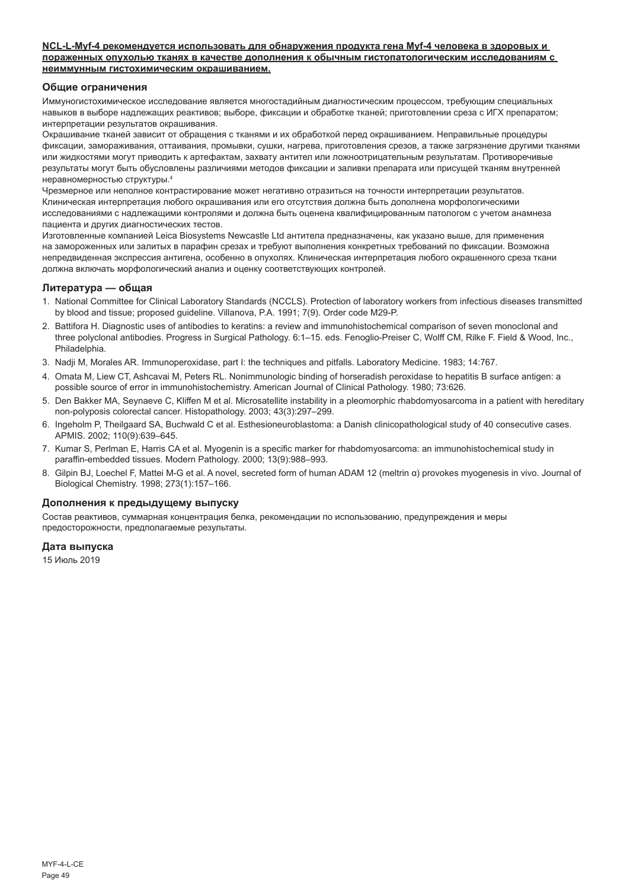#### **NCL-L-Myf-4 рекомендуется использовать для обнаружения продукта гена Myf-4 человека в здоровых и пораженных опухолью тканях в качестве дополнения к обычным гистопатологическим исследованиям с неиммунным гистохимическим окрашиванием.**

#### **Общие ограничения**

Иммуногистохимическое исследование является многостадийным диагностическим процессом, требующим специальных навыков в выборе надлежащих реактивов; выборе, фиксации и обработке тканей; приготовлении среза с ИГХ препаратом; интерпретации результатов окрашивания.

Окрашивание тканей зависит от обращения с тканями и их обработкой перед окрашиванием. Неправильные процедуры фиксации, замораживания, оттаивания, промывки, сушки, нагрева, приготовления срезов, а также загрязнение другими тканями или жидкостями могут приводить к артефактам, захвату антител или ложноотрицательным результатам. Противоречивые результаты могут быть обусловлены различиями методов фиксации и заливки препарата или присущей тканям внутренней неравномерностью структуры.<sup>4</sup>

Чрезмерное или неполное контрастирование может негативно отразиться на точности интерпретации результатов. Клиническая интерпретация любого окрашивания или его отсутствия должна быть дополнена морфологическими исследованиями с надлежащими контролями и должна быть оценена квалифицированным патологом с учетом анамнеза пациента и других диагностических тестов.

Изготовленные компанией Leica Biosystems Newcastle Ltd антитела предназначены, как указано выше, для применения на замороженных или залитых в парафин срезах и требуют выполнения конкретных требований по фиксации. Возможна непредвиденная экспрессия антигена, особенно в опухолях. Клиническая интерпретация любого окрашенного среза ткани должна включать морфологический анализ и оценку соответствующих контролей.

#### **Литература — общая**

- 1. National Committee for Clinical Laboratory Standards (NCCLS). Protection of laboratory workers from infectious diseases transmitted by blood and tissue; proposed guideline. Villanova, P.A. 1991; 7(9). Order code M29-P.
- 2. Battifora H. Diagnostic uses of antibodies to keratins: a review and immunohistochemical comparison of seven monoclonal and three polyclonal antibodies. Progress in Surgical Pathology. 6:1–15. eds. Fenoglio-Preiser C, Wolff CM, Rilke F. Field & Wood, Inc., Philadelphia.
- 3. Nadji M, Morales AR. Immunoperoxidase, part I: the techniques and pitfalls. Laboratory Medicine. 1983; 14:767.
- 4. Omata M, Liew CT, Ashcavai M, Peters RL. Nonimmunologic binding of horseradish peroxidase to hepatitis B surface antigen: a possible source of error in immunohistochemistry. American Journal of Clinical Pathology. 1980; 73:626.
- 5. Den Bakker MA, Seynaeve C, Kliffen M et al. Microsatellite instability in a pleomorphic rhabdomyosarcoma in a patient with hereditary non-polyposis colorectal cancer. Histopathology. 2003; 43(3):297–299.
- 6. Ingeholm P, Theilgaard SA, Buchwald C et al. Esthesioneuroblastoma: a Danish clinicopathological study of 40 consecutive cases. APMIS. 2002; 110(9):639–645.
- 7. Kumar S, Perlman E, Harris CA et al. Myogenin is a specific marker for rhabdomyosarcoma: an immunohistochemical study in paraffin-embedded tissues. Modern Pathology. 2000; 13(9):988–993.
- 8. Gilpin BJ, Loechel F, Mattei M-G et al. A novel, secreted form of human ADAM 12 (meltrin α) provokes myogenesis in vivo. Journal of Biological Chemistry. 1998; 273(1):157–166.

#### **Дополнения к предыдущему выпуску**

Состав реактивов, суммарная концентрация белка, рекомендации по использованию, предупреждения и меры предосторожности, предполагаемые результаты.

#### **Дата выпуска**

15 Июль 2019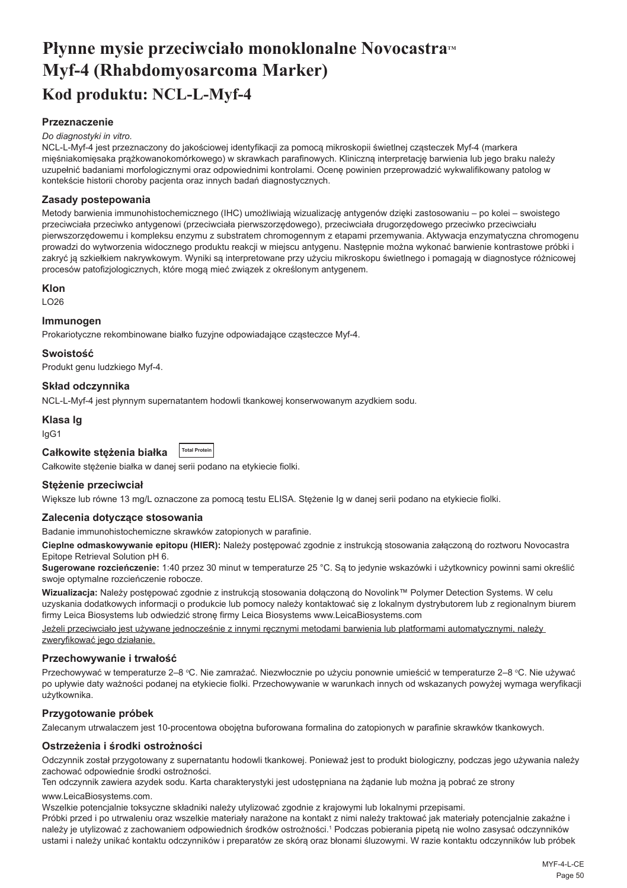## <span id="page-50-0"></span>**Płynne mysie przeciwciało monoklonalne Novocastra<sup>***M***</sup> Myf-4 (Rhabdomyosarcoma Marker) Kod produktu: NCL-L-Myf-4**

#### **Przeznaczenie**

#### *Do diagnostyki in vitro.*

NCL-L-Myf-4 jest przeznaczony do jakościowej identyfikacji za pomocą mikroskopii świetlnej cząsteczek Myf-4 (markera mięśniakomięsaka prążkowanokomórkowego) w skrawkach parafinowych. Kliniczną interpretację barwienia lub jego braku należy uzupełnić badaniami morfologicznymi oraz odpowiednimi kontrolami. Ocenę powinien przeprowadzić wykwalifikowany patolog w kontekście historii choroby pacjenta oraz innych badań diagnostycznych.

#### **Zasady postepowania**

Metody barwienia immunohistochemicznego (IHC) umożliwiają wizualizację antygenów dzięki zastosowaniu – po kolei – swoistego przeciwciała przeciwko antygenowi (przeciwciała pierwszorzędowego), przeciwciała drugorzędowego przeciwko przeciwciału pierwszorzędowemu i kompleksu enzymu z substratem chromogennym z etapami przemywania. Aktywacja enzymatyczna chromogenu prowadzi do wytworzenia widocznego produktu reakcji w miejscu antygenu. Następnie można wykonać barwienie kontrastowe próbki i zakryć ją szkiełkiem nakrywkowym. Wyniki są interpretowane przy użyciu mikroskopu świetlnego i pomagają w diagnostyce różnicowej procesów patofizjologicznych, które mogą mieć związek z określonym antygenem.

#### **Klon**

LO26

#### **Immunogen**

Prokariotyczne rekombinowane białko fuzyjne odpowiadające cząsteczce Myf-4.

#### **Swoistość**

Produkt genu ludzkiego Myf-4.

### **Skład odczynnika**

NCL-L-Myf-4 jest płynnym supernatantem hodowli tkankowej konserwowanym azydkiem sodu.

#### **Klasa Ig**

IgG1

| Całkowite stężenia białka |  | <b>Total Protein</b> |
|---------------------------|--|----------------------|
|                           |  |                      |

Całkowite stężenie białka w danej serii podano na etykiecie fiolki.

#### **Stężenie przeciwciał**

Większe lub równe 13 mg/L oznaczone za pomocą testu ELISA. Stężenie Ig w danej serii podano na etykiecie fiolki.

#### **Zalecenia dotyczące stosowania**

Badanie immunohistochemiczne skrawków zatopionych w parafinie.

**Cieplne odmaskowywanie epitopu (HIER):** Należy postępować zgodnie z instrukcją stosowania załączoną do roztworu Novocastra Epitope Retrieval Solution pH 6.

**Sugerowane rozcieńczenie:** 1:40 przez 30 minut w temperaturze 25 °C. Są to jedynie wskazówki i użytkownicy powinni sami określić swoje optymalne rozcieńczenie robocze.

**Wizualizacja:** Należy postępować zgodnie z instrukcją stosowania dołączoną do Novolink™ Polymer Detection Systems. W celu uzyskania dodatkowych informacji o produkcie lub pomocy należy kontaktować się z lokalnym dystrybutorem lub z regionalnym biurem firmy Leica Biosystems lub odwiedzić stronę firmy Leica Biosystems www.LeicaBiosystems.com

Jeżeli przeciwciało jest używane jednocześnie z innymi ręcznymi metodami barwienia lub platformami automatycznymi, należy zweryfikować jego działanie.

#### **Przechowywanie i trwałość**

Przechowywać w temperaturze 2–8 °C. Nie zamrażać. Niezwłocznie po użyciu ponownie umieścić w temperaturze 2–8 °C. Nie używać po upływie daty ważności podanej na etykiecie fiolki. Przechowywanie w warunkach innych od wskazanych powyżej wymaga weryfikacji użytkownika.

#### **Przygotowanie próbek**

Zalecanym utrwalaczem jest 10-procentowa obojętna buforowana formalina do zatopionych w parafinie skrawków tkankowych.

#### **Ostrzeżenia i środki ostrożności**

Odczynnik został przygotowany z supernatantu hodowli tkankowej. Ponieważ jest to produkt biologiczny, podczas jego używania należy zachować odpowiednie środki ostrożności.

Ten odczynnik zawiera azydek sodu. Karta charakterystyki jest udostępniana na żądanie lub można ją pobrać ze strony

#### www.LeicaBiosystems.com.

Wszelkie potencjalnie toksyczne składniki należy utylizować zgodnie z krajowymi lub lokalnymi przepisami.

Próbki przed i po utrwaleniu oraz wszelkie materiały narażone na kontakt z nimi należy traktować jak materiały potencjalnie zakaźne i należy je utylizować z zachowaniem odpowiednich środków ostrożności.<sup>1</sup> Podczas pobierania pipetą nie wolno zasysać odczynników ustami i należy unikać kontaktu odczynników i preparatów ze skórą oraz błonami śluzowymi. W razie kontaktu odczynników lub próbek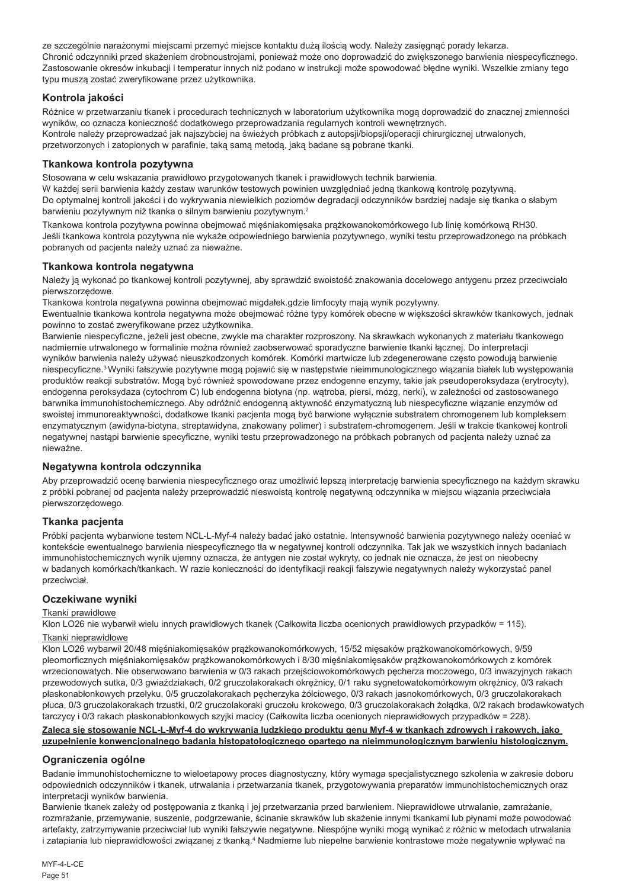ze szczególnie narażonymi miejscami przemyć miejsce kontaktu dużą ilością wody. Należy zasięgnąć porady lekarza. Chronić odczynniki przed skażeniem drobnoustrojami, ponieważ może ono doprowadzić do zwiększonego barwienia niespecyficznego. Zastosowanie okresów inkubacji i temperatur innych niż podano w instrukcji może spowodować błędne wyniki. Wszelkie zmiany tego typu muszą zostać zweryfikowane przez użytkownika.

## **Kontrola jakości**

Różnice w przetwarzaniu tkanek i procedurach technicznych w laboratorium użytkownika mogą doprowadzić do znacznej zmienności wyników, co oznacza konieczność dodatkowego przeprowadzania regularnych kontroli wewnętrznych. Kontrole należy przeprowadzać jak najszybciej na świeżych próbkach z autopsji/biopsji/operacji chirurgicznej utrwalonych, przetworzonych i zatopionych w parafinie, taką samą metodą, jaką badane są pobrane tkanki.

#### **Tkankowa kontrola pozytywna**

Stosowana w celu wskazania prawidłowo przygotowanych tkanek i prawidłowych technik barwienia. W każdej serii barwienia każdy zestaw warunków testowych powinien uwzględniać jedną tkankową kontrolę pozytywną. Do optymalnej kontroli jakości i do wykrywania niewielkich poziomów degradacji odczynników bardziej nadaje się tkanka o słabym barwieniu pozytywnym niż tkanka o silnym barwieniu pozytywnym.<sup>2</sup>

Tkankowa kontrola pozytywna powinna obejmować mięśniakomięsaka prążkowanokomórkowego lub linię komórkową RH30. Jeśli tkankowa kontrola pozytywna nie wykaże odpowiedniego barwienia pozytywnego, wyniki testu przeprowadzonego na próbkach pobranych od pacjenta należy uznać za nieważne.

#### **Tkankowa kontrola negatywna**

Należy ja wykonać po tkankowej kontroli pozytywnej, aby sprawdzić swoistość znakowania docelowego antygenu przez przeciwciało pierwszorzędowe.

Tkankowa kontrola negatywna powinna obejmować migdałek.gdzie limfocyty mają wynik pozytywny.

Ewentualnie tkankowa kontrola negatywna może obejmować różne typy komórek obecne w większości skrawków tkankowych, jednak powinno to zostać zweryfikowane przez użytkownika.

Barwienie niespecyficzne, jeżeli jest obecne, zwykle ma charakter rozproszony. Na skrawkach wykonanych z materiału tkankowego nadmiernie utrwalonego w formalinie można również zaobserwować sporadyczne barwienie tkanki łącznej. Do interpretacji wyników barwienia należy używać nieuszkodzonych komórek. Komórki martwicze lub zdegenerowane często powodują barwienie niespecyficzne.<sup>3</sup> Wyniki fałszywie pozytywne mogą pojawić się w następstwie nieimmunologicznego wiązania białek lub występowania produktów reakcji substratów. Mogą być również spowodowane przez endogenne enzymy, takie jak pseudoperoksydaza (erytrocyty), endogenna peroksydaza (cytochrom C) lub endogenna biotyna (np. wątroba, piersi, mózg, nerki), w zależności od zastosowanego barwnika immunohistochemicznego. Aby odróżnić endogenną aktywność enzymatyczną lub niespecyficzne wiązanie enzymów od swoistej immunoreaktywności, dodatkowe tkanki pacjenta mogą być barwione wyłącznie substratem chromogenem lub kompleksem enzymatycznym (awidyna-biotyna, streptawidyna, znakowany polimer) i substratem-chromogenem. Jeśli w trakcie tkankowej kontroli negatywnej nastąpi barwienie specyficzne, wyniki testu przeprowadzonego na próbkach pobranych od pacjenta należy uznać za nieważne.

#### **Negatywna kontrola odczynnika**

Aby przeprowadzić ocenę barwienia niespecyficznego oraz umożliwić lepszą interpretację barwienia specyficznego na każdym skrawku z próbki pobranej od pacjenta należy przeprowadzić nieswoistą kontrolę negatywną odczynnika w miejscu wiązania przeciwciała pierwszorzędowego.

#### **Tkanka pacjenta**

Próbki pacjenta wybarwione testem NCL-L-Myf-4 należy badać jako ostatnie. Intensywność barwienia pozytywnego należy oceniać w kontekście ewentualnego barwienia niespecyficznego tła w negatywnej kontroli odczynnika. Tak jak we wszystkich innych badaniach immunohistochemicznych wynik ujemny oznacza, że antygen nie został wykryty, co jednak nie oznacza, że jest on nieobecny w badanych komórkach/tkankach. W razie konieczności do identyfikacji reakcji fałszywie negatywnych należy wykorzystać panel przeciwciał.

#### **Oczekiwane wyniki**

#### Tkanki prawidłowe

Klon LO26 nie wybarwił wielu innych prawidłowych tkanek (Całkowita liczba ocenionych prawidłowych przypadków = 115).

#### Tkanki nieprawidłowe

Klon LO26 wybarwił 20/48 mięśniakomięsaków prążkowanokomórkowych, 15/52 mięsaków prążkowanokomórkowych, 9/59 pleomorficznych mięśniakomięsaków prążkowanokomórkowych i 8/30 mięśniakomięsaków prążkowanokomórkowych z komórek wrzecionowatych. Nie obserwowano barwienia w 0/3 rakach przejściowokomórkowych pęcherza moczowego, 0/3 inwazyjnych rakach przewodowych sutka, 0/3 gwiaździakach, 0/2 gruczolakorakach okrężnicy, 0/1 raku sygnetowatokomórkowym okrężnicy, 0/3 rakach płaskonabłonkowych przełyku, 0/5 gruczolakorakach pęcherzyka żółciowego, 0/3 rakach jasnokomórkowych, 0/3 gruczolakorakach płuca, 0/3 gruczolakorakach trzustki, 0/2 gruczolakoraki gruczołu krokowego, 0/3 gruczolakorakach żołądka, 0/2 rakach brodawkowatych tarczycy i 0/3 rakach płaskonabłonkowych szyjki macicy (Całkowita liczba ocenionych nieprawidłowych przypadków = 228).

#### **Zaleca się stosowanie NCL-L-Myf-4 do wykrywania ludzkiego produktu genu Myf-4 w tkankach zdrowych i rakowych, jako uzupełnienie konwencjonalnego badania histopatologicznego opartego na nieimmunologicznym barwieniu histologicznym.**

#### **Ograniczenia ogólne**

Badanie immunohistochemiczne to wieloetapowy proces diagnostyczny, który wymaga specjalistycznego szkolenia w zakresie doboru odpowiednich odczynników i tkanek, utrwalania i przetwarzania tkanek, przygotowywania preparatów immunohistochemicznych oraz interpretacji wyników barwienia.

Barwienie tkanek zależy od postępowania z tkanką i jej przetwarzania przed barwieniem. Nieprawidłowe utrwalanie, zamrażanie, rozmrażanie, przemywanie, suszenie, podgrzewanie, ścinanie skrawków lub skażenie innymi tkankami lub płynami może powodować artefakty, zatrzymywanie przeciwciał lub wyniki fałszywie negatywne. Niespójne wyniki mogą wynikać z różnic w metodach utrwalania i zatapiania lub nieprawidłowości związanej z tkanką.<sup>4</sup> Nadmierne lub niepełne barwienie kontrastowe może negatywnie wpływać na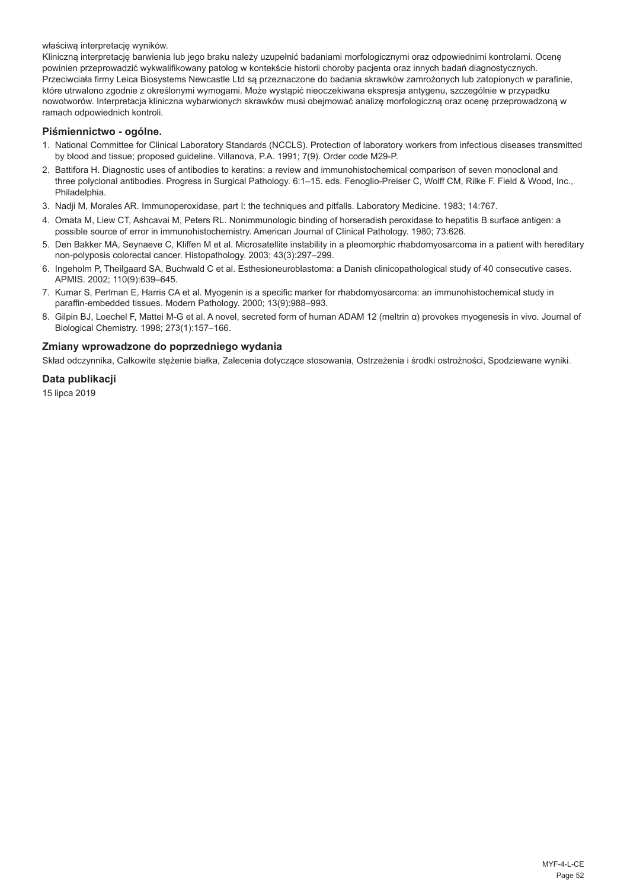właściwą interpretację wyników.

Kliniczną interpretację barwienia lub jego braku należy uzupełnić badaniami morfologicznymi oraz odpowiednimi kontrolami. Ocenę powinien przeprowadzić wykwalifikowany patolog w kontekście historii choroby pacjenta oraz innych badań diagnostycznych. Przeciwciała firmy Leica Biosystems Newcastle Ltd są przeznaczone do badania skrawków zamrożonych lub zatopionych w parafinie, które utrwalono zgodnie z określonymi wymogami. Może wystąpić nieoczekiwana ekspresja antygenu, szczególnie w przypadku nowotworów. Interpretacja kliniczna wybarwionych skrawków musi obejmować analizę morfologiczną oraz ocenę przeprowadzoną w ramach odpowiednich kontroli.

#### **Piśmiennictwo - ogólne.**

- 1. National Committee for Clinical Laboratory Standards (NCCLS). Protection of laboratory workers from infectious diseases transmitted by blood and tissue; proposed guideline. Villanova, P.A. 1991; 7(9). Order code M29-P.
- 2. Battifora H. Diagnostic uses of antibodies to keratins: a review and immunohistochemical comparison of seven monoclonal and three polyclonal antibodies. Progress in Surgical Pathology. 6:1–15. eds. Fenoglio-Preiser C, Wolff CM, Rilke F. Field & Wood, Inc., Philadelphia.
- 3. Nadji M, Morales AR. Immunoperoxidase, part I: the techniques and pitfalls. Laboratory Medicine. 1983; 14:767.
- 4. Omata M, Liew CT, Ashcavai M, Peters RL. Nonimmunologic binding of horseradish peroxidase to hepatitis B surface antigen: a possible source of error in immunohistochemistry. American Journal of Clinical Pathology. 1980; 73:626.
- 5. Den Bakker MA, Seynaeve C, Kliffen M et al. Microsatellite instability in a pleomorphic rhabdomyosarcoma in a patient with hereditary non-polyposis colorectal cancer. Histopathology. 2003; 43(3):297–299.
- 6. Ingeholm P, Theilgaard SA, Buchwald C et al. Esthesioneuroblastoma: a Danish clinicopathological study of 40 consecutive cases. APMIS. 2002; 110(9):639–645.
- 7. Kumar S, Perlman E, Harris CA et al. Myogenin is a specific marker for rhabdomyosarcoma: an immunohistochemical study in paraffin-embedded tissues. Modern Pathology. 2000; 13(9):988–993.
- 8. Gilpin BJ, Loechel F, Mattei M-G et al. A novel, secreted form of human ADAM 12 (meltrin α) provokes myogenesis in vivo. Journal of Biological Chemistry. 1998; 273(1):157–166.

#### **Zmiany wprowadzone do poprzedniego wydania**

Skład odczynnika, Całkowite stężenie białka, Zalecenia dotyczące stosowania, Ostrzeżenia i środki ostrożności, Spodziewane wyniki.

## **Data publikacji**

15 lipca 2019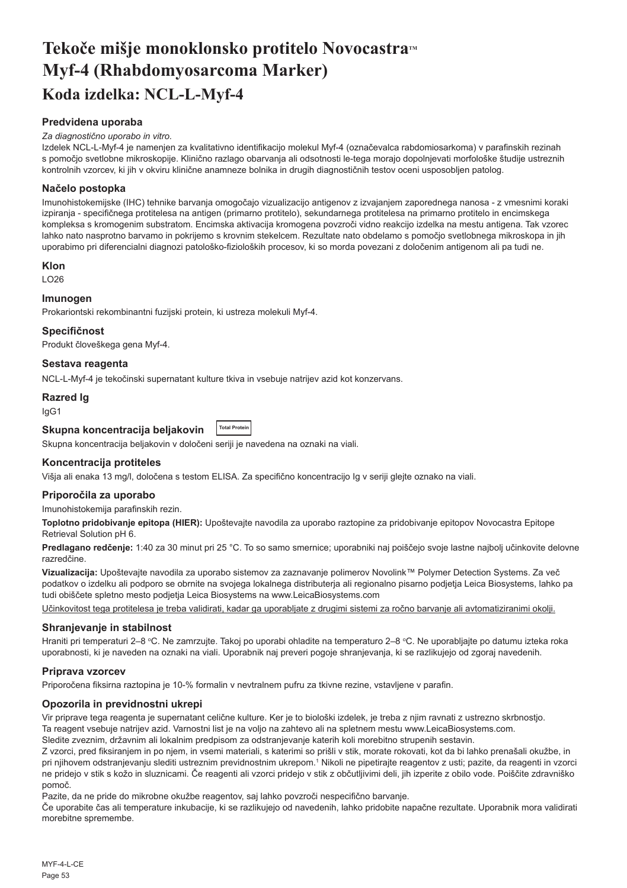# <span id="page-53-0"></span>Tekoče mišje monoklonsko protitelo Novocastra™ **Myf-4 (Rhabdomyosarcoma Marker) Koda izdelka: NCL-L-Myf-4**

## **Predvidena uporaba**

#### *Za diagnostično uporabo in vitro.*

Izdelek NCL-L-Myf-4 je namenjen za kvalitativno identifikacijo molekul Myf-4 (označevalca rabdomiosarkoma) v parafinskih rezinah s pomočjo svetlobne mikroskopije. Klinično razlago obarvanja ali odsotnosti le-tega morajo dopolnjevati morfološke študije ustreznih kontrolnih vzorcev, ki jih v okviru klinične anamneze bolnika in drugih diagnostičnih testov oceni usposobljen patolog.

#### **Načelo postopka**

Imunohistokemijske (IHC) tehnike barvanja omogočajo vizualizacijo antigenov z izvajanjem zaporednega nanosa - z vmesnimi koraki izpiranja - specifičnega protitelesa na antigen (primarno protitelo), sekundarnega protitelesa na primarno protitelo in encimskega kompleksa s kromogenim substratom. Encimska aktivacija kromogena povzroči vidno reakcijo izdelka na mestu antigena. Tak vzorec lahko nato nasprotno barvamo in pokrijemo s krovnim stekelcem. Rezultate nato obdelamo s pomočjo svetlobnega mikroskopa in jih uporabimo pri diferencialni diagnozi patološko-fizioloških procesov, ki so morda povezani z določenim antigenom ali pa tudi ne.

#### **Klon**

LO26

#### **Imunogen**

Prokariontski rekombinantni fuzijski protein, ki ustreza molekuli Myf-4.

#### **Specifičnost**

Produkt človeškega gena Myf-4.

#### **Sestava reagenta**

NCL-L-Myf-4 je tekočinski supernatant kulture tkiva in vsebuje natrijev azid kot konzervans.

#### **Razred Ig**

IgG1

#### **Skupna koncentracija beljakovin Total Protein**

Skupna koncentracija beljakovin v določeni seriji je navedena na oznaki na viali.

## **Koncentracija protiteles**

Višja ali enaka 13 mg/l, določena s testom ELISA. Za specifično koncentracijo Ig v seriji glejte oznako na viali.

#### **Priporočila za uporabo**

Imunohistokemija parafinskih rezin.

**Toplotno pridobivanje epitopa (HIER):** Upoštevajte navodila za uporabo raztopine za pridobivanje epitopov Novocastra Epitope Retrieval Solution pH 6.

**Predlagano redčenje:** 1:40 za 30 minut pri 25 °C. To so samo smernice; uporabniki naj poiščejo svoje lastne najbolj učinkovite delovne razredčine.

**Vizualizacija:** Upoštevajte navodila za uporabo sistemov za zaznavanje polimerov Novolink™ Polymer Detection Systems. Za več podatkov o izdelku ali podporo se obrnite na svojega lokalnega distributerja ali regionalno pisarno podjetja Leica Biosystems, lahko pa tudi obiščete spletno mesto podjetja Leica Biosystems na www.LeicaBiosystems.com

Učinkovitost tega protitelesa je treba validirati, kadar ga uporabljate z drugimi sistemi za ročno barvanje ali avtomatiziranimi okolji.

#### **Shranjevanje in stabilnost**

Hraniti pri temperaturi 2–8 °C. Ne zamrzujte. Takoj po uporabi ohladite na temperaturo 2–8 °C. Ne uporabljajte po datumu izteka roka uporabnosti, ki je naveden na oznaki na viali. Uporabnik naj preveri pogoje shranjevanja, ki se razlikujejo od zgoraj navedenih.

#### **Priprava vzorcev**

Priporočena fiksirna raztopina je 10-% formalin v nevtralnem pufru za tkivne rezine, vstavljene v parafin.

#### **Opozorila in previdnostni ukrepi**

Vir priprave tega reagenta je supernatant celične kulture. Ker je to biološki izdelek, je treba z njim ravnati z ustrezno skrbnostjo.

Ta reagent vsebuje natrijev azid. Varnostni list je na voljo na zahtevo ali na spletnem mestu www.LeicaBiosystems.com.

Sledite zveznim, državnim ali lokalnim predpisom za odstranjevanje katerih koli morebitno strupenih sestavin.

Z vzorci, pred fiksiranjem in po njem, in vsemi materiali, s katerimi so prišli v stik, morate rokovati, kot da bi lahko prenašali okužbe, in pri njihovem odstranjevanju slediti ustreznim previdnostnim ukrepom.1 Nikoli ne pipetirajte reagentov z usti; pazite, da reagenti in vzorci ne pridejo v stik s kožo in sluznicami. Če reagenti ali vzorci pridejo v stik z občutljivimi deli, jih izperite z obilo vode. Poiščite zdravniško pomoč.

Pazite, da ne pride do mikrobne okužbe reagentov, saj lahko povzroči nespecifično barvanje.

Če uporabite čas ali temperature inkubacije, ki se razlikujejo od navedenih, lahko pridobite napačne rezultate. Uporabnik mora validirati morebitne spremembe.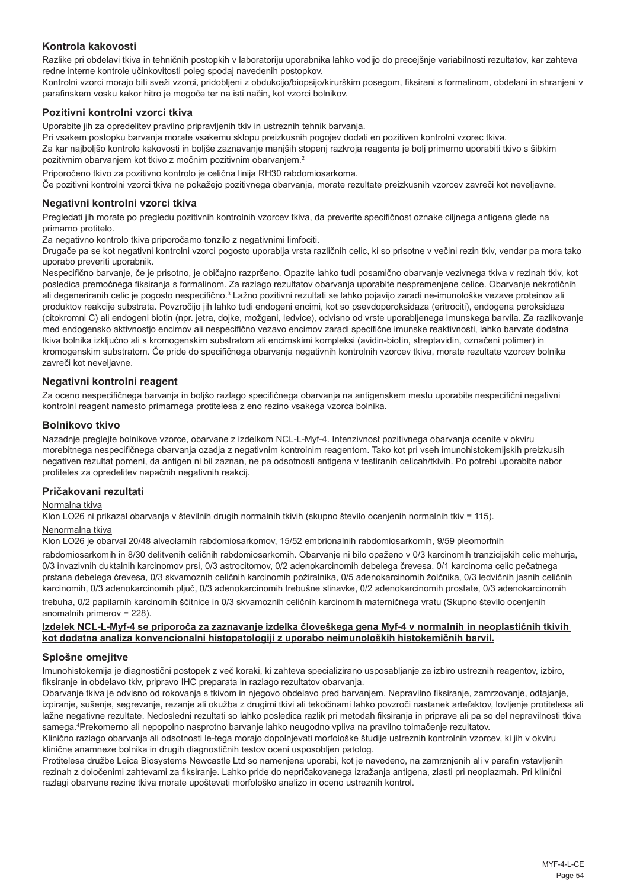### **Kontrola kakovosti**

Razlike pri obdelavi tkiva in tehničnih postopkih v laboratoriju uporabnika lahko vodijo do precejšnje variabilnosti rezultatov, kar zahteva redne interne kontrole učinkovitosti poleg spodaj navedenih postopkov.

Kontrolni vzorci morajo biti sveži vzorci, pridobljeni z obdukcijo/biopsijo/kirurškim posegom, fiksirani s formalinom, obdelani in shranjeni v parafinskem vosku kakor hitro je mogoče ter na isti način, kot vzorci bolnikov.

#### **Pozitivni kontrolni vzorci tkiva**

Uporabite jih za opredelitev pravilno pripravljenih tkiv in ustreznih tehnik barvanja.

Pri vsakem postopku barvanja morate vsakemu sklopu preizkusnih pogojev dodati en pozitiven kontrolni vzorec tkiva.

Za kar najboljšo kontrolo kakovosti in boljše zaznavanje manjših stopenj razkroja reagenta je bolj primerno uporabiti tkivo s šibkim pozitivnim obarvanjem kot tkivo z močnim pozitivnim obarvanjem.<sup>2</sup>

Priporočeno tkivo za pozitivno kontrolo je celična linija RH30 rabdomiosarkoma.

Če pozitivni kontrolni vzorci tkiva ne pokažejo pozitivnega obarvanja, morate rezultate preizkusnih vzorcev zavreči kot neveljavne.

#### **Negativni kontrolni vzorci tkiva**

Pregledati jih morate po pregledu pozitivnih kontrolnih vzorcev tkiva, da preverite specifičnost oznake ciljnega antigena glede na primarno protitelo.

Za negativno kontrolo tkiva priporočamo tonzilo z negativnimi limfociti.

Drugače pa se kot negativni kontrolni vzorci pogosto uporablja vrsta različnih celic, ki so prisotne v večini rezin tkiv, vendar pa mora tako uporabo preveriti uporabnik.

Nespecifično barvanje, če je prisotno, je običajno razpršeno. Opazite lahko tudi posamično obarvanje vezivnega tkiva v rezinah tkiv, kot posledica premočnega fiksiranja s formalinom. Za razlago rezultatov obarvanja uporabite nespremenjene celice. Obarvanje nekrotičnih ali degeneriranih celic je pogosto nespecifično.<sup>3</sup> Lažno pozitivni rezultati se lahko pojavijo zaradi ne-imunološke vezave proteinov ali produktov reakcije substrata. Povzročijo jih lahko tudi endogeni encimi, kot so psevdoperoksidaza (eritrociti), endogena peroksidaza (citokromni C) ali endogeni biotin (npr. jetra, dojke, možgani, ledvice), odvisno od vrste uporabljenega imunskega barvila. Za razlikovanje med endogensko aktivnostjo encimov ali nespecifično vezavo encimov zaradi specifične imunske reaktivnosti, lahko barvate dodatna tkiva bolnika izključno ali s kromogenskim substratom ali encimskimi kompleksi (avidin-biotin, streptavidin, označeni polimer) in kromogenskim substratom. Če pride do specifičnega obarvanja negativnih kontrolnih vzorcev tkiva, morate rezultate vzorcev bolnika zavreči kot neveljavne.

#### **Negativni kontrolni reagent**

Za oceno nespecifičnega barvanja in boljšo razlago specifičnega obarvanja na antigenskem mestu uporabite nespecifični negativni kontrolni reagent namesto primarnega protitelesa z eno rezino vsakega vzorca bolnika.

#### **Bolnikovo tkivo**

Nazadnje preglejte bolnikove vzorce, obarvane z izdelkom NCL-L-Myf-4. Intenzivnost pozitivnega obarvanja ocenite v okviru morebitnega nespecifičnega obarvanja ozadja z negativnim kontrolnim reagentom. Tako kot pri vseh imunohistokemijskih preizkusih negativen rezultat pomeni, da antigen ni bil zaznan, ne pa odsotnosti antigena v testiranih celicah/tkivih. Po potrebi uporabite nabor protiteles za opredelitev napačnih negativnih reakcij.

#### **Pričakovani rezultati**

#### Normalna tkiva

Klon LO26 ni prikazal obarvanja v številnih drugih normalnih tkivih (skupno število ocenjenih normalnih tkiv = 115).

#### Nenormalna tkiva

Klon LO26 je obarval 20/48 alveolarnih rabdomiosarkomov, 15/52 embrionalnih rabdomiosarkomih, 9/59 pleomorfnih

rabdomiosarkomih in 8/30 delitvenih celičnih rabdomiosarkomih. Obarvanje ni bilo opaženo v 0/3 karcinomih tranzicijskih celic mehurja, 0/3 invazivnih duktalnih karcinomov prsi, 0/3 astrocitomov, 0/2 adenokarcinomih debelega črevesa, 0/1 karcinoma celic pečatnega prstana debelega črevesa, 0/3 skvamoznih celičnih karcinomih požiralnika, 0/5 adenokarcinomih žolčnika, 0/3 ledvičnih jasnih celičnih karcinomih, 0/3 adenokarcinomih pljuč, 0/3 adenokarcinomih trebušne slinavke, 0/2 adenokarcinomih prostate, 0/3 adenokarcinomih trebuha, 0/2 papilarnih karcinomih ščitnice in 0/3 skvamoznih celičnih karcinomih materničnega vratu (Skupno število ocenjenih

anomalnih primerov = 228).

#### **Izdelek NCL-L-Myf-4 se priporoča za zaznavanje izdelka človeškega gena Myf-4 v normalnih in neoplastičnih tkivih kot dodatna analiza konvencionalni histopatologiji z uporabo neimunoloških histokemičnih barvil.**

#### **Splošne omejitve**

Imunohistokemija je diagnostični postopek z več koraki, ki zahteva specializirano usposabljanje za izbiro ustreznih reagentov, izbiro, fiksiranje in obdelavo tkiv, pripravo IHC preparata in razlago rezultatov obarvanja.

Obarvanje tkiva je odvisno od rokovanja s tkivom in njegovo obdelavo pred barvanjem. Nepravilno fiksiranje, zamrzovanje, odtajanje, izpiranje, sušenje, segrevanje, rezanje ali okužba z drugimi tkivi ali tekočinami lahko povzroči nastanek artefaktov, lovljenje protitelesa ali lažne negativne rezultate. Nedosledni rezultati so lahko posledica razlik pri metodah fiksiranja in priprave ali pa so del nepravilnosti tkiva samega.<sup>4</sup> Prekomerno ali nepopolno nasprotno barvanje lahko neugodno vpliva na pravilno tolmačenje rezultatov.

Klinično razlago obarvanja ali odsotnosti le-tega morajo dopolnjevati morfološke študije ustreznih kontrolnih vzorcev, ki jih v okviru klinične anamneze bolnika in drugih diagnostičnih testov oceni usposobljen patolog.

Protitelesa družbe Leica Biosystems Newcastle Ltd so namenjena uporabi, kot je navedeno, na zamrznjenih ali v parafin vstavljenih rezinah z določenimi zahtevami za fiksiranje. Lahko pride do nepričakovanega izražanja antigena, zlasti pri neoplazmah. Pri klinični razlagi obarvane rezine tkiva morate upoštevati morfološko analizo in oceno ustreznih kontrol.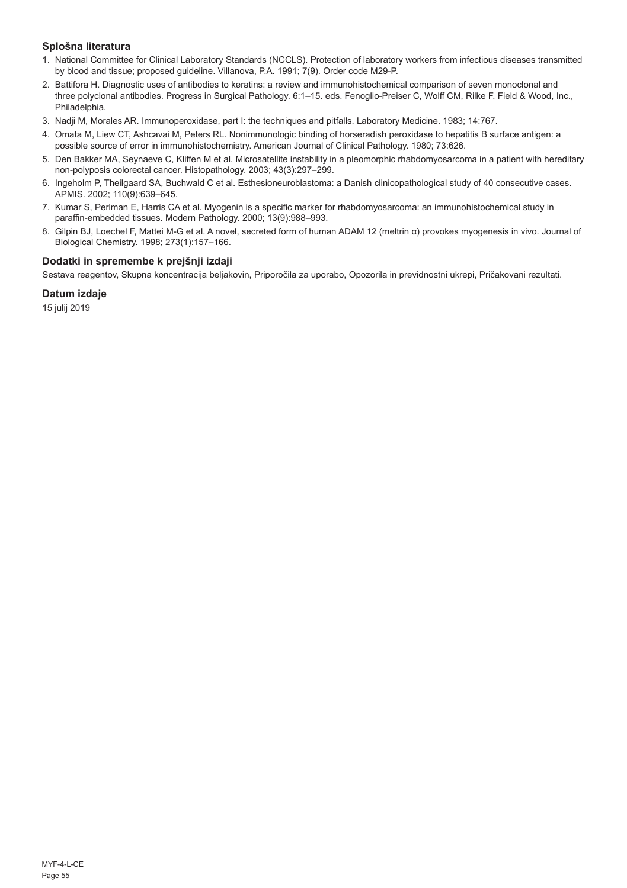## **Splošna literatura**

- 1. National Committee for Clinical Laboratory Standards (NCCLS). Protection of laboratory workers from infectious diseases transmitted by blood and tissue; proposed guideline. Villanova, P.A. 1991; 7(9). Order code M29-P.
- 2. Battifora H. Diagnostic uses of antibodies to keratins: a review and immunohistochemical comparison of seven monoclonal and three polyclonal antibodies. Progress in Surgical Pathology. 6:1–15. eds. Fenoglio-Preiser C, Wolff CM, Rilke F. Field & Wood, Inc., Philadelphia.
- 3. Nadji M, Morales AR. Immunoperoxidase, part I: the techniques and pitfalls. Laboratory Medicine. 1983; 14:767.
- 4. Omata M, Liew CT, Ashcavai M, Peters RL. Nonimmunologic binding of horseradish peroxidase to hepatitis B surface antigen: a possible source of error in immunohistochemistry. American Journal of Clinical Pathology. 1980; 73:626.
- 5. Den Bakker MA, Seynaeve C, Kliffen M et al. Microsatellite instability in a pleomorphic rhabdomyosarcoma in a patient with hereditary non-polyposis colorectal cancer. Histopathology. 2003; 43(3):297–299.
- 6. Ingeholm P, Theilgaard SA, Buchwald C et al. Esthesioneuroblastoma: a Danish clinicopathological study of 40 consecutive cases. APMIS. 2002; 110(9):639–645.
- 7. Kumar S, Perlman E, Harris CA et al. Myogenin is a specific marker for rhabdomyosarcoma: an immunohistochemical study in paraffin-embedded tissues. Modern Pathology. 2000; 13(9):988–993.
- 8. Gilpin BJ, Loechel F, Mattei M-G et al. A novel, secreted form of human ADAM 12 (meltrin α) provokes myogenesis in vivo. Journal of Biological Chemistry. 1998; 273(1):157–166.

## **Dodatki in spremembe k prejšnji izdaji**

Sestava reagentov, Skupna koncentracija beljakovin, Priporočila za uporabo, Opozorila in previdnostni ukrepi, Pričakovani rezultati.

### **Datum izdaje**

15 julij 2019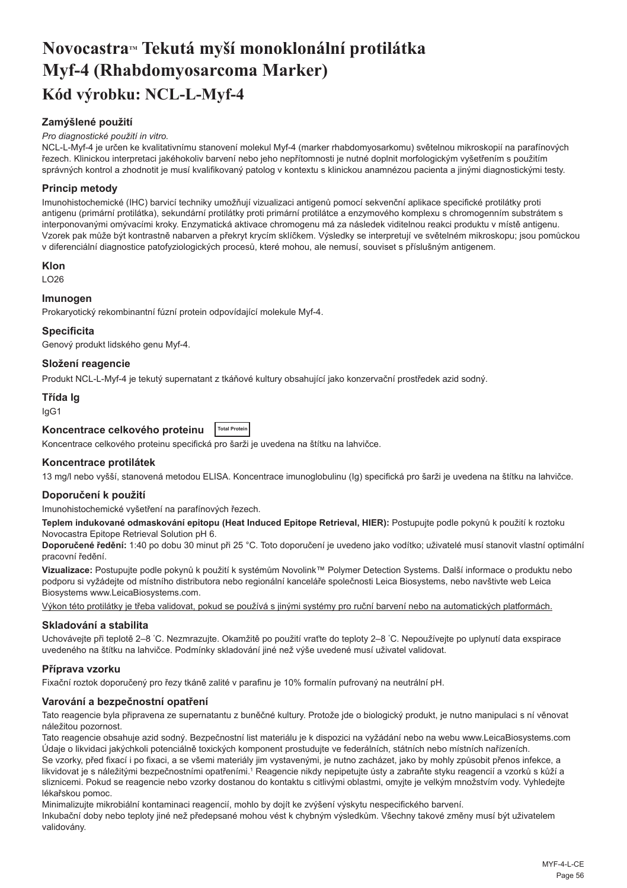## <span id="page-56-0"></span>**NovocastraTM Tekutá myší monoklonální protilátka Myf-4 (Rhabdomyosarcoma Marker) Kód výrobku: NCL-L-Myf-4**

## **Zamýšlené použití**

#### *Pro diagnostické použití in vitro.*

NCL-L-Myf-4 je určen ke kvalitativnímu stanovení molekul Myf-4 (marker rhabdomyosarkomu) světelnou mikroskopií na parafínových řezech. Klinickou interpretaci jakéhokoliv barvení nebo jeho nepřítomnosti je nutné doplnit morfologickým vyšetřením s použitím správných kontrol a zhodnotit je musí kvalifikovaný patolog v kontextu s klinickou anamnézou pacienta a jinými diagnostickými testy.

### **Princip metody**

Imunohistochemické (IHC) barvicí techniky umožňují vizualizaci antigenů pomocí sekvenční aplikace specifické protilátky proti antigenu (primární protilátka), sekundární protilátky proti primární protilátce a enzymového komplexu s chromogenním substrátem s interponovanými omývacími kroky. Enzymatická aktivace chromogenu má za následek viditelnou reakci produktu v místě antigenu. Vzorek pak může být kontrastně nabarven a překryt krycím sklíčkem. Výsledky se interpretují ve světelném mikroskopu; jsou pomůckou v diferenciální diagnostice patofyziologických procesů, které mohou, ale nemusí, souviset s příslušným antigenem.

#### **Klon**

LO26

### **Imunogen**

Prokaryotický rekombinantní fúzní protein odpovídající molekule Myf-4.

#### **Specificita**

Genový produkt lidského genu Myf-4.

#### **Složení reagencie**

Produkt NCL-L-Myf-4 je tekutý supernatant z tkáňové kultury obsahující jako konzervační prostředek azid sodný.

#### **Třída Ig**

IgG1

## **Koncentrace celkového proteinu Total Protein**

Koncentrace celkového proteinu specifická pro šarži je uvedena na štítku na lahvičce.

#### **Koncentrace protilátek**

13 mg/l nebo vyšší, stanovená metodou ELISA. Koncentrace imunoglobulinu (Ig) specifická pro šarži je uvedena na štítku na lahvičce.

#### **Doporučení k použití**

Imunohistochemické vyšetření na parafínových řezech.

**Teplem indukované odmaskování epitopu (Heat Induced Epitope Retrieval, HIER):** Postupujte podle pokynů k použití k roztoku Novocastra Epitope Retrieval Solution pH 6.

**Doporučené ředění:** 1:40 po dobu 30 minut při 25 °C. Toto doporučení je uvedeno jako vodítko; uživatelé musí stanovit vlastní optimální pracovní ředění.

**Vizualizace:** Postupujte podle pokynů k použití k systémům Novolink™ Polymer Detection Systems. Další informace o produktu nebo podporu si vyžádejte od místního distributora nebo regionální kanceláře společnosti Leica Biosystems, nebo navštivte web Leica Biosystems www.LeicaBiosystems.com.

Výkon této protilátky je třeba validovat, pokud se používá s jinými systémy pro ruční barvení nebo na automatických platformách.

#### **Skladování a stabilita**

Uchovávejte při teplotě 2–8 °C. Nezmrazujte. Okamžitě po použití vraťte do teploty 2–8 °C. Nepoužívejte po uplynutí data exspirace uvedeného na štítku na lahvičce. Podmínky skladování jiné než výše uvedené musí uživatel validovat.

#### **Příprava vzorku**

Fixační roztok doporučený pro řezy tkáně zalité v parafinu je 10% formalín pufrovaný na neutrální pH.

#### **Varování a bezpečnostní opatření**

Tato reagencie byla připravena ze supernatantu z buněčné kultury. Protože jde o biologický produkt, je nutno manipulaci s ní věnovat náležitou pozornost.

Tato reagencie obsahuje azid sodný. Bezpečnostní list materiálu je k dispozici na vyžádání nebo na webu www.LeicaBiosystems.com Údaje o likvidaci jakýchkoli potenciálně toxických komponent prostudujte ve federálních, státních nebo místních nařízeních.

Se vzorky, před fixací i po fixaci, a se všemi materiály jim vystavenými, je nutno zacházet, jako by mohly způsobit přenos infekce, a likvidovat je s náležitými bezpečnostními opatřeními.1 Reagencie nikdy nepipetujte ústy a zabraňte styku reagencií a vzorků s kůží a sliznicemi. Pokud se reagencie nebo vzorky dostanou do kontaktu s citlivými oblastmi, omyjte je velkým množstvím vody. Vyhledejte lékařskou pomoc.

Minimalizujte mikrobiální kontaminaci reagencií, mohlo by dojít ke zvýšení výskytu nespecifického barvení. Inkubační doby nebo teploty jiné než předepsané mohou vést k chybným výsledkům. Všechny takové změny musí být uživatelem validovány.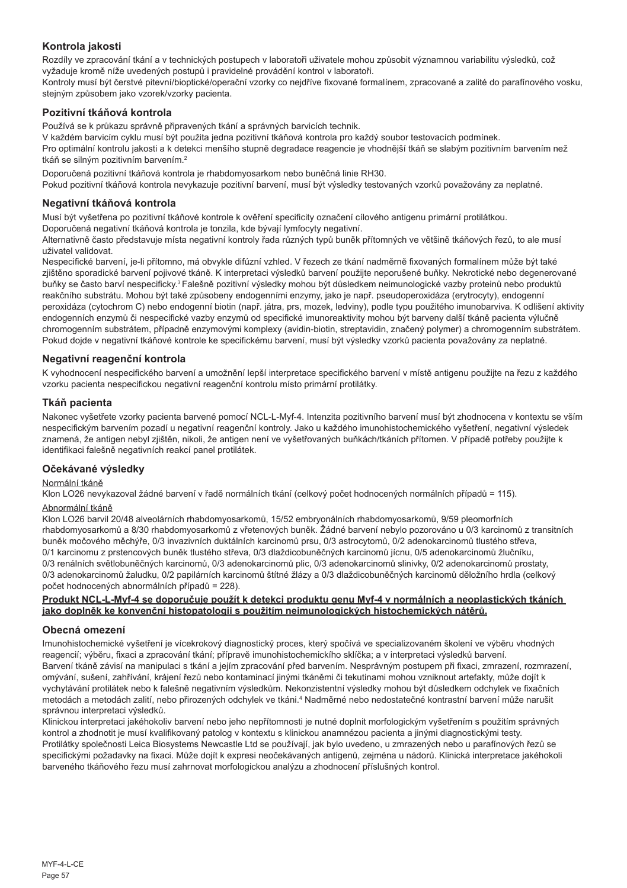## **Kontrola jakosti**

Rozdíly ve zpracování tkání a v technických postupech v laboratoři uživatele mohou způsobit významnou variabilitu výsledků, což vyžaduje kromě níže uvedených postupů i pravidelné provádění kontrol v laboratoři.

Kontroly musí být čerstvé pitevní/bioptické/operační vzorky co nejdříve fixované formalínem, zpracované a zalité do parafínového vosku, stejným způsobem jako vzorek/vzorky pacienta.

## **Pozitivní tkáňová kontrola**

Používá se k průkazu správně připravených tkání a správných barvicích technik.

V každém barvicím cyklu musí být použita jedna pozitivní tkáňová kontrola pro každý soubor testovacích podmínek.

Pro optimální kontrolu jakosti a k detekci menšího stupně degradace reagencie je vhodnější tkáň se slabým pozitivním barvením než tkáň se silným pozitivním barvením.<sup>2</sup>

Doporučená pozitivní tkáňová kontrola je rhabdomyosarkom nebo buněčná linie RH30.

Pokud pozitivní tkáňová kontrola nevykazuje pozitivní barvení, musí být výsledky testovaných vzorků považovány za neplatné.

#### **Negativní tkáňová kontrola**

Musí být vyšetřena po pozitivní tkáňové kontrole k ověření specificity označení cílového antigenu primární protilátkou.

Doporučená negativní tkáňová kontrola je tonzila, kde bývají lymfocyty negativní.

Alternativně často představuje místa negativní kontroly řada různých typů buněk přítomných ve většině tkáňových řezů, to ale musí uživatel validovat.

Nespecifické barvení, je-li přítomno, má obvykle difúzní vzhled. V řezech ze tkání nadměrně fixovaných formalínem může být také zjištěno sporadické barvení pojivové tkáně. K interpretaci výsledků barvení použijte neporušené buňky. Nekrotické nebo degenerované buňky se často barví nespecificky.<sup>3</sup>Falešně pozitivní výsledky mohou být důsledkem neimunologické vazby proteinů nebo produktů reakčního substrátu. Mohou být také způsobeny endogenními enzymy, jako je např. pseudoperoxidáza (erytrocyty), endogenní peroxidáza (cytochrom C) nebo endogenní biotin (např. játra, prs, mozek, ledviny), podle typu použitého imunobarviva. K odlišení aktivity endogenních enzymů či nespecifické vazby enzymů od specifické imunoreaktivity mohou být barveny další tkáně pacienta výlučně chromogenním substrátem, případně enzymovými komplexy (avidin-biotin, streptavidin, značený polymer) a chromogenním substrátem. Pokud dojde v negativní tkáňové kontrole ke specifickému barvení, musí být výsledky vzorků pacienta považovány za neplatné.

#### **Negativní reagenční kontrola**

K vyhodnocení nespecifického barvení a umožnění lepší interpretace specifického barvení v místě antigenu použijte na řezu z každého vzorku pacienta nespecifickou negativní reagenční kontrolu místo primární protilátky.

#### **Tkáň pacienta**

Nakonec vyšetřete vzorky pacienta barvené pomocí NCL-L-Myf-4. Intenzita pozitivního barvení musí být zhodnocena v kontextu se vším nespecifickým barvením pozadí u negativní reagenční kontroly. Jako u každého imunohistochemického vyšetření, negativní výsledek znamená, že antigen nebyl zjištěn, nikoli, že antigen není ve vyšetřovaných buňkách/tkáních přítomen. V případě potřeby použijte k identifikaci falešně negativních reakcí panel protilátek.

#### **Očekávané výsledky**

#### Normální tkáně

Klon LO26 nevykazoval žádné barvení v řadě normálních tkání (celkový počet hodnocených normálních případů = 115).

#### Abnormální tkáně

Klon LO26 barvil 20/48 alveolárních rhabdomyosarkomů, 15/52 embryonálních rhabdomyosarkomů, 9/59 pleomorfních rhabdomyosarkomů a 8/30 rhabdomyosarkomů z vřetenových buněk. Žádné barvení nebylo pozorováno u 0/3 karcinomů z transitních buněk močového měchýře, 0/3 invazivních duktálních karcinomů prsu, 0/3 astrocytomů, 0/2 adenokarcinomů tlustého střeva, 0/1 karcinomu z prstencových buněk tlustého střeva, 0/3 dlaždicobuněčných karcinomů jícnu, 0/5 adenokarcinomů žlučníku, 0/3 renálních světlobuněčných karcinomů, 0/3 adenokarcinomů plic, 0/3 adenokarcinomů slinivky, 0/2 adenokarcinomů prostaty, 0/3 adenokarcinomů žaludku, 0/2 papilárních karcinomů štítné žlázy a 0/3 dlaždicobuněčných karcinomů děložního hrdla (celkový počet hodnocených abnormálních případů = 228).

#### **Produkt NCL-L-Myf-4 se doporučuje použít k detekci produktu genu Myf-4 v normálních a neoplastických tkáních jako doplněk ke konvenční histopatologii s použitím neimunologických histochemických nátěrů.**

#### **Obecná omezení**

Imunohistochemické vyšetření je vícekrokový diagnostický proces, který spočívá ve specializovaném školení ve výběru vhodných reagencií; výběru, fixaci a zpracování tkání; přípravě imunohistochemickího sklíčka; a v interpretaci výsledků barvení. Barvení tkáně závisí na manipulaci s tkání a jejím zpracování před barvením. Nesprávným postupem při fixaci, zmrazení, rozmrazení, omývání, sušení, zahřívání, krájení řezů nebo kontaminací jinými tkáněmi či tekutinami mohou vzniknout artefakty, může dojít k vychytávání protilátek nebo k falešně negativním výsledkům. Nekonzistentní výsledky mohou být důsledkem odchylek ve fixačních metodách a metodách zalití, nebo přirozených odchylek ve tkáni.<sup>4</sup> Nadměrné nebo nedostatečné kontrastní barvení může narušit správnou interpretaci výsledků.

Klinickou interpretaci jakéhokoliv barvení nebo jeho nepřítomnosti je nutné doplnit morfologickým vyšetřením s použitím správných kontrol a zhodnotit je musí kvalifikovaný patolog v kontextu s klinickou anamnézou pacienta a jinými diagnostickými testy. Protilátky společnosti Leica Biosystems Newcastle Ltd se používají, jak bylo uvedeno, u zmrazených nebo u parafínových řezů se specifickými požadavky na fixaci. Může dojít k expresi neočekávaných antigenů, zejména u nádorů. Klinická interpretace jakéhokoli barveného tkáňového řezu musí zahrnovat morfologickou analýzu a zhodnocení příslušných kontrol.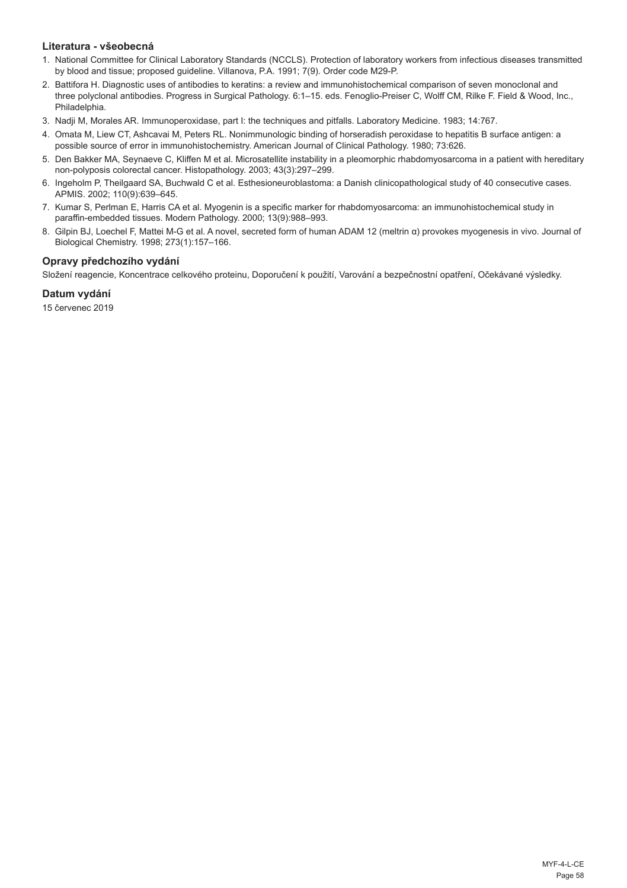#### **Literatura - všeobecná**

- 1. National Committee for Clinical Laboratory Standards (NCCLS). Protection of laboratory workers from infectious diseases transmitted by blood and tissue; proposed guideline. Villanova, P.A. 1991; 7(9). Order code M29-P.
- 2. Battifora H. Diagnostic uses of antibodies to keratins: a review and immunohistochemical comparison of seven monoclonal and three polyclonal antibodies. Progress in Surgical Pathology. 6:1–15. eds. Fenoglio-Preiser C, Wolff CM, Rilke F. Field & Wood, Inc., Philadelphia.
- 3. Nadji M, Morales AR. Immunoperoxidase, part I: the techniques and pitfalls. Laboratory Medicine. 1983; 14:767.
- 4. Omata M, Liew CT, Ashcavai M, Peters RL. Nonimmunologic binding of horseradish peroxidase to hepatitis B surface antigen: a possible source of error in immunohistochemistry. American Journal of Clinical Pathology. 1980; 73:626.
- 5. Den Bakker MA, Seynaeve C, Kliffen M et al. Microsatellite instability in a pleomorphic rhabdomyosarcoma in a patient with hereditary non-polyposis colorectal cancer. Histopathology. 2003; 43(3):297–299.
- 6. Ingeholm P, Theilgaard SA, Buchwald C et al. Esthesioneuroblastoma: a Danish clinicopathological study of 40 consecutive cases. APMIS. 2002; 110(9):639–645.
- 7. Kumar S, Perlman E, Harris CA et al. Myogenin is a specific marker for rhabdomyosarcoma: an immunohistochemical study in paraffin-embedded tissues. Modern Pathology. 2000; 13(9):988–993.
- 8. Gilpin BJ, Loechel F, Mattei M-G et al. A novel, secreted form of human ADAM 12 (meltrin α) provokes myogenesis in vivo. Journal of Biological Chemistry. 1998; 273(1):157–166.

## **Opravy předchozího vydání**

Složení reagencie, Koncentrace celkového proteinu, Doporučení k použití, Varování a bezpečnostní opatření, Očekávané výsledky.

## **Datum vydání**

15 červenec 2019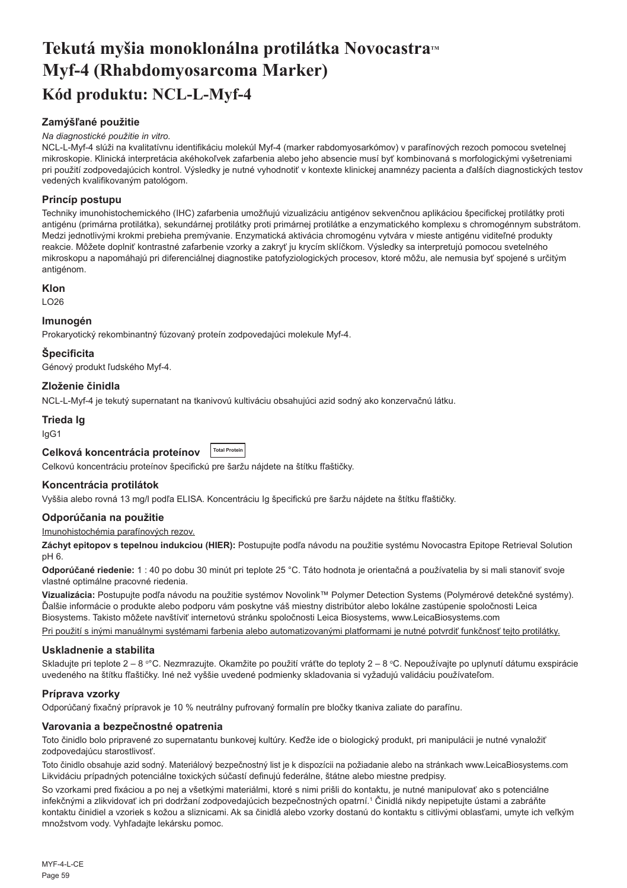## <span id="page-59-0"></span>**Tekutá myšia monoklonálna protilátka NovocastraTM Myf-4 (Rhabdomyosarcoma Marker) Kód produktu: NCL-L-Myf-4**

## **Zamýšľané použitie**

#### *Na diagnostické použitie in vitro.*

NCL-L-Myf-4 slúži na kvalitatívnu identifikáciu molekúl Myf-4 (marker rabdomyosarkómov) v parafínových rezoch pomocou svetelnej mikroskopie. Klinická interpretácia akéhokoľvek zafarbenia alebo jeho absencie musí byť kombinovaná s morfologickými vyšetreniami pri použití zodpovedajúcich kontrol. Výsledky je nutné vyhodnotiť v kontexte klinickej anamnézy pacienta a ďalších diagnostických testov vedených kvalifikovaným patológom.

#### **Princíp postupu**

Techniky imunohistochemického (IHC) zafarbenia umožňujú vizualizáciu antigénov sekvenčnou aplikáciou špecifickej protilátky proti antigénu (primárna protilátka), sekundárnej protilátky proti primárnej protilátke a enzymatického komplexu s chromogénnym substrátom. Medzi jednotlivými krokmi prebieha premývanie. Enzymatická aktivácia chromogénu vytvára v mieste antigénu viditeľné produkty reakcie. Môžete doplniť kontrastné zafarbenie vzorky a zakryť ju krycím sklíčkom. Výsledky sa interpretujú pomocou svetelného mikroskopu a napomáhajú pri diferenciálnej diagnostike patofyziologických procesov, ktoré môžu, ale nemusia byť spojené s určitým antigénom.

#### **Klon**

LO26

#### **Imunogén**

Prokaryotický rekombinantný fúzovaný proteín zodpovedajúci molekule Myf-4.

### **Špecificita**

Génový produkt ľudského Myf-4.

### **Zloženie činidla**

NCL-L-Myf-4 je tekutý supernatant na tkanivovú kultiváciu obsahujúci azid sodný ako konzervačnú látku.

#### **Trieda Ig**

IgG1

#### **Celková koncentrácia proteínov Total Protein**

Celkovú koncentráciu proteínov špecifickú pre šaržu nájdete na štítku fľaštičky.

#### **Koncentrácia protilátok**

Vyššia alebo rovná 13 mg/l podľa ELISA. Koncentráciu Ig špecifickú pre šaržu nájdete na štítku fľaštičky.

#### **Odporúčania na použitie**

#### Imunohistochémia parafínových rezov.

**Záchyt epitopov s tepelnou indukciou (HIER):** Postupujte podľa návodu na použitie systému Novocastra Epitope Retrieval Solution pH 6.

**Odporúčané riedenie:** 1 : 40 po dobu 30 minút pri teplote 25 °C. Táto hodnota je orientačná a používatelia by si mali stanoviť svoje vlastné optimálne pracovné riedenia.

**Vizualizácia:** Postupujte podľa návodu na použitie systémov Novolink™ Polymer Detection Systems (Polymérové detekčné systémy). Ďalšie informácie o produkte alebo podporu vám poskytne váš miestny distribútor alebo lokálne zastúpenie spoločnosti Leica Biosystems. Takisto môžete navštíviť internetovú stránku spoločnosti Leica Biosystems, www.LeicaBiosystems.com Pri použití s inými manuálnymi systémami farbenia alebo automatizovanými platformami je nutné potvrdiť funkčnosť tejto protilátky.

## **Uskladnenie a stabilita**

Skladujte pri teplote 2 – 8 °°C. Nezmrazujte. Okamžite po použití vráťte do teploty 2 – 8 °C. Nepoužívajte po uplynutí dátumu exspirácie uvedeného na štítku fľaštičky. Iné než vyššie uvedené podmienky skladovania si vyžadujú validáciu používateľom.

#### **Príprava vzorky**

Odporúčaný fixačný prípravok je 10 % neutrálny pufrovaný formalín pre bločky tkaniva zaliate do parafínu.

#### **Varovania a bezpečnostné opatrenia**

Toto činidlo bolo pripravené zo supernatantu bunkovej kultúry. Keďže ide o biologický produkt, pri manipulácii je nutné vynaložiť zodpovedajúcu starostlivosť.

Toto činidlo obsahuje azid sodný. Materiálový bezpečnostný list je k dispozícii na požiadanie alebo na stránkach www.LeicaBiosystems.com Likvidáciu prípadných potenciálne toxických súčastí definujú federálne, štátne alebo miestne predpisy.

So vzorkami pred fixáciou a po nej a všetkými materiálmi, ktoré s nimi prišli do kontaktu, je nutné manipulovať ako s potenciálne infekčnými a zlikvidovať ich pri dodržaní zodpovedajúcich bezpečnostných opatrní.<sup>1</sup> Činidlá nikdy nepipetujte ústami a zabráňte kontaktu činidiel a vzoriek s kožou a sliznicami. Ak sa činidlá alebo vzorky dostanú do kontaktu s citlivými oblasťami, umyte ich veľkým množstvom vody. Vyhľadajte lekársku pomoc.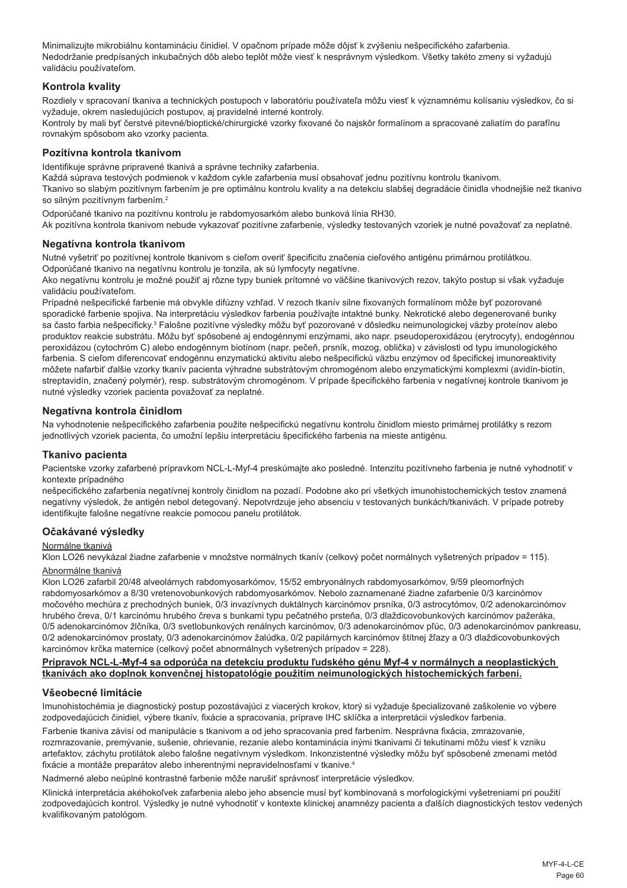Minimalizujte mikrobiálnu kontamináciu činidiel. V opačnom prípade môže dôjsť k zvýšeniu nešpecifického zafarbenia. Nedodržanie predpísaných inkubačných dôb alebo teplôt môže viesť k nesprávnym výsledkom. Všetky takéto zmeny si vyžadujú validáciu používateľom.

#### **Kontrola kvality**

Rozdiely v spracovaní tkaniva a technických postupoch v laboratóriu používateľa môžu viesť k významnému kolísaniu výsledkov, čo si vyžaduje, okrem nasledujúcich postupov, aj pravidelné interné kontroly.

Kontroly by mali byť čerstvé pitevné/bioptické/chirurgické vzorky fixované čo najskôr formalínom a spracované zaliatím do parafínu rovnakým spôsobom ako vzorky pacienta.

#### **Pozitívna kontrola tkanivom**

Identifikuje správne pripravené tkanivá a správne techniky zafarbenia.

Každá súprava testových podmienok v každom cykle zafarbenia musí obsahovať jednu pozitívnu kontrolu tkanivom.

Tkanivo so slabým pozitívnym farbením je pre optimálnu kontrolu kvality a na detekciu slabšej degradácie činidla vhodnejšie než tkanivo so silným pozitívnym farbením.<sup>2</sup>

Odporúčané tkanivo na pozitívnu kontrolu je rabdomyosarkóm alebo bunková línia RH30.

Ak pozitívna kontrola tkanivom nebude vykazovať pozitívne zafarbenie, výsledky testovaných vzoriek je nutné považovať za neplatné.

#### **Negatívna kontrola tkanivom**

Nutné vyšetriť po pozitívnej kontrole tkanivom s cieľom overiť špecificitu značenia cieľového antigénu primárnou protilátkou. Odporúčané tkanivo na negatívnu kontrolu je tonzila, ak sú lymfocyty negatívne.

Ako negatívnu kontrolu je možné použiť aj rôzne typy buniek prítomné vo väčšine tkanivových rezov, takýto postup si však vyžaduje validáciu používateľom.

Prípadné nešpecifické farbenie má obvykle difúzny vzhľad. V rezoch tkanív silne fixovaných formalínom môže byť pozorované sporadické farbenie spojiva. Na interpretáciu výsledkov farbenia používajte intaktné bunky. Nekrotické alebo degenerované bunky sa často farbia nešpecificky.<sup>3</sup> Falošne pozitívne výsledky môžu byť pozorované v dôsledku neimunologickej väzby proteínov alebo produktov reakcie substrátu. Môžu byť spôsobené aj endogénnymi enzýmami, ako napr. pseudoperoxidázou (erytrocyty), endogénnou peroxidázou (cytochróm C) alebo endogénnym biotínom (napr. pečeň, prsník, mozog, oblička) v závislosti od typu imunologického farbenia. S cieľom diferencovať endogénnu enzymatickú aktivitu alebo nešpecifickú väzbu enzýmov od špecifickej imunoreaktivity môžete nafarbiť ďalšie vzorky tkanív pacienta výhradne substrátovým chromogénom alebo enzymatickými komplexmi (avidín-biotín, streptavidín, značený polymér), resp. substrátovým chromogénom. V prípade špecifického farbenia v negatívnej kontrole tkanivom je nutné výsledky vzoriek pacienta považovať za neplatné.

## **Negatívna kontrola činidlom**

Na vyhodnotenie nešpecifického zafarbenia použite nešpecifickú negatívnu kontrolu činidlom miesto primárnej protilátky s rezom jednotlivých vzoriek pacienta, čo umožní lepšiu interpretáciu špecifického farbenia na mieste antigénu.

#### **Tkanivo pacienta**

Pacientske vzorky zafarbené prípravkom NCL-L-Myf-4 preskúmajte ako posledné. Intenzitu pozitívneho farbenia je nutné vyhodnotiť v kontexte prípadného

nešpecifického zafarbenia negatívnej kontroly činidlom na pozadí. Podobne ako pri všetkých imunohistochemických testov znamená negatívny výsledok, že antigén nebol detegovaný. Nepotvrdzuje jeho absenciu v testovaných bunkách/tkanivách. V prípade potreby identifikujte falošne negatívne reakcie pomocou panelu protilátok.

#### **Očakávané výsledky**

#### Normálne tkanivá

Klon LO26 nevykázal žiadne zafarbenie v množstve normálnych tkanív (celkový počet normálnych vyšetrených prípadov = 115).

#### Abnormálne tkanivá

Klon LO26 zafarbil 20/48 alveolárnych rabdomyosarkómov, 15/52 embryonálnych rabdomyosarkómov, 9/59 pleomorfných rabdomyosarkómov a 8/30 vretenovobunkových rabdomyosarkómov. Nebolo zaznamenané žiadne zafarbenie 0/3 karcinómov močového mechúra z prechodných buniek, 0/3 invazívnych duktálnych karcinómov prsníka, 0/3 astrocytómov, 0/2 adenokarcinómov hrubého čreva, 0/1 karcinómu hrubého čreva s bunkami typu pečatného prsteňa, 0/3 dlaždicovobunkových karcinómov pažeráka, 0/5 adenokarcinómov žlčníka, 0/3 svetlobunkových renálnych karcinómov, 0/3 adenokarcinómov pľúc, 0/3 adenokarcinómov pankreasu, 0/2 adenokarcinómov prostaty, 0/3 adenokarcinómov žalúdka, 0/2 papilárnych karcinómov štítnej žľazy a 0/3 dlaždicovobunkových karcinómov krčka maternice (celkový počet abnormálnych vyšetrených prípadov = 228).

#### **Prípravok NCL-L-Myf-4 sa odporúča na detekciu produktu ľudského génu Myf-4 v normálnych a neoplastických tkanivách ako doplnok konvenčnej histopatológie použitím neimunologických histochemických farbení.**

#### **Všeobecné limitácie**

Imunohistochémia je diagnostický postup pozostávajúci z viacerých krokov, ktorý si vyžaduje špecializované zaškolenie vo výbere zodpovedajúcich činidiel, výbere tkanív, fixácie a spracovania, príprave IHC sklíčka a interpretácii výsledkov farbenia.

Farbenie tkaniva závisí od manipulácie s tkanivom a od jeho spracovania pred farbením. Nesprávna fixácia, zmrazovanie, rozmrazovanie, premývanie, sušenie, ohrievanie, rezanie alebo kontaminácia inými tkanivami či tekutinami môžu viesť k vzniku artefaktov, záchytu protilátok alebo falošne negatívnym výsledkom. Inkonzistentné výsledky môžu byť spôsobené zmenami metód fixácie a montáže preparátov alebo inherentnými nepravidelnosťami v tkanive.<sup>4</sup>

Nadmerné alebo neúplné kontrastné farbenie môže narušiť správnosť interpretácie výsledkov.

Klinická interpretácia akéhokoľvek zafarbenia alebo jeho absencie musí byť kombinovaná s morfologickými vyšetreniami pri použití zodpovedajúcich kontrol. Výsledky je nutné vyhodnotiť v kontexte klinickej anamnézy pacienta a ďalších diagnostických testov vedených kvalifikovaným patológom.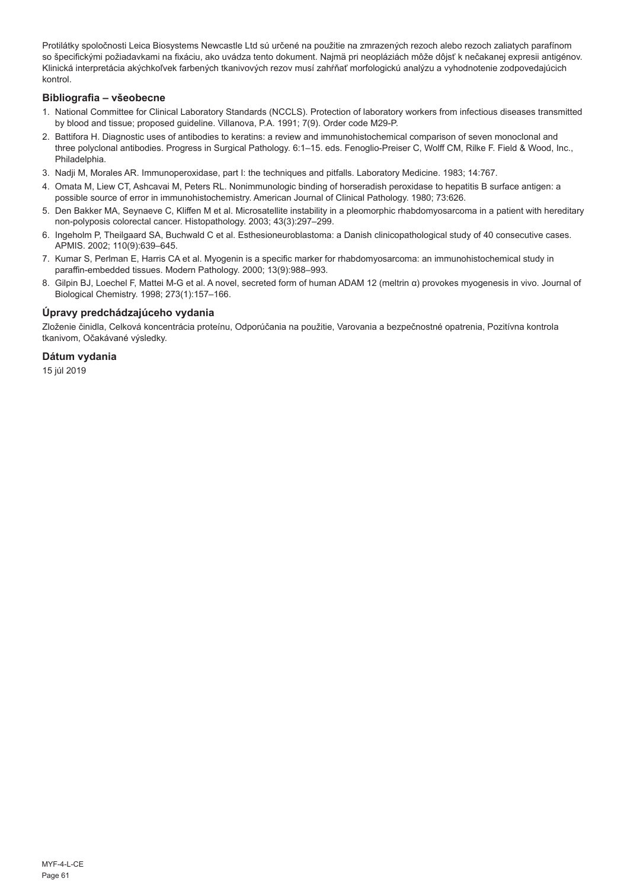Protilátky spoločnosti Leica Biosystems Newcastle Ltd sú určené na použitie na zmrazených rezoch alebo rezoch zaliatych parafínom so špecifickými požiadavkami na fixáciu, ako uvádza tento dokument. Najmä pri neopláziách môže dôjsť k nečakanej expresii antigénov. Klinická interpretácia akýchkoľvek farbených tkanivových rezov musí zahŕňať morfologickú analýzu a vyhodnotenie zodpovedajúcich kontrol.

#### **Bibliografia – všeobecne**

- 1. National Committee for Clinical Laboratory Standards (NCCLS). Protection of laboratory workers from infectious diseases transmitted by blood and tissue; proposed guideline. Villanova, P.A. 1991; 7(9). Order code M29-P.
- 2. Battifora H. Diagnostic uses of antibodies to keratins: a review and immunohistochemical comparison of seven monoclonal and three polyclonal antibodies. Progress in Surgical Pathology. 6:1–15. eds. Fenoglio-Preiser C, Wolff CM, Rilke F. Field & Wood, Inc., Philadelphia.
- 3. Nadji M, Morales AR. Immunoperoxidase, part I: the techniques and pitfalls. Laboratory Medicine. 1983; 14:767.
- 4. Omata M, Liew CT, Ashcavai M, Peters RL. Nonimmunologic binding of horseradish peroxidase to hepatitis B surface antigen: a possible source of error in immunohistochemistry. American Journal of Clinical Pathology. 1980; 73:626.
- 5. Den Bakker MA, Seynaeve C, Kliffen M et al. Microsatellite instability in a pleomorphic rhabdomyosarcoma in a patient with hereditary non-polyposis colorectal cancer. Histopathology. 2003; 43(3):297–299.
- 6. Ingeholm P, Theilgaard SA, Buchwald C et al. Esthesioneuroblastoma: a Danish clinicopathological study of 40 consecutive cases. APMIS. 2002; 110(9):639–645.
- 7. Kumar S, Perlman E, Harris CA et al. Myogenin is a specific marker for rhabdomyosarcoma: an immunohistochemical study in paraffin-embedded tissues. Modern Pathology. 2000; 13(9):988–993.
- 8. Gilpin BJ, Loechel F, Mattei M-G et al. A novel, secreted form of human ADAM 12 (meltrin α) provokes myogenesis in vivo. Journal of Biological Chemistry. 1998; 273(1):157–166.

#### **Úpravy predchádzajúceho vydania**

Zloženie činidla, Celková koncentrácia proteínu, Odporúčania na použitie, Varovania a bezpečnostné opatrenia, Pozitívna kontrola tkanivom, Očakávané výsledky.

## **Dátum vydania**

15 júl 2019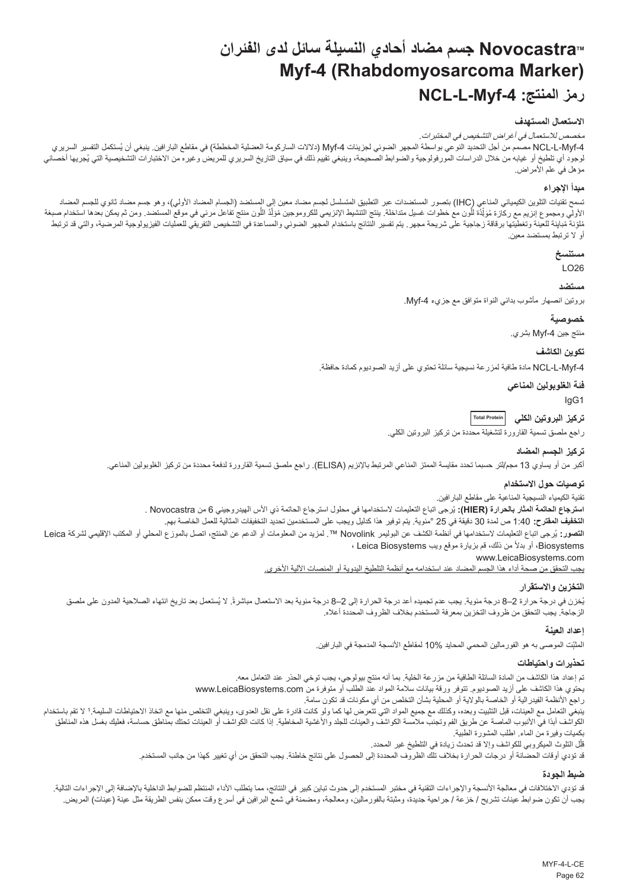# **NovocastraTM جسم مضاد أحادي النسيلة سائل لدى الفئران Myf-4 (Rhabdomyosarcoma Marker) NCL-L-Myf-4 :المنتج رمز**

#### **االستعمال المستهدف**

مخصص لالستعمال في أغراض التشخيص في المختبرات.

<span id="page-62-0"></span>ACL-L-Myf-4 مصمم من اجل التحديد النوعي بواسطة المجهر الضوئي لجزيئات Ayf-4 (دلالات الساركومة العضلية المخططة) في مقاطع البار افين. ينبغي أن يُستكمل التفسير السريري لوجود اي تلطيخ او غيابه من خلال الدراسات المورفولوجية والضوابط الصحيحة، وينبغي تقييم ذلك في الشريط المريري للمريض وغيره من الأختبارات التشخيصية التي يُجريها اخصائي مؤهل في علم الأمراض.

#### **مبدأ اإلجراء**

سَمح تقيات التلوين الكيميائي المناعي (HC) بتصور المستضدات عبر التطبيق المشمس المستخدم الجسم المصدد الأولي)، وهو جسم مصاد ثانوي الجسم المصاد<br>الأولي ومجموع إنزيم مع ركازة مَوَلِّذَة الْون مع خطوات غسل منظمة الأنفية الأنزيم <u>ן</u> َّ֧֖֖֖֖֖֧֚֚֚֚֚֚֚֡֡֬֓֝֬<u>֓</u> نافية مُبلِّنة للعينة وتخليقا برقاقة زجاجية على شريحة مجهر. يتم تفسير النتئج باستخدام المراعة والتشخيص التفريقي للعمليات الفيزيولوجية المرصية، والتي قد ترتبط أو ال ترتبط بمستضد معين.

## **مستنسخ**

LO26

#### **مستضد**

بروتين انصهار مأشوب بدائي النواة متوافق مع جزيء Myf-4.

#### **خصوصية**

منتج جين 4-Myf بشري.

#### **تكوين الكاشف**

-4Myf-L-NCL مادة طافية لمزرعة نسيجية سائلة تحتوي على أزيد الصوديوم كمادة حافظة.

**فئة الغلوبولين المناعي**

IgG1

**تركيز البروتين الكلي Total Protein**

راجع ملصق تسمية القارورة لتشغيلة محددة من تركيز البروتين الكلي.

#### **تركيز الجسم المضاد**

أكبر من أو يساوي 13 مجم/لتر حسبما تحدد مقايسة الممتز المناعي المرتبط باإلنزيم )ELISA). راجع ملصق تسمية القارورة لدفعة محددة من تركيز الغلوبولين المناعي.

#### **توصيات حول االستخدام**

تقنية الكيمياء النسيجية المناعية على مقاطع البارافين.

ا**سترجاع الحاتمة المثار بالحرارة (HIER):** يُرجى اتباع التعليمات لاستخدامها في محلول استرجاع الحاتمة ذي الاس الهيدروجيني 6 من Novocastra .

**التخفيف المقترح:** 1:40 ص لمدة 30 دقيقة في 25 °مئوية. يتم توفير هذا كدليل ويجب على المستخدمين تحديد التخفيفات المثالية للعمل الخاصة بهم.

ا**لتصور**: يُرجى اتباع التعليمات لاستخدامها في انظمة الكشف عن البوليمر Novolink™ . لمزيد من المعلومات أو المحلي أو المحلي أو المكتب الإقليمي لشركة Leica ً من ذلك، قم بزيارة موقع ويب Biosystems Leica ، Biosystems، أو بدال

www.LeicaBiosystems.com

يجب التحقق من صحة أداء هذا الجسم المضاد عند استخدامه مع أنظمة التلطيخ اليدوية أو المنصات اآللية األخرى.

#### **التخزين واالستقرار**

بُخزن في درجة حرارة 2–8 درجة مئوية. يجب عدم تجميده أعد درجة الحرارة إلى 2–8 درجة مئوية بعد الاستعمال مباشرةً. لا يُستعمل بعد تاريخ انتهاء الصلاحية المدون على ملصق الزجاجة. يجب التحقق من ظروف التخزين بمعرفة المستخدم بخالف الظروف المحددة أعاله.

#### **إعداد العينة**

المثَّنِت الموصىى به هو الفورمالين المحمي المحايد %10 لمقاطع الأنسجة المدمجة في البار افين.

#### **تحذيرات واحتياطات**

تم إعداد هذا الكاشف من المادة السائلة الطافية من مزرعة الخلية. بما أنه منتج بيولوجي، يجب توخي الحذر عند التعامل معه. يحتوي هذا الكاشف على أزيد الصوديوم. تتوفر ورقة بيانات سالمة المواد عند الطلب أو متوفرة من com.LeicaBiosystems.www راجع الأنظمة الفيدرالية أو الخاصة بالولاية أو المحلية بشأن التخلص من أي مكونات قد تكون سامة. بنبغي التعامل مع العينات، قبل التثبيت وبعده، وكذلك مع جميع المواد التي تقام ولو كان التخلص والتن التخلص منها مع اتخاذ الاحتياطات السليمة.' لا تقم باستخدام الكواشف أبدًا في الأنبوب الماصة عن طريق الفم وتجنب ملامسة الكواشفين المخاطبة الجلالية الذا كانت الكواشف أو العينات تحتك بمناطق حساسة، فعليك بغسل هذه المناطق بكميات وفيرة من الماء. اطلب المشورة الطبية.

ِل التلوث الميكروبي للكواشف وإال قد تحدث زيادة في التلطيخ غير المحدد. قل j

قد تؤدي أوقات الحضانة أو درجات الحرارة بخالف تلك الظروف المحددة إلى الحصول على نتائج خاطئة. يجب التحقق من أي تغيير كهذا من جانب المستخدم.

#### **ضبط الجودة**

قد تزدي الاختلافات في معالجة الأنسجة والإجراءات التقنية في مختبر المستخدم إلى حدوث تباين كبير في النتائج، مما يتطلب الناشر الماليان المنافة إلى الإجراءات التالية. يجب أن تكون ضوابط عينات تشريح / خزعة / جراحية جديدة، ومثبتة بالفورمالين، ومعالجة، ومضمنة في شمع البرافين في أسرع وقت ممكن بنفس الطريقة مثل عينة (عينات) المريض.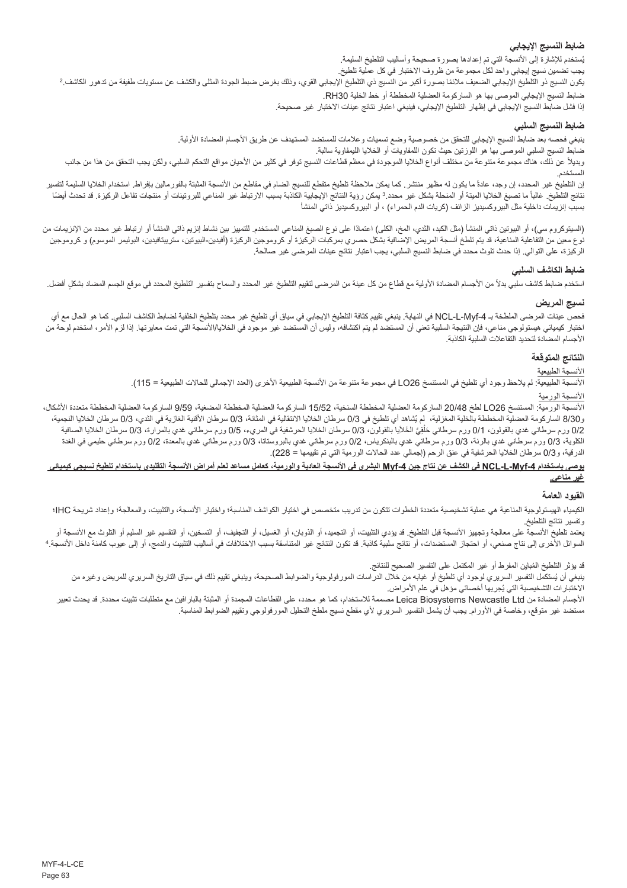#### **ضابط النسيج اإليجابي**

بُستخدم للإشارة إلى الانسجة التي تم إعدادها بصنورة صحيحة واساليب التلطيخ السليمة.

بجب تضمين نسيج إيجابي واحد لكل مجموعة من ظروف الاختبار في كل عملية تلطيخ.<br>يكون النسيج ذو التلطيخ الإيجابي الضعيف ملائمًا بصورة أكبر من النسيج ذي التلفية والتلف التحاري المعالي والكشف عن مستويات طفيفة من تدهور الكاشف.2 ضابط النسيج اإليجابي الموصى بها هو الساركومة العضلية المخططة أو خط الخلية 30RH.

إذا فشل ضابط النسيج اإليجابي في إظهار التلطيخ اإليجابي، فينبغي اعتبار نتائج عينات االختبار غير صحيحة.

## **ضابط النسيج السلبي**

ينبغي فحصه بعد ضابط النسيج اإليجابي للتحقق من خصوصية وضع تسميات وعالمات للمستضد المستهدف عن طريق األجسام المضادة األولية.

ضابط النسيج السلبي الموصى بها هو اللوزتين حيث تكون اللمفاويات أو الخاليا الليمفاوية سالبة.

ربديلاً عن ذلك، هناك مجموعة متنوعة من مختلف أنواع الخلايا الموجودة في معظم قطاعات النسيج توفر في كالها على المعاه عامل التحكم السلبي، ولكن يجب التحقق من هذا من جانب المستخدم.

إن التلطيخ غير المحدد، إن وجد، عادة ما يكون له مظهر منتشر . كما يمكن منتظم من المنطق المثلج النساس الله المتها بالفرسالين بإفراط. استخدام الخلايا السليمة لتفسير نتائج التلطيخ. غالبا مالم المنحا المنحلة المنحلة بشكل غير محدد.3 يمكن المناع المناع المرتباط المنسب الارتباط غير المناعي للبروتينات أو منتجات تفاعل الركيزة. قد تحدث أيضا بسبب إنزيمات داخلية مثل البيروكسيديز الزائف (كريات الدم الحمراء) ، أو البيروكسيديز ذاتي المنشأ

(السيتوكروم سي)، أو البيوتين ذاتي المنشأ (مثل الكبد، الثدي، المخ، المناعي المستخدم الكلميز بين نشاط إنزيم ذاتي المنشأ أو ارتباط غير محدد من الإنزيمات من نوع معين من التفاعلية المناعية، قد يتم تلطخ أنسجة المريض الإصافية بشكل حصري بمركبات الركيزة الركيزة (أفيدين-البيوتين، ستريبتافيدين، البوليمر الموسوم) و كروموجين الركيزة، على التوالي. إذا حدث تلوث محدد في ضابط النسيج السلبي، يجب اعتبار نتائج عينات المرضى غير صالحة.

## **ضابط الكاشف السلبي**

استخدم ضابط كاشف سلبي بدلأ من الأجسام المضادة الأولية مع قطاع من كل المحل التحاريخ غير المحدد والسماح بتفسير التلطيخ المحدد في موقع الجسم المضاد بشكلٍ أفضل.

## **نسيج المريض**

فحص عينات المرضى الملطخة بـ NCL-L-Myf-4 في النهاية. ينبغي تقييم كثافة التلطيخ الإيجابي في سياق أي تلطيخ غير محدد بتلطيخ الخلفية لضابط الكاشف السلبي. كما هو الحال مع أي اختبار كيميائي هيستولوجي مناعي، فإن النتيجة السلبية تعني أن استمتصل معن أن المستضد غير موجود في الخلايا/الأسجة التي تمت معايرتها. إذا لزم الأمر، استخدم لوحة من األجسام المضادة لتحديد التفاعالت السلبية الكاذبة.

### **النتائج المتوقعة**

## ر<br>الأنسجة ا<u>لطبيعية</u>

الأنسجة الطبيعية: لم يلاحظ وجود أي تلطيخ في المستنسخ 262L في مجموعة متنوعة من الأنسجة الطبيعية الأخرى (العدد الإجمالي للحالات الطبيعية = 115).

## األنسجة الورمية

الأنسجة الورمية: المستنسخ 20/48 لطخ 20/48 الساركومة العضلطة السنخية، 15/52 الساركومة العضلية المخطخة المضغية، 9/59 الساركومة العضلية المخططة متعددة الأشكال، و8/3 الساركومة العضلية المخططة بالخلية المغزلية، لم يُشاهد أي تلطيخ في 8/3 سرطان الخلية الغزلية في الغازية في الثدي، 0/3 سرطان الخلايا النجمية، 0/2 ورم سرطاني غدي بالقولون، 0/1 ورم سرطاني حَلَقِيَّ الخائرا بالقولون، 0/3 سرطان الخلايا الحرشفية في المريء، 0/5 ورم سرطاني غدي بالمرارة، 0/3 سرطان الخلايا الصافية ֡**֓** الكلوية، 0/3 ورم سرطاني غدي بالرئة، 0/3 ورم سرطاني غدي بالبنكرياس، 0/2 ورم سرطاني غدي بالبروستاتا، 0/3 ورم سرطاني غدي بالمعدة، 0/2 ورم سرطاني حليمي في الغدة الدرقية، و0/3 سرطان الخلايا الحرشفية في عنق الرحم (إجمالي عدد الحالات الورمية التي تم تقييمها = 228).

#### **يوصى باستخدام -4Myf-L-NCL في الكشف عن نتاج جين -4Myf البشري في األنسجة العادية والورمية، كعامل مساعد لعلم أمراض األنسجة التقليدي باستخدام تلطيخ نسيجي كيميائي غير مناعي.**

#### **القيود العامة**

الكيمياء الهيستولوجية المناعية هي عملية تشخيصية متعددة الخطوات تتكون من من من المناسبة، والمناسبة؛ والختيل الأنسجة، والتثبيت، والمعالجة؛ وإعداد شريحة IHC؛ وإعداد شريحة IHC؛ وتفسير نتائج التلطيخ.

يعتمد تلطيخ الأنسجة على معالجة وتجهيز الأنسجة قبل التطبي التجاريات، أو التبارين الذار التصابين، أو التشوين، أو التقسيم غير السليم أو التلوث مع الأنسجة أو السوائل الأخرى إلى نتاج صنعي، أو احتجاز المستضدات، أو نتائج ملائبة قد تكون النتاسقة قد النسبب الأختلافات في اساليب التثبيت والدمج، أو إلى عيوب كامنة داخل الانسجة. 4

قد يؤثر التلطيخ المُباين المفرط او غير المكتمل على التفسير الصحيح للنتائج.

بنغي ان يُستكمل التفسير السريري لوجود اي تلطيخ او غيابه من خلال الدراسات المورفولوجية والضوابط الصحيحة، وينبغي تقييم ذلك في سياق التاريخ السريري للمريض وغيره من الأختبار ات التشخيصية التي يُجريها اخصـائي مؤهل في علم الأمر اض.

األجسام المضادة من Ltd Newcastle Biosystems Leica مصممة لالستخدام، كما هو محدد، على القطاعات المجمدة أو المثبتة بالبارافين مع متطلبات تثبيت محددة. قد يحدث تعبير مستضد غير متوقع، وخاصة في األورام. يجب أن يشمل التفسير السريري ألي مقطع نسيج ملطخ التحليل المورفولوجي وتقييم الضوابط المناسبة.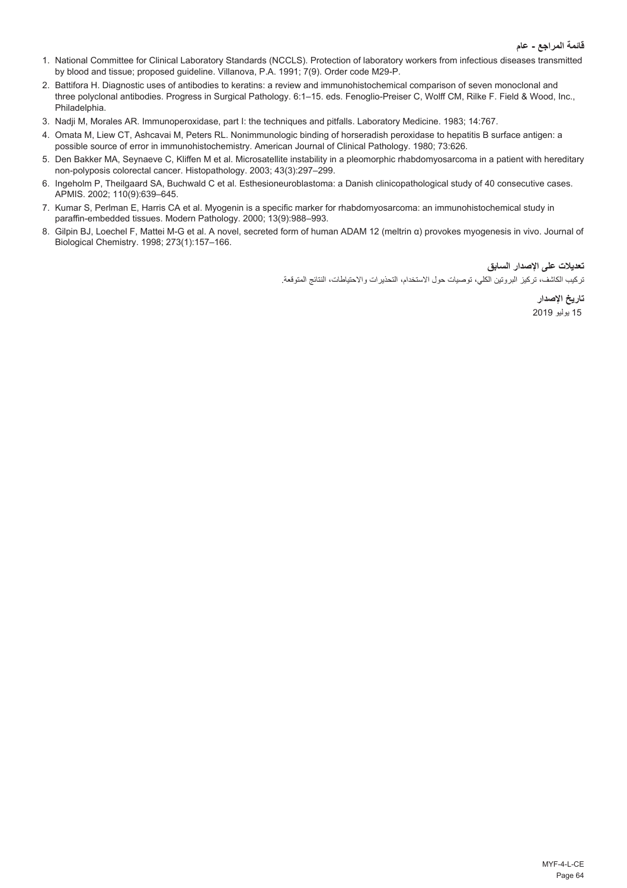- 1. National Committee for Clinical Laboratory Standards (NCCLS). Protection of laboratory workers from infectious diseases transmitted by blood and tissue; proposed guideline. Villanova, P.A. 1991; 7(9). Order code M29-P.
- 2. Battifora H. Diagnostic uses of antibodies to keratins: a review and immunohistochemical comparison of seven monoclonal and three polyclonal antibodies. Progress in Surgical Pathology. 6:1–15. eds. Fenoglio-Preiser C, Wolff CM, Rilke F. Field & Wood, Inc., Philadelphia.
- 3. Nadji M, Morales AR. Immunoperoxidase, part I: the techniques and pitfalls. Laboratory Medicine. 1983; 14:767.
- 4. Omata M, Liew CT, Ashcavai M, Peters RL. Nonimmunologic binding of horseradish peroxidase to hepatitis B surface antigen: a possible source of error in immunohistochemistry. American Journal of Clinical Pathology. 1980; 73:626.
- 5. Den Bakker MA, Seynaeve C, Kliffen M et al. Microsatellite instability in a pleomorphic rhabdomyosarcoma in a patient with hereditary non-polyposis colorectal cancer. Histopathology. 2003; 43(3):297–299.
- 6. Ingeholm P, Theilgaard SA, Buchwald C et al. Esthesioneuroblastoma: a Danish clinicopathological study of 40 consecutive cases. APMIS. 2002; 110(9):639–645.
- 7. Kumar S, Perlman E, Harris CA et al. Myogenin is a specific marker for rhabdomyosarcoma: an immunohistochemical study in paraffin-embedded tissues. Modern Pathology. 2000; 13(9):988–993.
- 8. Gilpin BJ, Loechel F, Mattei M-G et al. A novel, secreted form of human ADAM 12 (meltrin α) provokes myogenesis in vivo. Journal of Biological Chemistry. 1998; 273(1):157–166.

**تعديالت على اإلصدار السابق**

تركيب الكاشف، تركيز البروتين الكلي، توصيات حول االستخدام، التحذيرات واالحتياطات، النتائج المتوقعة.

**تاريخ اإلصدار** 15 يوليو 2019